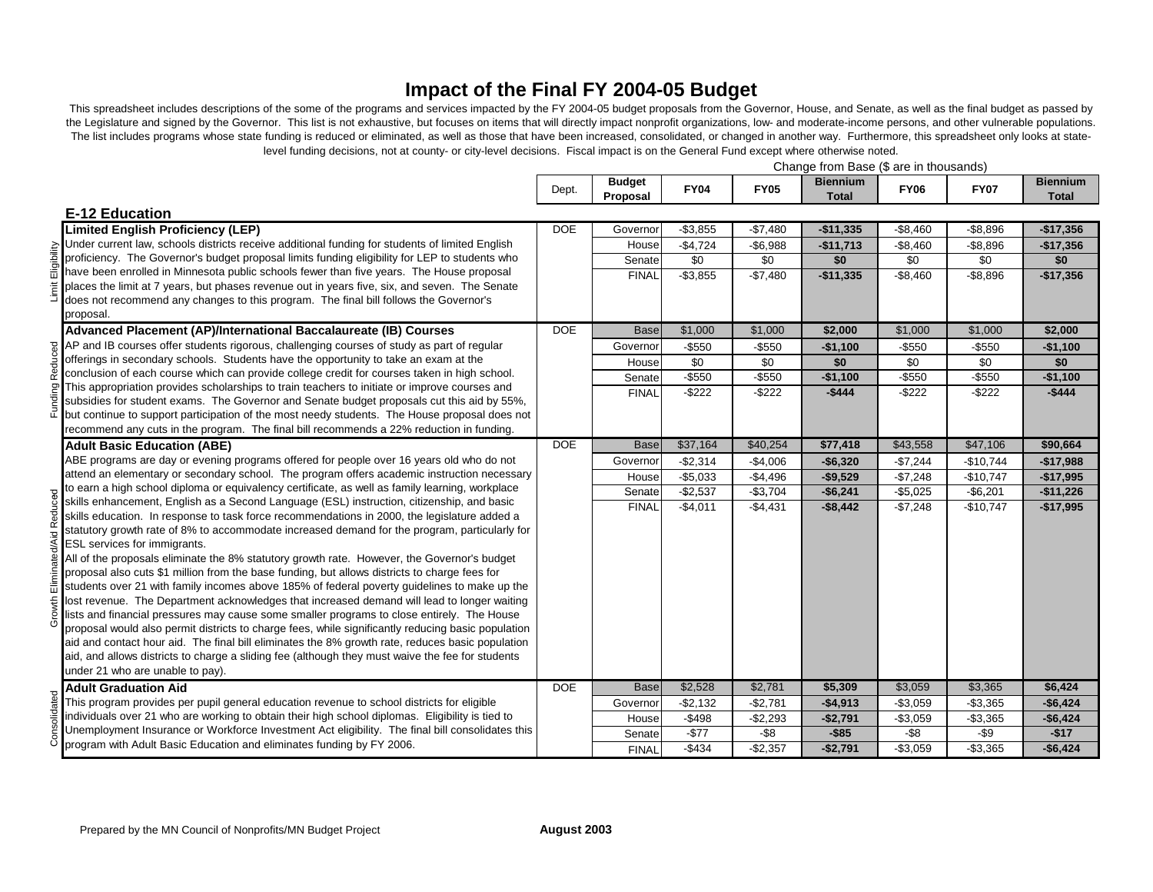## **Impact of the Final FY 2004-05 Budget**

This spreadsheet includes descriptions of the some of the programs and services impacted by the FY 2004-05 budget proposals from the Governor, House, and Senate, as well as the final budget as passed by the Legislature and signed by the Governor. This list is not exhaustive, but focuses on items that will directly impact nonprofit organizations, low- and moderate-income persons, and other vulnerable populations. The list includes programs whose state funding is reduced or eliminated, as well as those that have been increased, consolidated, or changed in another way. Furthermore, this spreadsheet only looks at statelevel funding decisions, not at county- or city-level decisions. Fiscal impact is on the General Fund except where otherwise noted.

|                                                                                                                               | Change from Base (\$ are in thousands) |                           |             |             |                                 |             |             |                                 |
|-------------------------------------------------------------------------------------------------------------------------------|----------------------------------------|---------------------------|-------------|-------------|---------------------------------|-------------|-------------|---------------------------------|
|                                                                                                                               | Dept.                                  | <b>Budget</b><br>Proposal | <b>FY04</b> | <b>FY05</b> | <b>Biennium</b><br><b>Total</b> | <b>FY06</b> | <b>FY07</b> | <b>Biennium</b><br><b>Total</b> |
| <b>E-12 Education</b>                                                                                                         |                                        |                           |             |             |                                 |             |             |                                 |
| <b>Limited English Proficiency (LEP)</b>                                                                                      | <b>DOE</b>                             | Governor                  | $-$3,855$   | $-$7,480$   | $-$11,335$                      | $-$8,460$   | $-$8,896$   | $-$17,356$                      |
| Under current law, schools districts receive additional funding for students of limited English                               |                                        | House                     | $-$4,724$   | $-$6,988$   | $-$11,713$                      | $-$8,460$   | $-$8,896$   | $-$17,356$                      |
| proficiency. The Governor's budget proposal limits funding eligibility for LEP to students who                                |                                        | Senate                    | \$0         | \$0         | \$0                             | \$0         | \$0         | \$0                             |
| have been enrolled in Minnesota public schools fewer than five years. The House proposal                                      |                                        | <b>FINAL</b>              | $- $3,855$  | $-$7,480$   | $-$11,335$                      | $-$8,460$   | $-$8,896$   | $-$17,356$                      |
| places the limit at 7 years, but phases revenue out in years five, six, and seven. The Senate                                 |                                        |                           |             |             |                                 |             |             |                                 |
| does not recommend any changes to this program. The final bill follows the Governor's                                         |                                        |                           |             |             |                                 |             |             |                                 |
| proposal.                                                                                                                     |                                        |                           |             |             |                                 |             |             |                                 |
| Advanced Placement (AP)/International Baccalaureate (IB) Courses                                                              | <b>DOE</b>                             | <b>Base</b>               | \$1,000     | \$1,000     | \$2,000                         | \$1,000     | \$1,000     | \$2,000                         |
| $\frac{1}{8}$ AP and IB courses offer students rigorous, challenging courses of study as part of regular                      |                                        | Governor                  | $- $550$    | $-$ \$550   | $-$1,100$                       | $- $550$    | $-$ \$550   | $-$1,100$                       |
| offerings in secondary schools. Students have the opportunity to take an exam at the                                          |                                        | House                     | \$0         | \$0         | \$0                             | \$0         | \$0         | \$0                             |
| conclusion of each course which can provide college credit for courses taken in high school.                                  |                                        | Senate                    | $-$550$     | $-$ \$550   | $-$1,100$                       | $-$ \$550   | $-$ \$550   | $-$1,100$                       |
| This appropriation provides scholarships to train teachers to initiate or improve courses and                                 |                                        | <b>FINAL</b>              | $-$ \$222   | $-$ \$222   | $-$444$                         | $-$ \$222   | $-$ \$222   | $-$444$                         |
| subsidies for student exams. The Governor and Senate budget proposals cut this aid by 55%,                                    |                                        |                           |             |             |                                 |             |             |                                 |
| but continue to support participation of the most needy students. The House proposal does not                                 |                                        |                           |             |             |                                 |             |             |                                 |
| recommend any cuts in the program. The final bill recommends a 22% reduction in funding.                                      |                                        |                           |             |             |                                 |             |             |                                 |
| <b>Adult Basic Education (ABE)</b>                                                                                            | <b>DOE</b>                             | <b>Base</b>               | \$37,164    | \$40,254    | \$77,418                        | \$43,558    | \$47,106    | \$90,664                        |
| ABE programs are day or evening programs offered for people over 16 years old who do not                                      |                                        | Governor                  | $-$2,314$   | $-$4,006$   | $-$6,320$                       | $-$7,244$   | $-$10,744$  | $-$17,988$                      |
| attend an elementary or secondary school. The program offers academic instruction necessary                                   |                                        | House                     | $-$5,033$   | $-$4,496$   | $-$9,529$                       | $-$7,248$   | $-$10,747$  | $-$17,995$                      |
| to earn a high school diploma or equivalency certificate, as well as family learning, workplace                               |                                        | Senate                    | $-$2,537$   | $-$3,704$   | $-$6,241$                       | $-$5,025$   | $-$6,201$   | $-$11,226$                      |
| skills enhancement, English as a Second Language (ESL) instruction, citizenship, and basic                                    |                                        | <b>FINAL</b>              | $-$4,011$   | $-$4,431$   | $-$8,442$                       | $-$7,248$   | $-$10,747$  | $-$17,995$                      |
| skills education. In response to task force recommendations in 2000, the legislature added a                                  |                                        |                           |             |             |                                 |             |             |                                 |
| statutory growth rate of 8% to accommodate increased demand for the program, particularly for<br>ESL services for immigrants. |                                        |                           |             |             |                                 |             |             |                                 |
| All of the proposals eliminate the 8% statutory growth rate. However, the Governor's budget                                   |                                        |                           |             |             |                                 |             |             |                                 |
| proposal also cuts \$1 million from the base funding, but allows districts to charge fees for                                 |                                        |                           |             |             |                                 |             |             |                                 |
| students over 21 with family incomes above 185% of federal poverty guidelines to make up the                                  |                                        |                           |             |             |                                 |             |             |                                 |
| lost revenue. The Department acknowledges that increased demand will lead to longer waiting                                   |                                        |                           |             |             |                                 |             |             |                                 |
| lists and financial pressures may cause some smaller programs to close entirely. The House                                    |                                        |                           |             |             |                                 |             |             |                                 |
| proposal would also permit districts to charge fees, while significantly reducing basic population                            |                                        |                           |             |             |                                 |             |             |                                 |
| aid and contact hour aid. The final bill eliminates the 8% growth rate, reduces basic population                              |                                        |                           |             |             |                                 |             |             |                                 |
| aid, and allows districts to charge a sliding fee (although they must waive the fee for students                              |                                        |                           |             |             |                                 |             |             |                                 |
| under 21 who are unable to pay).                                                                                              |                                        |                           |             |             |                                 |             |             |                                 |
| <b>Adult Graduation Aid</b>                                                                                                   | <b>DOE</b>                             | <b>Base</b>               | \$2,528     | \$2,781     | \$5,309                         | \$3,059     | \$3,365     | \$6,424                         |
| This program provides per pupil general education revenue to school districts for eligible                                    |                                        | Governor                  | $-$2,132$   | $-$2,781$   | $-$4,913$                       | $-$3,059$   | $-$3,365$   | $-$6,424$                       |
| individuals over 21 who are working to obtain their high school diplomas. Eligibility is tied to                              |                                        | House                     | $-$498$     | $-$2,293$   | $-$2,791$                       | $-$3,059$   | $-$3,365$   | $-$6,424$                       |
| Unemployment Insurance or Workforce Investment Act eligibility. The final bill consolidates this                              |                                        | Senate                    | $-$77$      | $-$ \$8     | $-$ \$85                        | $-$ \$8     | $-$ \$9     | $-$17$                          |
| program with Adult Basic Education and eliminates funding by FY 2006.                                                         |                                        | <b>FINAL</b>              | $-$434$     | $-$2,357$   | $-$2,791$                       | $-$3,059$   | $-$3,365$   | $-$6,424$                       |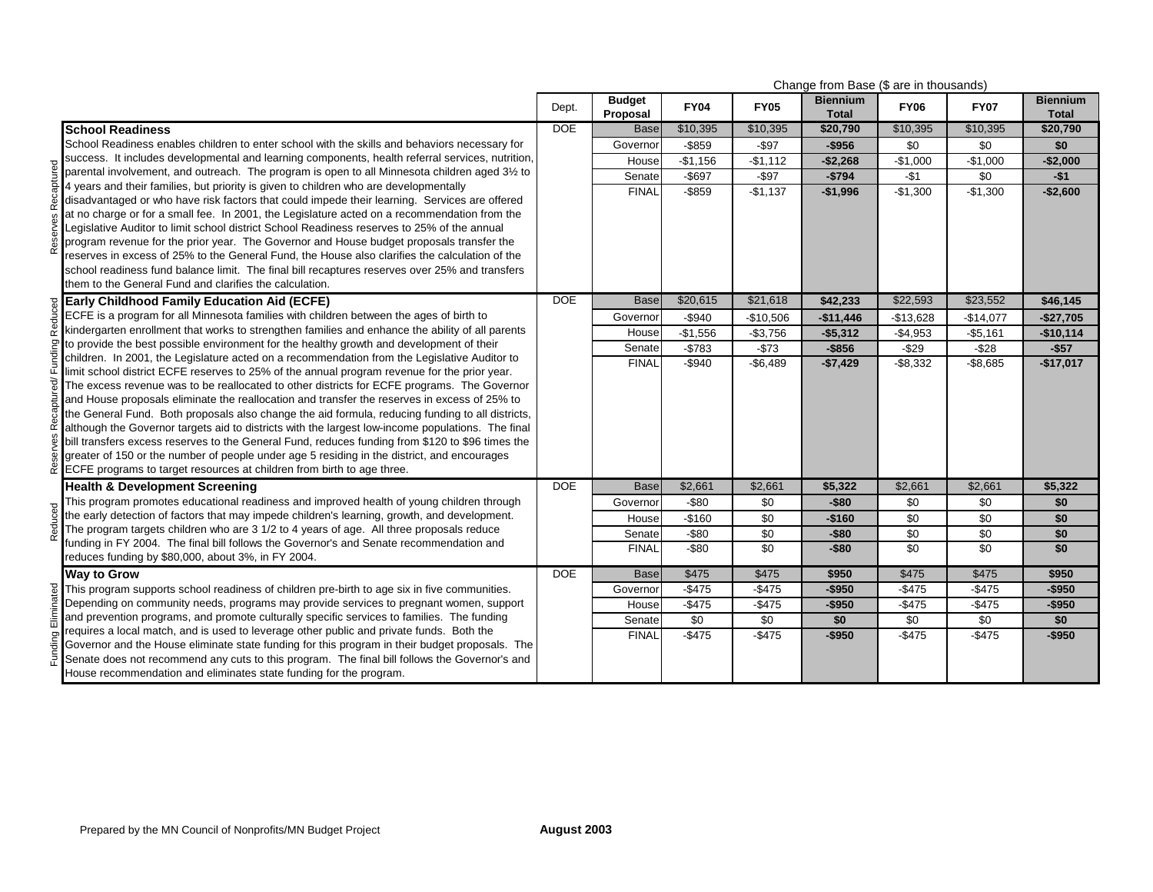|          |                                                                                                                                                                                                  |            |                           |             |                 | Change from Base (\$ are in thousands) |                 |                 |                                 |
|----------|--------------------------------------------------------------------------------------------------------------------------------------------------------------------------------------------------|------------|---------------------------|-------------|-----------------|----------------------------------------|-----------------|-----------------|---------------------------------|
|          |                                                                                                                                                                                                  | Dept.      | <b>Budget</b><br>Proposal | <b>FY04</b> | <b>FY05</b>     | <b>Biennium</b><br><b>Total</b>        | <b>FY06</b>     | <b>FY07</b>     | <b>Biennium</b><br><b>Total</b> |
|          | <b>School Readiness</b>                                                                                                                                                                          | <b>DOE</b> | <b>Base</b>               | \$10,395    | \$10,395        | \$20,790                               | \$10,395        | \$10,395        | \$20,790                        |
|          | School Readiness enables children to enter school with the skills and behaviors necessary for                                                                                                    |            | Governor                  | $-$ \$859   | $-$ \$97        | $-$956$                                | \$0             | \$0             | \$0                             |
|          | success. It includes developmental and learning components, health referral services, nutrition,                                                                                                 |            | House                     | $-$1,156$   | $-$1,112$       | $-$2,268$                              | $-$1,000$       | $-$1,000$       | $-$2,000$                       |
|          | parental involvement, and outreach. The program is open to all Minnesota children aged 3½ to                                                                                                     |            | Senate                    | $-$697$     | $-$ \$97        | $-$794$                                | $-$1$           | \$0             | $-$ \$1                         |
|          | 4 years and their families, but priority is given to children who are developmentally                                                                                                            |            | <b>FINAL</b>              | $-$ \$859   | $-$1,137$       | $-$1,996$                              | $-$1,300$       | $-$1,300$       | $-$2,600$                       |
|          | disadvantaged or who have risk factors that could impede their learning. Services are offered                                                                                                    |            |                           |             |                 |                                        |                 |                 |                                 |
|          | at no charge or for a small fee. In 2001, the Legislature acted on a recommendation from the                                                                                                     |            |                           |             |                 |                                        |                 |                 |                                 |
|          | Legislative Auditor to limit school district School Readiness reserves to 25% of the annual                                                                                                      |            |                           |             |                 |                                        |                 |                 |                                 |
|          | program revenue for the prior year. The Governor and House budget proposals transfer the                                                                                                         |            |                           |             |                 |                                        |                 |                 |                                 |
|          | reserves in excess of 25% to the General Fund, the House also clarifies the calculation of the<br>school readiness fund balance limit. The final bill recaptures reserves over 25% and transfers |            |                           |             |                 |                                        |                 |                 |                                 |
|          | them to the General Fund and clarifies the calculation.                                                                                                                                          |            |                           |             |                 |                                        |                 |                 |                                 |
|          | <b>Early Childhood Family Education Aid (ECFE)</b>                                                                                                                                               | <b>DOE</b> | <b>Base</b>               | \$20,615    | \$21,618        | \$42,233                               | \$22,593        | \$23,552        | \$46,145                        |
|          | ECFE is a program for all Minnesota families with children between the ages of birth to                                                                                                          |            | Governor                  | $-$940$     | $-$10,506$      | $-$11,446$                             | $-$13,628$      | $-$14,077$      | $-$27.705$                      |
|          | kindergarten enrollment that works to strengthen families and enhance the ability of all parents                                                                                                 |            | House                     | $-$1,556$   | $-$3,756$       | $-$5,312$                              | $-$4,953$       | $-$5,161$       | $-$10,114$                      |
|          | to provide the best possible environment for the healthy growth and development of their                                                                                                         |            |                           | $-$783$     | $-$73$          | $-$856$                                | $-$29$          | $-$ \$28        | $-$57$                          |
| nding    | children. In 2001, the Legislature acted on a recommendation from the Legislative Auditor to                                                                                                     |            | Senate<br><b>FINAL</b>    |             |                 |                                        |                 |                 |                                 |
|          | limit school district ECFE reserves to 25% of the annual program revenue for the prior year.                                                                                                     |            |                           | $-$ \$940   | $-$6,489$       | $-$7,429$                              | $-$8,332$       | $-$8,685$       | $-$17,017$                      |
|          | The excess revenue was to be reallocated to other districts for ECFE programs. The Governor                                                                                                      |            |                           |             |                 |                                        |                 |                 |                                 |
|          | and House proposals eliminate the reallocation and transfer the reserves in excess of 25% to                                                                                                     |            |                           |             |                 |                                        |                 |                 |                                 |
|          | the General Fund. Both proposals also change the aid formula, reducing funding to all districts,                                                                                                 |            |                           |             |                 |                                        |                 |                 |                                 |
| ř        | although the Governor targets aid to districts with the largest low-income populations. The final                                                                                                |            |                           |             |                 |                                        |                 |                 |                                 |
|          | bill transfers excess reserves to the General Fund, reduces funding from \$120 to \$96 times the                                                                                                 |            |                           |             |                 |                                        |                 |                 |                                 |
|          | greater of 150 or the number of people under age 5 residing in the district, and encourages                                                                                                      |            |                           |             |                 |                                        |                 |                 |                                 |
| <u>ድ</u> | ECFE programs to target resources at children from birth to age three.                                                                                                                           |            |                           |             |                 |                                        |                 |                 |                                 |
|          | <b>Health &amp; Development Screening</b>                                                                                                                                                        | <b>DOE</b> | <b>Base</b>               | \$2,661     | \$2,661         | \$5,322                                | \$2,661         | \$2,661         | \$5,322                         |
|          | This program promotes educational readiness and improved health of young children through                                                                                                        |            | Governor                  | $-$ \$80    | \$0             | $-$80$                                 | \$0             | \$0             | \$0                             |
| Reduced  | the early detection of factors that may impede children's learning, growth, and development.                                                                                                     |            | House                     | $-$160$     | \$0             | $-$160$                                | \$0             | \$0             | \$0                             |
|          | The program targets children who are 3 1/2 to 4 years of age. All three proposals reduce                                                                                                         |            | Senate                    | $-$ \$80    | \$0             | $-$ \$80                               | \$0             | \$0             | \$0                             |
|          | funding in FY 2004. The final bill follows the Governor's and Senate recommendation and<br>reduces funding by \$80,000, about 3%, in FY 2004.                                                    |            | <b>FINAL</b>              | $-$ \$80    | $\overline{50}$ | $-$ \$80                               | $\overline{50}$ | \$0             | \$0                             |
|          | <b>Way to Grow</b>                                                                                                                                                                               | <b>DOE</b> | <b>Base</b>               | \$475       | \$475           | \$950                                  | \$475           | \$475           | \$950                           |
|          | This program supports school readiness of children pre-birth to age six in five communities.                                                                                                     |            | Governor                  | $-$475$     | $-$ \$475       | $-$950$                                | $-$475$         | $-$475$         | $-$950$                         |
|          | Depending on community needs, programs may provide services to pregnant women, support                                                                                                           |            | House                     | $-$475$     | $-$475$         | $-$950$                                | $-$475$         | $-$475$         | $-$950$                         |
|          | and prevention programs, and promote culturally specific services to families. The funding                                                                                                       |            | Senate                    | \$0         | $\overline{50}$ | \$0                                    | $\overline{50}$ | $\overline{50}$ | \$0                             |
|          | requires a local match, and is used to leverage other public and private funds. Both the                                                                                                         |            | <b>FINAL</b>              | $-$475$     | $-$475$         | $-$950$                                | $-$475$         | $-$475$         | $-$ \$950                       |
|          | Governor and the House eliminate state funding for this program in their budget proposals. The                                                                                                   |            |                           |             |                 |                                        |                 |                 |                                 |
| Funding  | Senate does not recommend any cuts to this program. The final bill follows the Governor's and                                                                                                    |            |                           |             |                 |                                        |                 |                 |                                 |
|          | House recommendation and eliminates state funding for the program.                                                                                                                               |            |                           |             |                 |                                        |                 |                 |                                 |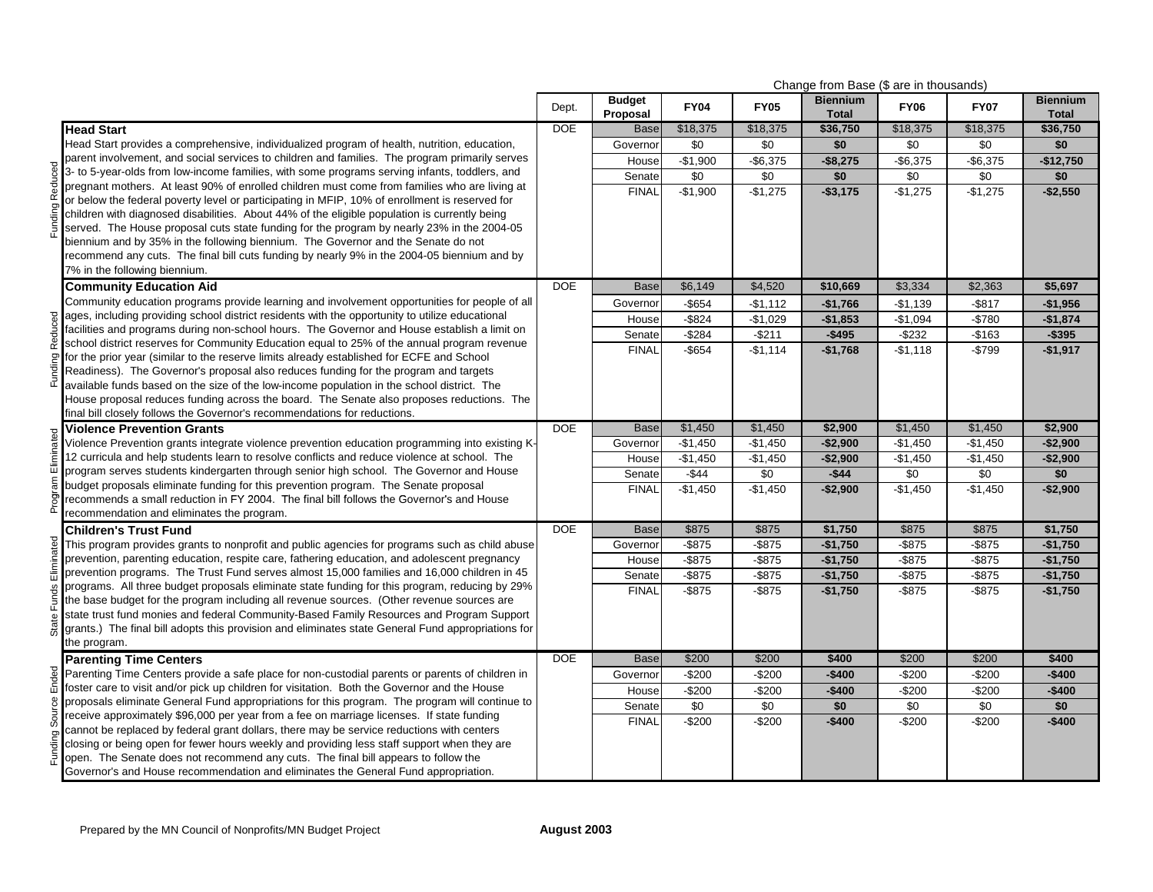|            |                                                                                                                                                                                                 |            |                           |             |             | Change from Base (\$ are in thousands) |             |             |                                 |
|------------|-------------------------------------------------------------------------------------------------------------------------------------------------------------------------------------------------|------------|---------------------------|-------------|-------------|----------------------------------------|-------------|-------------|---------------------------------|
|            |                                                                                                                                                                                                 | Dept.      | <b>Budget</b><br>Proposal | <b>FY04</b> | <b>FY05</b> | <b>Biennium</b><br><b>Total</b>        | <b>FY06</b> | <b>FY07</b> | <b>Biennium</b><br><b>Total</b> |
|            | <b>Head Start</b>                                                                                                                                                                               | <b>DOE</b> | <b>Base</b>               | \$18,375    | \$18,375    | \$36,750                               | \$18,375    | \$18,375    | \$36,750                        |
|            | Head Start provides a comprehensive, individualized program of health, nutrition, education,                                                                                                    |            | Governor                  | \$0         | \$0         | \$0                                    | \$0         | \$0         | \$0                             |
|            | parent involvement, and social services to children and families. The program primarily serves                                                                                                  |            | House                     | $-$1,900$   | $-$ \$6,375 | $-$8,275$                              | $-$ \$6,375 | $-$ \$6,375 | $-$12,750$                      |
|            | 3- to 5-year-olds from low-income families, with some programs serving infants, toddlers, and                                                                                                   |            | Senate                    | \$0         | \$0         | \$0                                    | \$0         | \$0         | \$0                             |
|            | pregnant mothers. At least 90% of enrolled children must come from families who are living at                                                                                                   |            | <b>FINAL</b>              | $-$1,900$   | $-$1,275$   | $- $3,175$                             | $-$1,275$   | $-$1,275$   | $-$2,550$                       |
|            | or below the federal poverty level or participating in MFIP, 10% of enrollment is reserved for                                                                                                  |            |                           |             |             |                                        |             |             |                                 |
|            | children with diagnosed disabilities. About 44% of the eligible population is currently being                                                                                                   |            |                           |             |             |                                        |             |             |                                 |
|            | served. The House proposal cuts state funding for the program by nearly 23% in the 2004-05                                                                                                      |            |                           |             |             |                                        |             |             |                                 |
|            | biennium and by 35% in the following biennium. The Governor and the Senate do not<br>recommend any cuts. The final bill cuts funding by nearly 9% in the 2004-05 biennium and by                |            |                           |             |             |                                        |             |             |                                 |
|            | 7% in the following biennium.                                                                                                                                                                   |            |                           |             |             |                                        |             |             |                                 |
|            | <b>Community Education Aid</b>                                                                                                                                                                  | <b>DOE</b> | <b>Base</b>               | \$6,149     | \$4,520     | \$10,669                               | \$3,334     | \$2,363     | \$5,697                         |
|            | Community education programs provide learning and involvement opportunities for people of all                                                                                                   |            | Governor                  | $-$ \$654   | $-$1,112$   | $-$1,766$                              | $-$1,139$   | $-$ \$817   | $-$1,956$                       |
|            | ages, including providing school district residents with the opportunity to utilize educational                                                                                                 |            | House                     | $-$ \$824   | $-$1,029$   | $-$1,853$                              | $-$1,094$   | $-$780$     | $-$1,874$                       |
|            | facilities and programs during non-school hours. The Governor and House establish a limit on                                                                                                    |            | Senate                    | $-$ \$284   | $-$211$     | $-$495$                                | $-$232$     | $-$163$     | $-$ \$395                       |
|            | school district reserves for Community Education equal to 25% of the annual program revenue                                                                                                     |            | <b>FINAL</b>              | -\$654      | $-$1,114$   | $-$1,768$                              | $-$1,118$   | $-$799$     | $-$1,917$                       |
|            | for the prior year (similar to the reserve limits already established for ECFE and School                                                                                                       |            |                           |             |             |                                        |             |             |                                 |
| Funding    | Readiness). The Governor's proposal also reduces funding for the program and targets                                                                                                            |            |                           |             |             |                                        |             |             |                                 |
|            | available funds based on the size of the low-income population in the school district. The                                                                                                      |            |                           |             |             |                                        |             |             |                                 |
|            | House proposal reduces funding across the board. The Senate also proposes reductions. The                                                                                                       |            |                           |             |             |                                        |             |             |                                 |
|            | final bill closely follows the Governor's recommendations for reductions.                                                                                                                       |            |                           |             |             |                                        |             |             |                                 |
|            | <b>Violence Prevention Grants</b>                                                                                                                                                               | <b>DOE</b> | <b>Base</b>               | \$1,450     | \$1,450     | \$2,900                                | \$1,450     | \$1,450     | \$2,900                         |
|            | Violence Prevention grants integrate violence prevention education programming into existing K-<br>12 curricula and help students learn to resolve conflicts and reduce violence at school. The |            | Governor                  | $-$1,450$   | $-$1,450$   | $-$2,900$                              | $-$1,450$   | $-$1,450$   | $-$2,900$                       |
| Eliminated | program serves students kindergarten through senior high school. The Governor and House                                                                                                         |            | House                     | $-$1,450$   | $-$1,450$   | $-$2,900$                              | $-$1,450$   | $-$1,450$   | $-$2,900$                       |
|            | budget proposals eliminate funding for this prevention program. The Senate proposal                                                                                                             |            | Senate                    | $-$44$      | \$0         | $-$44$                                 | \$0         | \$0         | \$0                             |
|            | recommends a small reduction in FY 2004. The final bill follows the Governor's and House                                                                                                        |            | <b>FINAL</b>              | $-$1,450$   | $-$1,450$   | $-$2,900$                              | $-$1,450$   | $-$1,450$   | $-$2,900$                       |
| Progr      | recommendation and eliminates the program.                                                                                                                                                      |            |                           |             |             |                                        |             |             |                                 |
|            | <b>Children's Trust Fund</b>                                                                                                                                                                    | <b>DOE</b> | <b>Base</b>               | \$875       | \$875       | \$1,750                                | \$875       | \$875       | \$1,750                         |
|            | This program provides grants to nonprofit and public agencies for programs such as child abuse                                                                                                  |            | Governor                  | $-$ \$875   | $-$ \$875   | $-$1,750$                              | $-$ \$875   | $-$ \$875   | $-$1,750$                       |
|            | prevention, parenting education, respite care, fathering education, and adolescent pregnancy                                                                                                    |            | House                     | $-$ \$875   | $-$ \$875   | $-$1,750$                              | $-$ \$875   | $-$ \$875   | $-$1,750$                       |
|            | prevention programs. The Trust Fund serves almost 15,000 families and 16,000 children in 45                                                                                                     |            | Senate                    | $-$ \$875   | $-$ \$875   | $-$1,750$                              | $-$ \$875   | $-$ \$875   | $-$1,750$                       |
|            | programs. All three budget proposals eliminate state funding for this program, reducing by 29%                                                                                                  |            | <b>FINAL</b>              | $-$ \$875   | $-$ \$875   | $-$1,750$                              | $-$ \$875   | $-$ \$875   | $-$1,750$                       |
|            | the base budget for the program including all revenue sources. (Other revenue sources are                                                                                                       |            |                           |             |             |                                        |             |             |                                 |
| State      | state trust fund monies and federal Community-Based Family Resources and Program Support<br>grants.) The final bill adopts this provision and eliminates state General Fund appropriations for  |            |                           |             |             |                                        |             |             |                                 |
|            | the program.                                                                                                                                                                                    |            |                           |             |             |                                        |             |             |                                 |
|            | <b>Parenting Time Centers</b>                                                                                                                                                                   | <b>DOE</b> | <b>Base</b>               | \$200       | \$200       | \$400                                  | \$200       | \$200       | \$400                           |
|            | Parenting Time Centers provide a safe place for non-custodial parents or parents of children in                                                                                                 |            | Governor                  | $-$200$     | $-$200$     | $-$400$                                | $-$200$     | $-$200$     | $-$400$                         |
| Ended      | foster care to visit and/or pick up children for visitation. Both the Governor and the House                                                                                                    |            | House                     | $-$200$     | $-$200$     | $-$400$                                | $-$200$     | $-$200$     | $-$400$                         |
| පී         | proposals eliminate General Fund appropriations for this program. The program will continue to                                                                                                  |            | Senate                    | \$0         | \$0         | \$0                                    | \$0         | \$0         | \$0                             |
| 5our       | receive approximately \$96,000 per year from a fee on marriage licenses. If state funding                                                                                                       |            | <b>FINAL</b>              | $-$200$     | $-$200$     | $-$400$                                | $-$200$     | $-$200$     | $-$400$                         |
|            | cannot be replaced by federal grant dollars, there may be service reductions with centers                                                                                                       |            |                           |             |             |                                        |             |             |                                 |
| Funding    | closing or being open for fewer hours weekly and providing less staff support when they are                                                                                                     |            |                           |             |             |                                        |             |             |                                 |
|            | open. The Senate does not recommend any cuts. The final bill appears to follow the                                                                                                              |            |                           |             |             |                                        |             |             |                                 |
|            | Governor's and House recommendation and eliminates the General Fund appropriation.                                                                                                              |            |                           |             |             |                                        |             |             |                                 |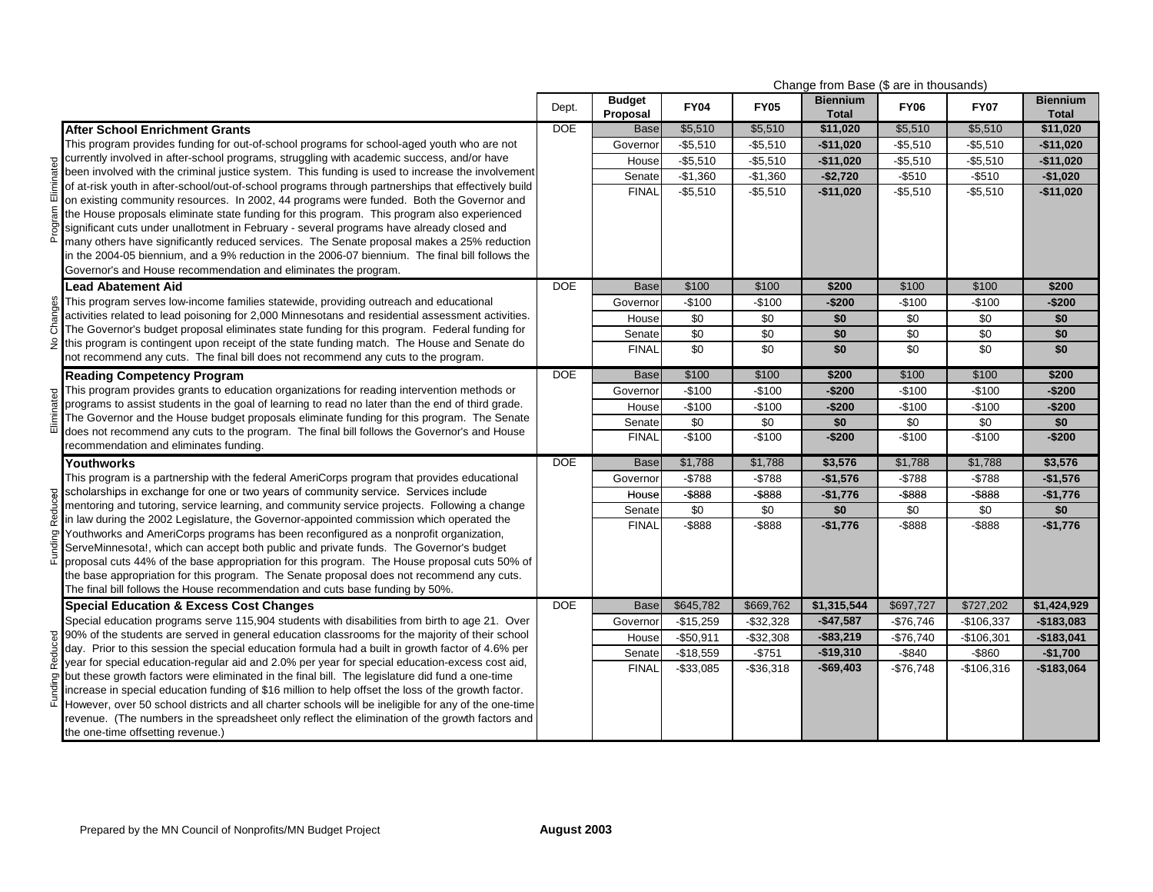|         |                                                                                                                                                                                                    |            |                           |             |              | Change from Base (\$ are in thousands) |                 |                 |                                 |
|---------|----------------------------------------------------------------------------------------------------------------------------------------------------------------------------------------------------|------------|---------------------------|-------------|--------------|----------------------------------------|-----------------|-----------------|---------------------------------|
|         |                                                                                                                                                                                                    | Dept.      | <b>Budget</b><br>Proposal | <b>FY04</b> | <b>FY05</b>  | <b>Biennium</b><br><b>Total</b>        | <b>FY06</b>     | <b>FY07</b>     | <b>Biennium</b><br><b>Total</b> |
|         | <b>After School Enrichment Grants</b>                                                                                                                                                              | <b>DOE</b> | <b>Base</b>               | \$5,510     | \$5,510      | \$11,020                               | \$5,510         | \$5,510         | \$11,020                        |
|         | This program provides funding for out-of-school programs for school-aged youth who are not                                                                                                         |            | Governor                  | $-$5,510$   | $-$5,510$    | $-$11,020$                             | $-$5,510$       | $-$5,510$       | $-$11,020$                      |
|         | g currently involved in after-school programs, struggling with academic success, and/or have the been involved with the criminal iustice system. This funding with academic success, and/or have   |            | House                     | $-$5,510$   | $-$5,510$    | $-$11,020$                             | $-$5,510$       | $-$5,510$       | $-$11,020$                      |
|         | been involved with the criminal justice system. This funding is used to increase the involvement                                                                                                   |            | Senate                    | $-$1,360$   | $-$1,360$    | $-$2,720$                              | $-$510$         | $-$ \$510       | $-$1,020$                       |
|         | of at-risk youth in after-school/out-of-school programs through partnerships that effectively build                                                                                                |            | <b>FINAL</b>              | $-$5,510$   | $-$5,510$    | $-$11,020$                             | $-$5,510$       | $-$5,510$       | $-$11,020$                      |
| Ξ.      | on existing community resources. In 2002, 44 programs were funded. Both the Governor and                                                                                                           |            |                           |             |              |                                        |                 |                 |                                 |
|         | the House proposals eliminate state funding for this program. This program also experienced                                                                                                        |            |                           |             |              |                                        |                 |                 |                                 |
| ā       | significant cuts under unallotment in February - several programs have already closed and                                                                                                          |            |                           |             |              |                                        |                 |                 |                                 |
|         | many others have significantly reduced services. The Senate proposal makes a 25% reduction                                                                                                         |            |                           |             |              |                                        |                 |                 |                                 |
|         | in the 2004-05 biennium, and a 9% reduction in the 2006-07 biennium. The final bill follows the                                                                                                    |            |                           |             |              |                                        |                 |                 |                                 |
|         | Governor's and House recommendation and eliminates the program.                                                                                                                                    |            |                           |             |              |                                        |                 |                 |                                 |
|         | <b>Lead Abatement Aid</b>                                                                                                                                                                          | <b>DOE</b> | <b>Base</b>               | \$100       | \$100        | \$200                                  | \$100           | \$100           | \$200                           |
| anges   | This program serves low-income families statewide, providing outreach and educational                                                                                                              |            | Governor                  | -\$100      | $-$100$      | $-$200$                                | $-$100$         | $-$100$         | $-$200$                         |
| ర్      | activities related to lead poisoning for 2,000 Minnesotans and residential assessment activities.<br>The Governor's budget proposal eliminates state funding for this program. Federal funding for |            | House                     | \$0         | \$0          | \$0                                    | \$0             | \$0             | \$0                             |
| و       | this program is contingent upon receipt of the state funding match. The House and Senate do                                                                                                        |            | Senate                    | \$0         | \$0          | \$0                                    | \$0             | \$0             | \$0                             |
|         | not recommend any cuts. The final bill does not recommend any cuts to the program.                                                                                                                 |            | <b>FINAL</b>              | $\sqrt{6}$  | $\sqrt{50}$  | $\overline{50}$                        | $\overline{30}$ | $\sqrt{50}$     | \$0                             |
|         | <b>Reading Competency Program</b>                                                                                                                                                                  | <b>DOE</b> | <b>Base</b>               | \$100       | \$100        | \$200                                  | \$100           | \$100           | \$200                           |
|         | This program provides grants to education organizations for reading intervention methods or                                                                                                        |            | Governor                  | -\$100      | $-$100$      | $-$200$                                | $-$100$         | $-$100$         | $-$200$                         |
|         | programs to assist students in the goal of learning to read no later than the end of third grade.                                                                                                  |            | House                     | $-$100$     | $-$100$      | $-$200$                                | $-$100$         | $-$100$         | $-$200$                         |
|         | The Governor and the House budget proposals eliminate funding for this program. The Senate                                                                                                         |            | Senate                    | \$0         | $\sqrt{50}$  | \$0                                    | \$0             | $\overline{30}$ | \$0                             |
| ▥.      | does not recommend any cuts to the program. The final bill follows the Governor's and House                                                                                                        |            | <b>FINAL</b>              | $-$100$     | $-$100$      | $-$200$                                | $-$100$         | $-$100$         | $-$200$                         |
|         | recommendation and eliminates funding.                                                                                                                                                             |            |                           |             |              |                                        |                 |                 |                                 |
|         | Youthworks                                                                                                                                                                                         | <b>DOE</b> | <b>Base</b>               | \$1,788     | \$1,788      | \$3,576                                | \$1,788         | \$1,788         | \$3,576                         |
|         | This program is a partnership with the federal AmeriCorps program that provides educational                                                                                                        |            | Governor                  | -\$788      | $- $788$     | $-$1,576$                              | $- $788$        | $- $788$        | $-$1,576$                       |
| 9.      | scholarships in exchange for one or two years of community service. Services include                                                                                                               |            | House                     | $-$ \$888   | $-$ \$888    | $-$1,776$                              | $-$ \$888       | $-$ \$888       | $-$1,776$                       |
|         | mentoring and tutoring, service learning, and community service projects. Following a change                                                                                                       |            | Senate                    | \$0         | \$0          | \$0                                    | \$0             | \$0             | \$0                             |
|         | in law during the 2002 Legislature, the Governor-appointed commission which operated the<br>Youthworks and AmeriCorps programs has been reconfigured as a nonprofit organization,                  |            | <b>FINAL</b>              | -\$888      | $-$ \$888    | $-$1,776$                              | $-$ \$888       | $-$ \$888       | $-$1,776$                       |
| 5       | ServeMinnesota!, which can accept both public and private funds. The Governor's budget                                                                                                             |            |                           |             |              |                                        |                 |                 |                                 |
|         | proposal cuts 44% of the base appropriation for this program. The House proposal cuts 50% of                                                                                                       |            |                           |             |              |                                        |                 |                 |                                 |
|         | the base appropriation for this program. The Senate proposal does not recommend any cuts.                                                                                                          |            |                           |             |              |                                        |                 |                 |                                 |
|         | The final bill follows the House recommendation and cuts base funding by 50%.                                                                                                                      |            |                           |             |              |                                        |                 |                 |                                 |
|         | <b>Special Education &amp; Excess Cost Changes</b>                                                                                                                                                 | <b>DOE</b> | <b>Base</b>               | \$645,782   | \$669,762    | \$1,315,544                            | \$697,727       | \$727,202       | \$1,424,929                     |
|         | Special education programs serve 115,904 students with disabilities from birth to age 21. Over                                                                                                     |            | Governor                  | $-$15,259$  | $-$32,328$   | $-$47,587$                             | $-$76,746$      | $-$106,337$     | $-$183,083$                     |
|         | 90% of the students are served in general education classrooms for the majority of their school                                                                                                    |            | House                     | $-$50,911$  | $-$ \$32,308 | $-$ \$83,219                           | $-$76,740$      | $-$106,301$     | $-$183,041$                     |
| Reduced | day. Prior to this session the special education formula had a built in growth factor of 4.6% per                                                                                                  |            | Senate                    | $-$18,559$  | $-$751$      | $-$19,310$                             | $-$ \$840       | -\$860          | $-$1,700$                       |
|         | year for special education-regular aid and 2.0% per year for special education-excess cost aid,                                                                                                    |            | <b>FINAL</b>              | $-$33,085$  | $-$36,318$   | $-$69,403$                             | $-$76,748$      | $-$106,316$     | $-$183,064$                     |
| Ρā      | but these growth factors were eliminated in the final bill. The legislature did fund a one-time                                                                                                    |            |                           |             |              |                                        |                 |                 |                                 |
|         | increase in special education funding of \$16 million to help offset the loss of the growth factor.                                                                                                |            |                           |             |              |                                        |                 |                 |                                 |
|         | However, over 50 school districts and all charter schools will be ineligible for any of the one-time                                                                                               |            |                           |             |              |                                        |                 |                 |                                 |
|         | revenue. (The numbers in the spreadsheet only reflect the elimination of the growth factors and                                                                                                    |            |                           |             |              |                                        |                 |                 |                                 |
|         | the one-time offsetting revenue.)                                                                                                                                                                  |            |                           |             |              |                                        |                 |                 |                                 |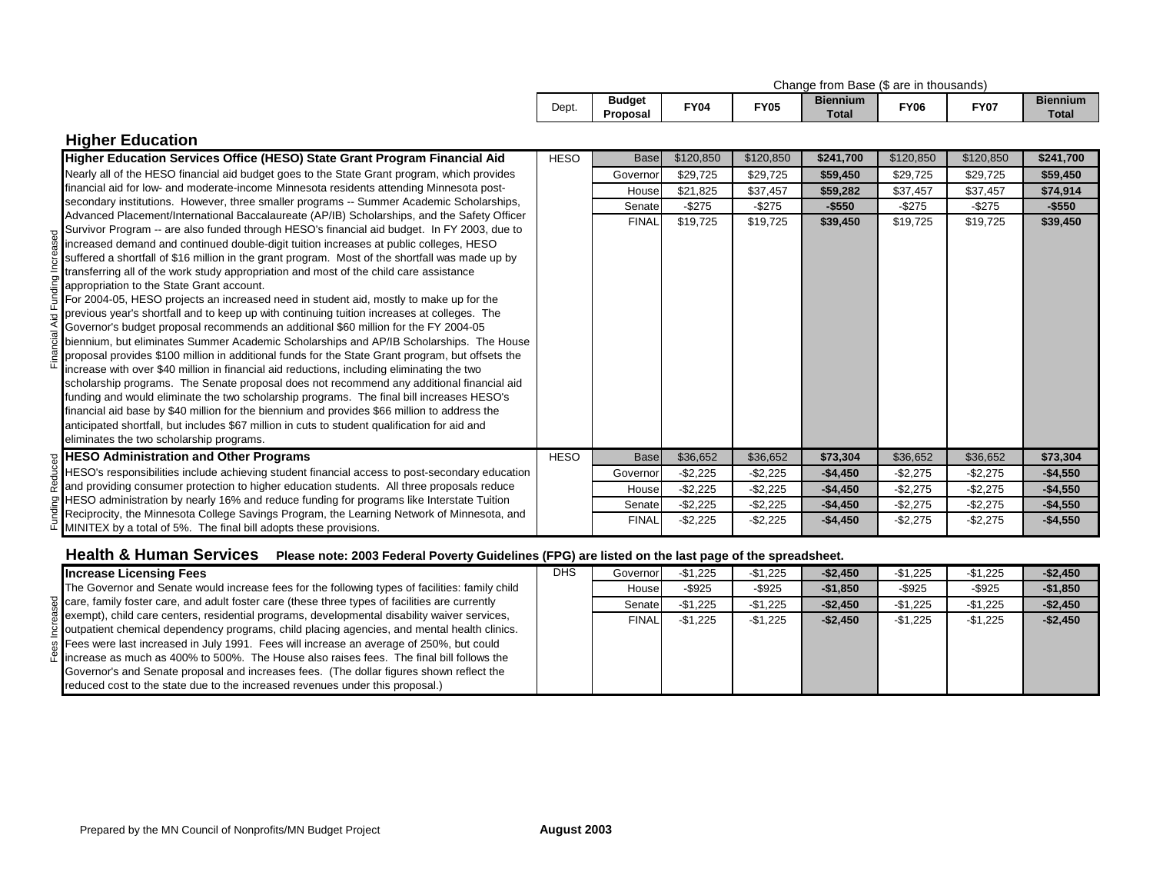|  |  |  |  |  |  | Change from Base (\$ are in thousands) |  |
|--|--|--|--|--|--|----------------------------------------|--|
|--|--|--|--|--|--|----------------------------------------|--|

| Dept. | <b>Budget</b><br>Proposal | FY04 | <b>FY05</b> | <b>Biennium</b><br>$\tau$ <sub>otal</sub> | FY06 | FY07 | <b>Biennium</b><br>Tota |
|-------|---------------------------|------|-------------|-------------------------------------------|------|------|-------------------------|
|-------|---------------------------|------|-------------|-------------------------------------------|------|------|-------------------------|

| <b>Higher Education</b>                                                                                                             |             |              |             |             |           |           |           |           |
|-------------------------------------------------------------------------------------------------------------------------------------|-------------|--------------|-------------|-------------|-----------|-----------|-----------|-----------|
| Higher Education Services Office (HESO) State Grant Program Financial Aid                                                           | <b>HESO</b> | <b>Base</b>  | \$120,850   | \$120,850   | \$241,700 | \$120,850 | \$120,850 | \$241,700 |
| Nearly all of the HESO financial aid budget goes to the State Grant program, which provides                                         |             | Governor     | \$29,725    | \$29,725    | \$59,450  | \$29,725  | \$29,725  | \$59,450  |
| financial aid for low- and moderate-income Minnesota residents attending Minnesota post-                                            |             | House        | \$21.825    | \$37,457    | \$59,282  | \$37,457  | \$37,457  | \$74,914  |
| secondary institutions. However, three smaller programs -- Summer Academic Scholarships,                                            |             | Senate       | $-$ \$275   | -\$275      | $-$550$   | -\$275    | $-$ \$275 | $-$ \$550 |
| Advanced Placement/International Baccalaureate (AP/IB) Scholarships, and the Safety Officer                                         |             | <b>FINAL</b> | \$19,725    | \$19,725    | \$39,450  | \$19,725  | \$19,725  | \$39,450  |
| Survivor Program -- are also funded through HESO's financial aid budget. In FY 2003, due to                                         |             |              |             |             |           |           |           |           |
| increased demand and continued double-digit tuition increases at public colleges, HESO                                              |             |              |             |             |           |           |           |           |
| suffered a shortfall of \$16 million in the grant program. Most of the shortfall was made up by                                     |             |              |             |             |           |           |           |           |
| transferring all of the work study appropriation and most of the child care assistance                                              |             |              |             |             |           |           |           |           |
| appropriation to the State Grant account.<br>For 2004-05, HESO projects an increased need in student aid, mostly to make up for the |             |              |             |             |           |           |           |           |
| previous year's shortfall and to keep up with continuing tuition increases at colleges. The                                         |             |              |             |             |           |           |           |           |
| Governor's budget proposal recommends an additional \$60 million for the FY 2004-05                                                 |             |              |             |             |           |           |           |           |
| biennium, but eliminates Summer Academic Scholarships and AP/IB Scholarships. The House                                             |             |              |             |             |           |           |           |           |
| proposal provides \$100 million in additional funds for the State Grant program, but offsets the                                    |             |              |             |             |           |           |           |           |
| increase with over \$40 million in financial aid reductions, including eliminating the two                                          |             |              |             |             |           |           |           |           |
| scholarship programs. The Senate proposal does not recommend any additional financial aid                                           |             |              |             |             |           |           |           |           |
| funding and would eliminate the two scholarship programs. The final bill increases HESO's                                           |             |              |             |             |           |           |           |           |
| financial aid base by \$40 million for the biennium and provides \$66 million to address the                                        |             |              |             |             |           |           |           |           |
| anticipated shortfall, but includes \$67 million in cuts to student qualification for aid and                                       |             |              |             |             |           |           |           |           |
| eliminates the two scholarship programs.                                                                                            |             |              |             |             |           |           |           |           |
| <b>HESO Administration and Other Programs</b>                                                                                       | <b>HESO</b> | <b>Base</b>  | \$36,652    | \$36,652    | \$73,304  | \$36,652  | \$36,652  | \$73,304  |
| HESO's responsibilities include achieving student financial access to post-secondary education                                      |             | Governor     | $-$ \$2,225 | $-$ \$2,225 | $-$4,450$ | $-$2,275$ | $-$2,275$ | $-$4,550$ |
| and providing consumer protection to higher education students. All three proposals reduce                                          |             | House        | -\$2,225    | -\$2,225    | $-$4,450$ | $-$2,275$ | $-$2,275$ | $-$4,550$ |
| HESO administration by nearly 16% and reduce funding for programs like Interstate Tuition                                           |             | Senate       | $-$2,225$   | $-$ \$2,225 | $-$4,450$ | $-$2,275$ | $-$2,275$ | $-$4,550$ |
| Reciprocity, the Minnesota College Savings Program, the Learning Network of Minnesota, and                                          |             | <b>FINAL</b> | $-$2,225$   | $-$ \$2,225 | $-$4,450$ | $-$2,275$ | $-$2,275$ | $-$4,550$ |
| MINITEX by a total of 5%. The final bill adopts these provisions.                                                                   |             |              |             |             |           |           |           |           |

## Health & Human Services Please note: 2003 Federal Poverty Guidelines (FPG) are listed on the last page of the spreadsheet.

| <b>Increase Licensing Fees</b>                                                                  | <b>DHS</b> | Governor     | $-$1.225$ | $-$1,225$ | $-$2,450$   | $-$1.225$ | $-$1,225$ | $-$2,450$ |
|-------------------------------------------------------------------------------------------------|------------|--------------|-----------|-----------|-------------|-----------|-----------|-----------|
| The Governor and Senate would increase fees for the following types of facilities: family child |            | House        | $-$ \$925 | $-$ \$925 | $-$1.850$   | $-$ \$925 | $-$ \$925 | $-$1,850$ |
| care, family foster care, and adult foster care (these three types of facilities are currently  |            | Senatel      | $-$1.225$ | $-$1,225$ | $-$ \$2.450 | $-$1.225$ | $-$1,225$ | $-$2,450$ |
| exempt), child care centers, residential programs, developmental disability waiver services,    |            | <b>FINAL</b> | $-$1.225$ | $-$1.225$ | $-$2,450$   | $-$1.225$ | $-$1,225$ | $-$2,450$ |
| outpatient chemical dependency programs, child placing agencies, and mental health clinics.     |            |              |           |           |             |           |           |           |
| Fees were last increased in July 1991. Fees will increase an average of 250%, but could         |            |              |           |           |             |           |           |           |
| lincrease as much as 400% to 500%. The House also raises fees. The final bill follows the       |            |              |           |           |             |           |           |           |
| Governor's and Senate proposal and increases fees. (The dollar figures shown reflect the        |            |              |           |           |             |           |           |           |
| reduced cost to the state due to the increased revenues under this proposal.)                   |            |              |           |           |             |           |           |           |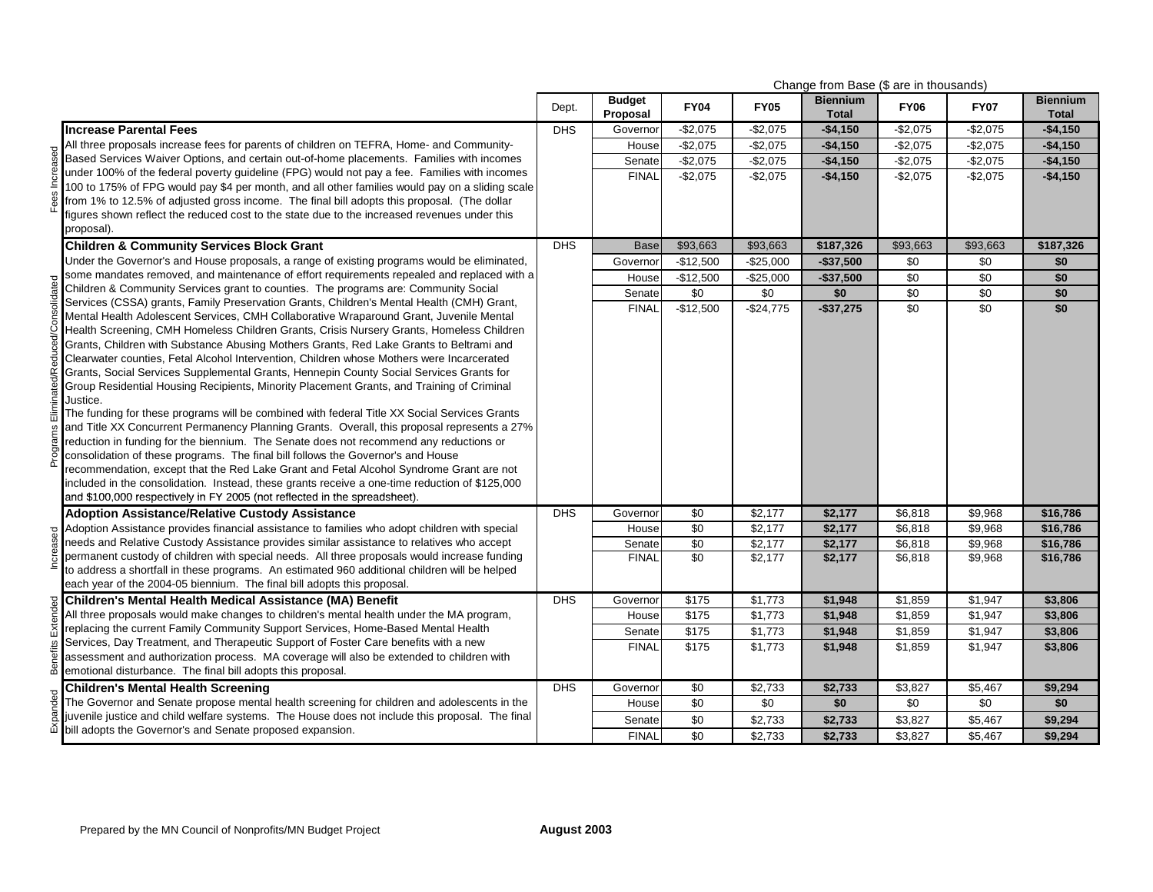|                                                                                                                                                                                      | Change from Base (\$ are in thousands) |                           |                 |             |                                 |                      |             |                                 |
|--------------------------------------------------------------------------------------------------------------------------------------------------------------------------------------|----------------------------------------|---------------------------|-----------------|-------------|---------------------------------|----------------------|-------------|---------------------------------|
|                                                                                                                                                                                      | Dept.                                  | <b>Budget</b><br>Proposal | <b>FY04</b>     | <b>FY05</b> | <b>Biennium</b><br><b>Total</b> | <b>FY06</b>          | <b>FY07</b> | <b>Biennium</b><br><b>Total</b> |
| <b>Increase Parental Fees</b>                                                                                                                                                        | <b>DHS</b>                             | Governor                  | $-$2,075$       | $-$2,075$   | $-$4,150$                       | $-$2,075$            | $-$2,075$   | $-$4,150$                       |
| All three proposals increase fees for parents of children on TEFRA, Home- and Community-                                                                                             |                                        | House                     | $-$2,075$       | $-$2,075$   | $-$4,150$                       | $-$2,075$            | $-$2,075$   | $-$4,150$                       |
| Based Services Waiver Options, and certain out-of-home placements. Families with incomes                                                                                             |                                        | Senate                    | $-$2,075$       | $-$2,075$   | $-$4,150$                       | $-$2,075$            | $-$2,075$   | $-$4,150$                       |
| under 100% of the federal poverty guideline (FPG) would not pay a fee. Families with incomes                                                                                         |                                        | <b>FINAL</b>              | $-$2,075$       | $-$2,075$   | $-$4,150$                       | $-$2,075$            | $-$2,075$   | $-$4,150$                       |
| 100 to 175% of FPG would pay \$4 per month, and all other families would pay on a sliding scale                                                                                      |                                        |                           |                 |             |                                 |                      |             |                                 |
| from 1% to 12.5% of adjusted gross income. The final bill adopts this proposal. (The dollar                                                                                          |                                        |                           |                 |             |                                 |                      |             |                                 |
| figures shown reflect the reduced cost to the state due to the increased revenues under this                                                                                         |                                        |                           |                 |             |                                 |                      |             |                                 |
| proposal).                                                                                                                                                                           |                                        |                           |                 |             |                                 |                      |             |                                 |
| <b>Children &amp; Community Services Block Grant</b>                                                                                                                                 | <b>DHS</b>                             | <b>Base</b>               | \$93,663        | \$93,663    | \$187,326                       | \$93,663             | \$93,663    | \$187,326                       |
| Under the Governor's and House proposals, a range of existing programs would be eliminated,                                                                                          |                                        | Governor                  | $-$12,500$      | $-$25,000$  | $-$37,500$                      | \$0                  | \$0         | \$0                             |
| some mandates removed, and maintenance of effort requirements repealed and replaced with a                                                                                           |                                        | House                     | $-$12,500$      | $-$25,000$  | $-$37,500$                      | $\sqrt{6}$           | \$0         | \$0                             |
| Children & Community Services grant to counties. The programs are: Community Social                                                                                                  |                                        | Senate                    | \$0             | \$0         | \$0                             | \$0                  | \$0         | \$0                             |
| Services (CSSA) grants, Family Preservation Grants, Children's Mental Health (CMH) Grant,                                                                                            |                                        | <b>FINAL</b>              | $-$12,500$      | $-$24,775$  | $-$37,275$                      | \$0                  | \$0         | \$0                             |
| Mental Health Adolescent Services, CMH Collaborative Wraparound Grant, Juvenile Mental                                                                                               |                                        |                           |                 |             |                                 |                      |             |                                 |
| Health Screening, CMH Homeless Children Grants, Crisis Nursery Grants, Homeless Children                                                                                             |                                        |                           |                 |             |                                 |                      |             |                                 |
| Grants, Children with Substance Abusing Mothers Grants, Red Lake Grants to Beltrami and                                                                                              |                                        |                           |                 |             |                                 |                      |             |                                 |
| Clearwater counties, Fetal Alcohol Intervention, Children whose Mothers were Incarcerated                                                                                            |                                        |                           |                 |             |                                 |                      |             |                                 |
| Grants, Social Services Supplemental Grants, Hennepin County Social Services Grants for<br>Group Residential Housing Recipients, Minority Placement Grants, and Training of Criminal |                                        |                           |                 |             |                                 |                      |             |                                 |
| Justice.                                                                                                                                                                             |                                        |                           |                 |             |                                 |                      |             |                                 |
| The funding for these programs will be combined with federal Title XX Social Services Grants                                                                                         |                                        |                           |                 |             |                                 |                      |             |                                 |
| and Title XX Concurrent Permanency Planning Grants. Overall, this proposal represents a 27%                                                                                          |                                        |                           |                 |             |                                 |                      |             |                                 |
| reduction in funding for the biennium. The Senate does not recommend any reductions or                                                                                               |                                        |                           |                 |             |                                 |                      |             |                                 |
| consolidation of these programs. The final bill follows the Governor's and House                                                                                                     |                                        |                           |                 |             |                                 |                      |             |                                 |
| recommendation, except that the Red Lake Grant and Fetal Alcohol Syndrome Grant are not                                                                                              |                                        |                           |                 |             |                                 |                      |             |                                 |
| included in the consolidation. Instead, these grants receive a one-time reduction of \$125,000                                                                                       |                                        |                           |                 |             |                                 |                      |             |                                 |
| and \$100,000 respectively in FY 2005 (not reflected in the spreadsheet).                                                                                                            |                                        |                           |                 |             |                                 |                      |             |                                 |
| <b>Adoption Assistance/Relative Custody Assistance</b>                                                                                                                               | <b>DHS</b>                             | Governor                  | \$0             | \$2,177     | \$2,177                         | \$6,818              | \$9,968     | \$16,786                        |
| Adoption Assistance provides financial assistance to families who adopt children with special                                                                                        |                                        | House                     | \$0             | \$2,177     | \$2,177                         | \$6,818              | \$9,968     | \$16,786                        |
| needs and Relative Custody Assistance provides similar assistance to relatives who accept                                                                                            |                                        | Senate                    | $\overline{50}$ | \$2,177     | \$2,177                         | \$6,818              | \$9,968     | \$16,786                        |
| permanent custody of children with special needs. All three proposals would increase funding                                                                                         |                                        | <b>FINAL</b>              | $\overline{30}$ | \$2,177     | \$2,177                         | \$6,818              | \$9,968     | \$16,786                        |
| to address a shortfall in these programs. An estimated 960 additional children will be helped                                                                                        |                                        |                           |                 |             |                                 |                      |             |                                 |
| each year of the 2004-05 biennium. The final bill adopts this proposal.                                                                                                              |                                        |                           |                 |             |                                 |                      |             |                                 |
| Children's Mental Health Medical Assistance (MA) Benefit                                                                                                                             | <b>DHS</b>                             | Governor                  | \$175           | \$1,773     | \$1,948                         | \$1,859              | \$1,947     | \$3,806                         |
| All three proposals would make changes to children's mental health under the MA program,                                                                                             |                                        | House                     | \$175           | \$1,773     | \$1,948                         | \$1,859              | \$1,947     | \$3,806                         |
| replacing the current Family Community Support Services, Home-Based Mental Health                                                                                                    |                                        | Senate                    | \$175           | \$1,773     | \$1,948                         | $\overline{\$1,859}$ | \$1,947     | \$3,806                         |
| Services, Day Treatment, and Therapeutic Support of Foster Care benefits with a new                                                                                                  |                                        | <b>FINAL</b>              | \$175           | \$1,773     | \$1,948                         | \$1,859              | \$1,947     | \$3,806                         |
| assessment and authorization process. MA coverage will also be extended to children with<br>emotional disturbance. The final bill adopts this proposal.                              |                                        |                           |                 |             |                                 |                      |             |                                 |
|                                                                                                                                                                                      |                                        |                           |                 |             |                                 |                      |             |                                 |
| <b>Children's Mental Health Screening</b>                                                                                                                                            | <b>DHS</b>                             | Governor                  | \$0             | \$2,733     | \$2,733                         | \$3,827              | \$5,467     | \$9,294                         |
| The Governor and Senate propose mental health screening for children and adolescents in the                                                                                          |                                        | House                     | \$0             | \$0         | \$0                             | \$0                  | \$0         | \$0                             |
| juvenile justice and child welfare systems. The House does not include this proposal. The final                                                                                      |                                        | Senate                    | $\sqrt{6}$      | \$2,733     | \$2,733                         | \$3,827              | \$5,467     | \$9,294                         |
| bill adopts the Governor's and Senate proposed expansion.                                                                                                                            |                                        | <b>FINAL</b>              | \$0             | \$2,733     | \$2,733                         | \$3,827              | \$5.467     | \$9.294                         |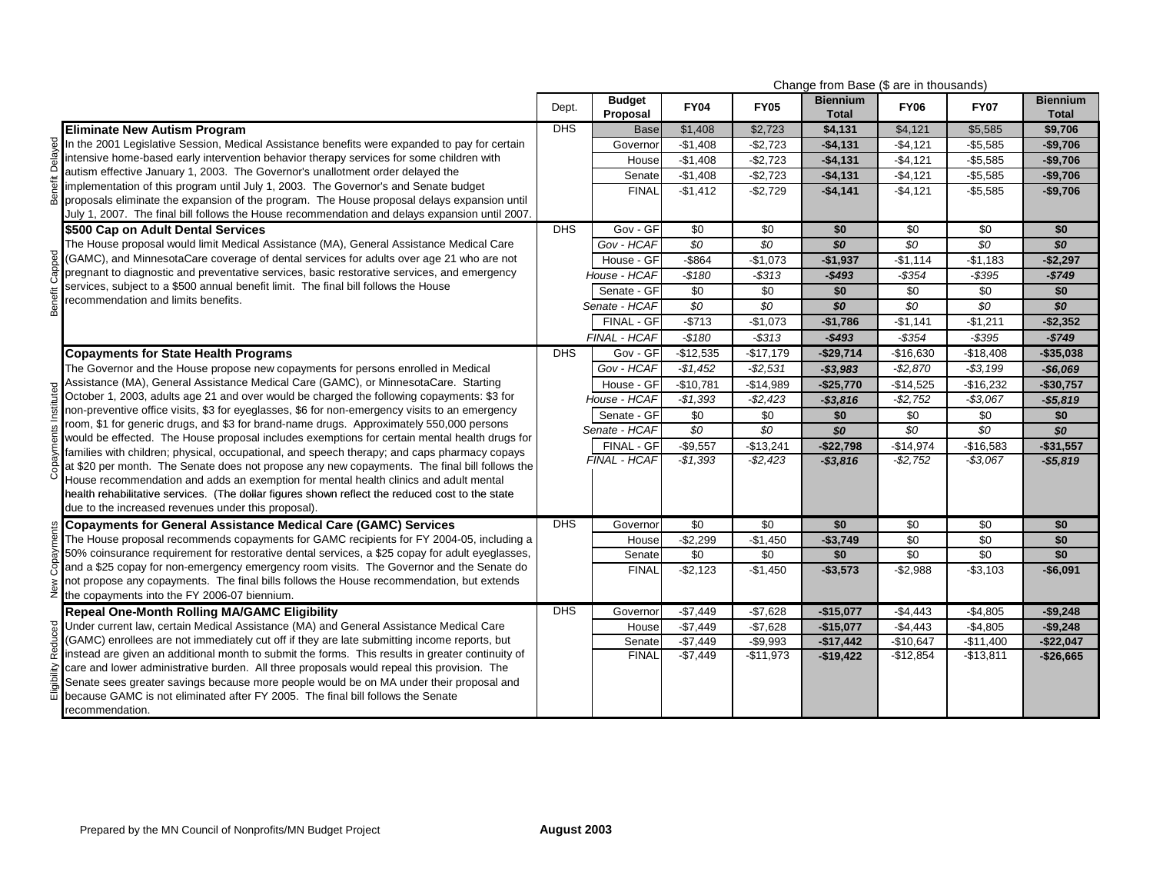|             |                                                                                                                                                                                            | Change from Base (\$ are in thousands) |                           |                        |                         |                                 |                          |                          |                                 |
|-------------|--------------------------------------------------------------------------------------------------------------------------------------------------------------------------------------------|----------------------------------------|---------------------------|------------------------|-------------------------|---------------------------------|--------------------------|--------------------------|---------------------------------|
|             |                                                                                                                                                                                            | Dept.                                  | <b>Budget</b><br>Proposal | <b>FY04</b>            | <b>FY05</b>             | <b>Biennium</b><br><b>Total</b> | <b>FY06</b>              | <b>FY07</b>              | <b>Biennium</b><br><b>Total</b> |
|             | <b>Eliminate New Autism Program</b>                                                                                                                                                        | <b>DHS</b>                             | <b>Base</b>               | \$1,408                | \$2,723                 | \$4,131                         | \$4,121                  | \$5,585                  | \$9,706                         |
| Delayed     | In the 2001 Legislative Session, Medical Assistance benefits were expanded to pay for certain                                                                                              |                                        | Governor                  | $-$1,408$              | $-$2,723$               | $-$4,131$                       | $-$4,121$                | $-$5,585$                | $-$9,706$                       |
|             | intensive home-based early intervention behavior therapy services for some children with                                                                                                   |                                        | House                     | $-$1,408$              | $-$2,723$               | $-$4,131$                       | $-$4,121$                | $-$5,585$                | $-$9,706$                       |
|             | autism effective January 1, 2003. The Governor's unallotment order delayed the                                                                                                             |                                        | Senate                    | $-$1,408$              | $-$2,723$               | $-$4,131$                       | $-$4,121$                | $-$5,585$                | $-$9,706$                       |
| jefit       | implementation of this program until July 1, 2003. The Governor's and Senate budget                                                                                                        |                                        | <b>FINAL</b>              | $-$1,412$              | $-$2,729$               | $-$4,141$                       | $-$4,121$                | $-$5,585$                | $-$9,706$                       |
| සි          | proposals eliminate the expansion of the program. The House proposal delays expansion until                                                                                                |                                        |                           |                        |                         |                                 |                          |                          |                                 |
|             | July 1, 2007. The final bill follows the House recommendation and delays expansion until 2007.                                                                                             | <b>DHS</b>                             |                           |                        |                         |                                 |                          |                          |                                 |
|             | \$500 Cap on Adult Dental Services<br>The House proposal would limit Medical Assistance (MA), General Assistance Medical Care                                                              |                                        | Gov - GF<br>Gov - HCAF    | \$0<br>\$0             | \$0<br>\$0              | \$0<br>SO                       | \$0<br>\$0               | \$0<br>\$0               | \$0<br>SO                       |
|             | (GAMC), and MinnesotaCare coverage of dental services for adults over age 21 who are not                                                                                                   |                                        |                           |                        |                         |                                 |                          |                          |                                 |
| hanne.      | pregnant to diagnostic and preventative services, basic restorative services, and emergency                                                                                                |                                        | House - GF                | $-$864$                | $-$1,073$               | $-$1,937$                       | $-$1,114$                | $-$1,183$                | $-$2.297$                       |
|             | services, subject to a \$500 annual benefit limit. The final bill follows the House                                                                                                        |                                        | House - HCAF              | $-$180$                | $-$ \$313               | $-$493$                         | $-$ \$354                | $-$ \$395                | $-$749$                         |
| Benefit     | recommendation and limits benefits.                                                                                                                                                        |                                        | Senate - GF               | \$0                    | \$0                     | \$0                             | \$0                      | \$0                      | \$0                             |
|             |                                                                                                                                                                                            |                                        | Senate - HCAF             | $\overline{50}$        | $\overline{50}$         | SO                              | $\overline{50}$          | $\overline{50}$          | \$0                             |
|             |                                                                                                                                                                                            |                                        | FINAL - GF                | $-$713$                | $-$1,073$               | $-$1,786$                       | $-$1,141$                | $-$1,211$                | $-$2,352$                       |
|             |                                                                                                                                                                                            |                                        | FINAL - HCAF              | $-$180$                | $-$ \$313               | $-$493$                         | $-$ \$354                | $-$ \$395                | $-$749$                         |
|             | <b>Copayments for State Health Programs</b>                                                                                                                                                | <b>DHS</b>                             | Gov - GF                  | $-$12,535$             | $-$17,179$              | $-$29,714$                      | $-$16,630$               | $-$18,408$               | $-$35,038$                      |
|             | The Governor and the House propose new copayments for persons enrolled in Medical                                                                                                          |                                        | Gov - HCAF                | $-$1,452$              | $-$2,531$               | $-$3,983$                       | $-$2,870$                | $- $3,199$               | $-$6,069$                       |
| তু          | Assistance (MA), General Assistance Medical Care (GAMC), or MinnesotaCare. Starting                                                                                                        |                                        | House - GF                | $-$10,781$             | $-$14,989$              | $-$25,770$                      | $-$14,525$               | $-$16,232$               | $-$30,757$                      |
|             | October 1, 2003, adults age 21 and over would be charged the following copayments: \$3 for                                                                                                 |                                        | House - HCAF              | $-$1,393$              | $-$2,423$               | $- $3,816$                      | $-$2,752$                | $-$3,067$                | $-$5,819$                       |
|             | non-preventive office visits, \$3 for eyeglasses, \$6 for non-emergency visits to an emergency<br>room, \$1 for generic drugs, and \$3 for brand-name drugs. Approximately 550,000 persons |                                        | Senate - GF               | \$0                    | \$0                     | \$0                             | \$0                      | \$0                      | \$0                             |
|             | would be effected. The House proposal includes exemptions for certain mental health drugs for                                                                                              |                                        | Senate - HCAF             | $\overline{50}$        | $\overline{50}$         | \$0                             | \$0                      | $\overline{50}$          | SO                              |
|             | families with children; physical, occupational, and speech therapy; and caps pharmacy copays                                                                                               |                                        | FINAL - GF                | $-$9,557$              | $-$13,241$              | $-$22,798$                      | $-$14,974$               | $-$16,583$               | $-$ \$31,557                    |
|             | at \$20 per month. The Senate does not propose any new copayments. The final bill follows the                                                                                              |                                        | FINAL - HCAF              | $-$1,393$              | $-$2,423$               | $-$3,816$                       | $-$2,752$                | $-$3,067$                | $- $5,819$                      |
| co<br>C     | House recommendation and adds an exemption for mental health clinics and adult mental                                                                                                      |                                        |                           |                        |                         |                                 |                          |                          |                                 |
|             | health rehabilitative services. (The dollar figures shown reflect the reduced cost to the state                                                                                            |                                        |                           |                        |                         |                                 |                          |                          |                                 |
|             | due to the increased revenues under this proposal).                                                                                                                                        |                                        |                           |                        |                         |                                 |                          |                          |                                 |
|             | <b>Copayments for General Assistance Medical Care (GAMC) Services</b>                                                                                                                      | <b>DHS</b>                             | Governor                  | \$0                    | \$0                     | \$0                             | \$0                      | \$0                      | \$0                             |
| ments       | The House proposal recommends copayments for GAMC recipients for FY 2004-05, including a                                                                                                   |                                        | House                     | $-$2,299$              | $-$1,450$               | $-$3,749$                       | \$0                      | \$0                      | \$0                             |
|             | 50% coinsurance requirement for restorative dental services, a \$25 copay for adult eyeglasses,                                                                                            |                                        | Senate                    | \$0                    | \$0                     | \$0                             | $\overline{50}$          | $\sqrt{50}$              | \$0                             |
|             | and a \$25 copay for non-emergency emergency room visits. The Governor and the Senate do                                                                                                   |                                        | <b>FINAL</b>              | $-$2,123$              | $-$1,450$               | $- $3,573$                      | $-$2,988$                | $-$3,103$                | $-$6,091$                       |
| New         | not propose any copayments. The final bills follows the House recommendation, but extends                                                                                                  |                                        |                           |                        |                         |                                 |                          |                          |                                 |
|             | the copayments into the FY 2006-07 biennium.                                                                                                                                               |                                        |                           |                        |                         |                                 |                          |                          |                                 |
|             | <b>Repeal One-Month Rolling MA/GAMC Eligibility</b>                                                                                                                                        | <b>DHS</b>                             | Governor                  | $-$7,449$              | $-$7,628$               | $-$15,077$                      | $-$4,443$                | $-$4,805$                | $-$9,248$                       |
|             | B Under current law, certain Medical Assistance (MA) and General Assistance Medical Care<br>(GAMC) enrollees are not immediately cut off if they are late submitting income reports, but   |                                        | House                     | $-$7,449$              | $-$7,628$               | $-$15,077$                      | $-$4,443$                | $-$4,805$                | $-$9.248$                       |
| Reduc       | instead are given an additional month to submit the forms. This results in greater continuity of                                                                                           |                                        | Senate<br><b>FINAL</b>    | $-$7,449$<br>$-$7,449$ | $-$9,993$<br>$-$11,973$ | $-$17,442$                      | $-$10,647$<br>$-$12,854$ | $-$11,400$<br>$-$13,811$ | $-$22,047$                      |
|             | care and lower administrative burden. All three proposals would repeal this provision. The                                                                                                 |                                        |                           |                        |                         | $-$19,422$                      |                          |                          | $-$26,665$                      |
| Eligibility | Senate sees greater savings because more people would be on MA under their proposal and                                                                                                    |                                        |                           |                        |                         |                                 |                          |                          |                                 |
|             | because GAMC is not eliminated after FY 2005. The final bill follows the Senate                                                                                                            |                                        |                           |                        |                         |                                 |                          |                          |                                 |
|             | recommendation.                                                                                                                                                                            |                                        |                           |                        |                         |                                 |                          |                          |                                 |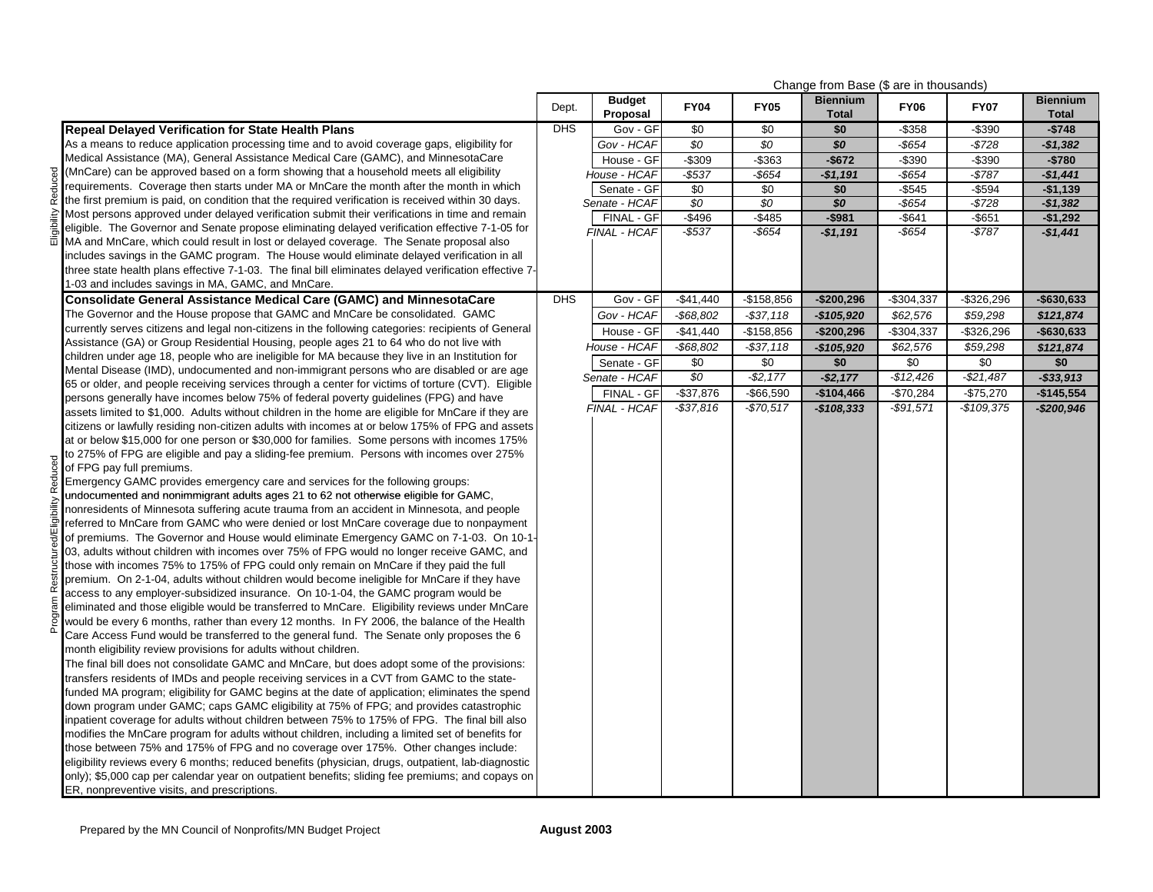|                                                                                                                                                                                             |            |                           |              |              | Change from Base (\$ are in thousands) |             |               |                                 |
|---------------------------------------------------------------------------------------------------------------------------------------------------------------------------------------------|------------|---------------------------|--------------|--------------|----------------------------------------|-------------|---------------|---------------------------------|
|                                                                                                                                                                                             | Dept.      | <b>Budget</b><br>Proposal | <b>FY04</b>  | <b>FY05</b>  | <b>Biennium</b><br><b>Total</b>        | <b>FY06</b> | <b>FY07</b>   | <b>Biennium</b><br><b>Total</b> |
| <b>Repeal Delayed Verification for State Health Plans</b>                                                                                                                                   | <b>DHS</b> | Gov - GF                  | \$0          | \$0          | \$0                                    | $-$ \$358   | $-$ \$390     | $-5748$                         |
| As a means to reduce application processing time and to avoid coverage gaps, eligibility for                                                                                                |            | Gov - HCAF                | \$0          | \$0          | \$0                                    | $-$ \$654   | $-$728$       | $-$1,382$                       |
| Medical Assistance (MA), General Assistance Medical Care (GAMC), and MinnesotaCare                                                                                                          |            | House - GF                | $-$309$      | $-$ \$363    | $-$672$                                | $-$ \$390   | $-$390$       | $-$780$                         |
| (MnCare) can be approved based on a form showing that a household meets all eligibility                                                                                                     |            | House - HCAF              | -\$537       | $-$ \$654    | $-$1,191$                              | $-$ \$654   | $-$787$       | $-$1,441$                       |
| requirements. Coverage then starts under MA or MnCare the month after the month in which                                                                                                    |            | Senate - GF               | \$0          | \$0          | \$0                                    | $-$ \$545   | $-$594$       | $-$1,139$                       |
| the first premium is paid, on condition that the required verification is received within 30 days.                                                                                          |            | Senate - HCAF             | \$0          | \$0          | \$0                                    | $-$ \$654   | $-$728$       | $-$1,382$                       |
| Most persons approved under delayed verification submit their verifications in time and remain                                                                                              |            | FINAL - GF                | $-$496$      | $-$ \$485    | $-$981$                                | $-$ \$641   | $-$ \$651     | $-$1,292$                       |
| eligible. The Governor and Senate propose eliminating delayed verification effective 7-1-05 for                                                                                             |            | FINAL - HCAF              | $-$537$      | $-$ \$654    | $-$1,191$                              | -\$654      | $-$787$       | $-$1,441$                       |
| MA and MnCare, which could result in lost or delayed coverage. The Senate proposal also                                                                                                     |            |                           |              |              |                                        |             |               |                                 |
| includes savings in the GAMC program. The House would eliminate delayed verification in all                                                                                                 |            |                           |              |              |                                        |             |               |                                 |
| three state health plans effective 7-1-03. The final bill eliminates delayed verification effective 7-                                                                                      |            |                           |              |              |                                        |             |               |                                 |
| 1-03 and includes savings in MA, GAMC, and MnCare.                                                                                                                                          |            |                           |              |              |                                        |             |               |                                 |
| Consolidate General Assistance Medical Care (GAMC) and MinnesotaCare                                                                                                                        | DHS        | Gov - GF                  | $-$41,440$   | $-$158,856$  | $-$200,296$                            | $-$304,337$ | $-$ \$326,296 | $-$ \$630,633                   |
| The Governor and the House propose that GAMC and MnCare be consolidated. GAMC                                                                                                               |            | Gov - HCAF                | $-$68,802$   | $-$ \$37,118 | $-$105,920$                            | \$62,576    | \$59,298      | \$121,874                       |
| currently serves citizens and legal non-citizens in the following categories: recipients of General                                                                                         |            | House - GF                | $-$41,440$   | $-$158,856$  | $-$200,296$                            | $-$304,337$ | $-$ \$326,296 | $-$630,633$                     |
| Assistance (GA) or Group Residential Housing, people ages 21 to 64 who do not live with                                                                                                     |            | House - HCAF              | $-$68,802$   | $- $37,118$  | $-$105,920$                            | \$62,576    | \$59,298      | \$121,874                       |
| children under age 18, people who are ineligible for MA because they live in an Institution for                                                                                             |            | Senate - GF               | \$0          | \$0          | \$0                                    | \$0         | \$0           | \$0                             |
| Mental Disease (IMD), undocumented and non-immigrant persons who are disabled or are age                                                                                                    |            | Senate - HCAF             | \$0          | $-$2,177$    | $-$2,177$                              | $-$12,426$  | $-$21,487$    | $-$33,913$                      |
| 65 or older, and people receiving services through a center for victims of torture (CVT). Eligible<br>persons generally have incomes below 75% of federal poverty guidelines (FPG) and have |            | FINAL - GF                | $-$37,876$   | $-$66,590$   | $-$104,466$                            | $-$70,284$  | $-$75,270$    | $-$145,554$                     |
| assets limited to \$1,000. Adults without children in the home are eligible for MnCare if they are                                                                                          |            | <b>FINAL - HCAF</b>       | $-$ \$37,816 | $-$70,517$   | $-$108,333$                            | $-$91,571$  | $-$109.375$   | $-$200,946$                     |
| citizens or lawfully residing non-citizen adults with incomes at or below 175% of FPG and assets                                                                                            |            |                           |              |              |                                        |             |               |                                 |
| at or below \$15,000 for one person or \$30,000 for families. Some persons with incomes 175%                                                                                                |            |                           |              |              |                                        |             |               |                                 |
| to 275% of FPG are eligible and pay a sliding-fee premium. Persons with incomes over 275%                                                                                                   |            |                           |              |              |                                        |             |               |                                 |
| of FPG pay full premiums.                                                                                                                                                                   |            |                           |              |              |                                        |             |               |                                 |
| Emergency GAMC provides emergency care and services for the following groups:                                                                                                               |            |                           |              |              |                                        |             |               |                                 |
| undocumented and nonimmigrant adults ages 21 to 62 not otherwise eligible for GAMC.                                                                                                         |            |                           |              |              |                                        |             |               |                                 |
| nonresidents of Minnesota suffering acute trauma from an accident in Minnesota, and people                                                                                                  |            |                           |              |              |                                        |             |               |                                 |
| referred to MnCare from GAMC who were denied or lost MnCare coverage due to nonpayment                                                                                                      |            |                           |              |              |                                        |             |               |                                 |
| of premiums. The Governor and House would eliminate Emergency GAMC on 7-1-03. On 10-1                                                                                                       |            |                           |              |              |                                        |             |               |                                 |
| 03, adults without children with incomes over 75% of FPG would no longer receive GAMC, and                                                                                                  |            |                           |              |              |                                        |             |               |                                 |
| those with incomes 75% to 175% of FPG could only remain on MnCare if they paid the full                                                                                                     |            |                           |              |              |                                        |             |               |                                 |
| premium. On 2-1-04, adults without children would become ineligible for MnCare if they have                                                                                                 |            |                           |              |              |                                        |             |               |                                 |
| access to any employer-subsidized insurance. On 10-1-04, the GAMC program would be                                                                                                          |            |                           |              |              |                                        |             |               |                                 |
| eliminated and those eligible would be transferred to MnCare. Eligibility reviews under MnCare                                                                                              |            |                           |              |              |                                        |             |               |                                 |
| would be every 6 months, rather than every 12 months. In FY 2006, the balance of the Health                                                                                                 |            |                           |              |              |                                        |             |               |                                 |
| Care Access Fund would be transferred to the general fund. The Senate only proposes the 6                                                                                                   |            |                           |              |              |                                        |             |               |                                 |
| month eligibility review provisions for adults without children.                                                                                                                            |            |                           |              |              |                                        |             |               |                                 |
| The final bill does not consolidate GAMC and MnCare, but does adopt some of the provisions:                                                                                                 |            |                           |              |              |                                        |             |               |                                 |
| transfers residents of IMDs and people receiving services in a CVT from GAMC to the state-                                                                                                  |            |                           |              |              |                                        |             |               |                                 |
| funded MA program; eligibility for GAMC begins at the date of application; eliminates the spend<br>down program under GAMC; caps GAMC eligibility at 75% of FPG; and provides catastrophic  |            |                           |              |              |                                        |             |               |                                 |
| inpatient coverage for adults without children between 75% to 175% of FPG. The final bill also                                                                                              |            |                           |              |              |                                        |             |               |                                 |
| modifies the MnCare program for adults without children, including a limited set of benefits for                                                                                            |            |                           |              |              |                                        |             |               |                                 |
| those between 75% and 175% of FPG and no coverage over 175%. Other changes include:                                                                                                         |            |                           |              |              |                                        |             |               |                                 |
| eligibility reviews every 6 months; reduced benefits (physician, drugs, outpatient, lab-diagnostic                                                                                          |            |                           |              |              |                                        |             |               |                                 |
| only); \$5,000 cap per calendar year on outpatient benefits; sliding fee premiums; and copays on                                                                                            |            |                           |              |              |                                        |             |               |                                 |
| ER, nonpreventive visits, and prescriptions.                                                                                                                                                |            |                           |              |              |                                        |             |               |                                 |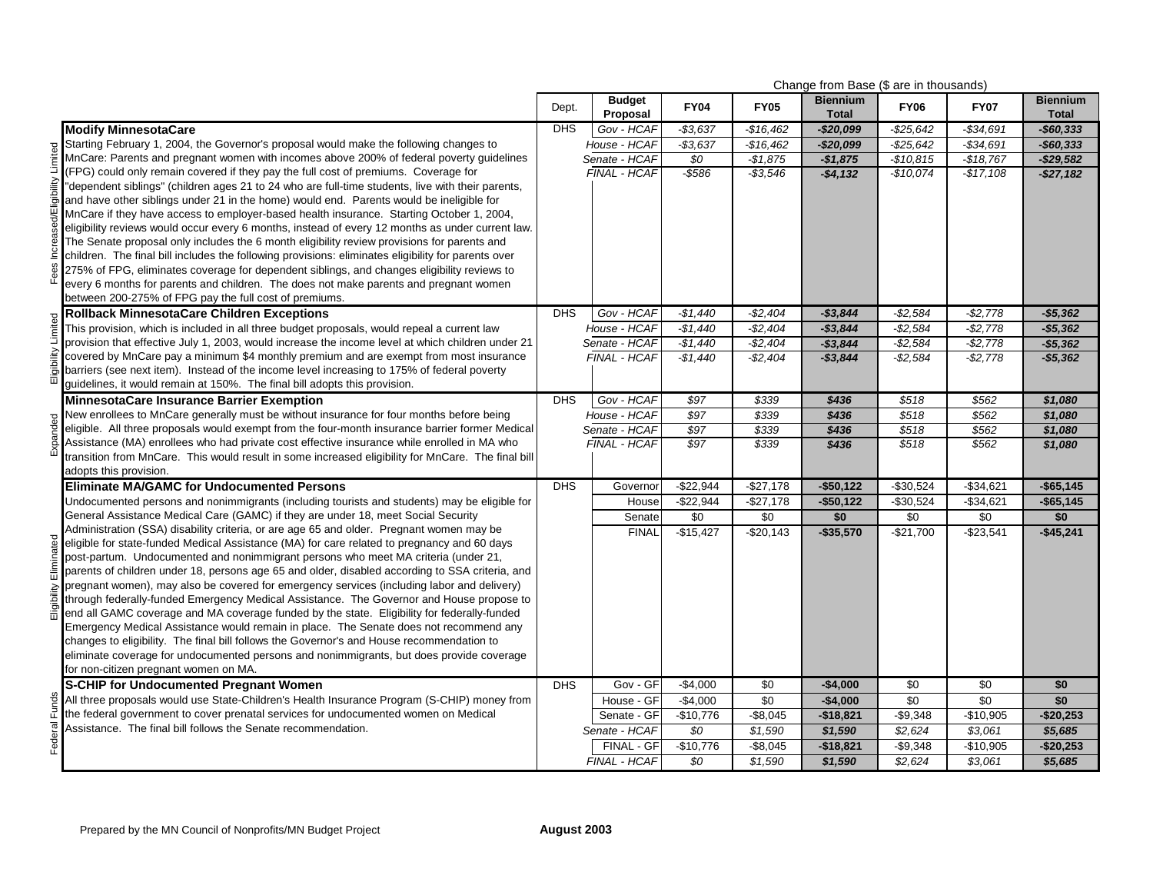| Change from Base (\$ are in thousands)                                                                                                                                                           |            |                           |                 |                 |                                 |              |             |                                 |
|--------------------------------------------------------------------------------------------------------------------------------------------------------------------------------------------------|------------|---------------------------|-----------------|-----------------|---------------------------------|--------------|-------------|---------------------------------|
|                                                                                                                                                                                                  | Dept.      | <b>Budget</b><br>Proposal | <b>FY04</b>     | <b>FY05</b>     | <b>Biennium</b><br><b>Total</b> | <b>FY06</b>  | <b>FY07</b> | <b>Biennium</b><br><b>Total</b> |
| <b>Modify MinnesotaCare</b>                                                                                                                                                                      | <b>DHS</b> | Gov - HCAF                | $-$3,637$       | $-$16,462$      | $-$20,099$                      | $-$ \$25,642 | -\$34,691   | $-$60,333$                      |
| Starting February 1, 2004, the Governor's proposal would make the following changes to                                                                                                           |            | House - HCAF              | $-$3,637$       | $-$16,462$      | $-$20,099$                      | $-$ \$25,642 | $-$34,691$  | $-$60,333$                      |
| MnCare: Parents and pregnant women with incomes above 200% of federal poverty quidelines                                                                                                         |            | Senate - HCAF             | \$0             | $-$1,875$       | $-$1,875$                       | $-$10,815$   | $-$18,767$  | $-$29.582$                      |
| (FPG) could only remain covered if they pay the full cost of premiums. Coverage for                                                                                                              |            | FINAL - HCAF              | $-$ \$586       | $-$ \$3,546     | $-$4,132$                       | $-$10,074$   | $-$17,108$  | $-$27,182$                      |
| "dependent siblings" (children ages 21 to 24 who are full-time students, live with their parents,                                                                                                |            |                           |                 |                 |                                 |              |             |                                 |
| and have other siblings under 21 in the home) would end. Parents would be ineligible for                                                                                                         |            |                           |                 |                 |                                 |              |             |                                 |
| MnCare if they have access to employer-based health insurance. Starting October 1, 2004,                                                                                                         |            |                           |                 |                 |                                 |              |             |                                 |
| eligibility reviews would occur every 6 months, instead of every 12 months as under current law.                                                                                                 |            |                           |                 |                 |                                 |              |             |                                 |
| The Senate proposal only includes the 6 month eligibility review provisions for parents and                                                                                                      |            |                           |                 |                 |                                 |              |             |                                 |
| children. The final bill includes the following provisions: eliminates eligibility for parents over                                                                                              |            |                           |                 |                 |                                 |              |             |                                 |
| 275% of FPG, eliminates coverage for dependent siblings, and changes eligibility reviews to                                                                                                      |            |                           |                 |                 |                                 |              |             |                                 |
| every 6 months for parents and children. The does not make parents and pregnant women                                                                                                            |            |                           |                 |                 |                                 |              |             |                                 |
| between 200-275% of FPG pay the full cost of premiums.                                                                                                                                           |            |                           |                 |                 |                                 |              |             |                                 |
| <b>Rollback MinnesotaCare Children Exceptions</b>                                                                                                                                                | <b>DHS</b> | Gov - HCAF                | $-$1,440$       | $-$2,404$       | $-$3,844$                       | $-$2,584$    | $-$ \$2,778 | $- $5,362$                      |
| This provision, which is included in all three budget proposals, would repeal a current law<br>provision that effective July 1, 2003, would increase the income level at which children under 21 |            | House - HCAF              | $-$1,440$       | $-$2,404$       | $-$3,844$                       | $-$2,584$    | $-$2,778$   | $-$5,362$                       |
|                                                                                                                                                                                                  |            | Senate - HCAF             | $-$1.440$       | $-$2,404$       | $-$3.844$                       | $-$ \$2.584  | $-$2,778$   | $-$5.362$                       |
| covered by MnCare pay a minimum \$4 monthly premium and are exempt from most insurance<br>barriers (see next item). Instead of the income level increasing to 175% of federal poverty            |            | FINAL - HCAF              | $-$1,440$       | $-$2,404$       | $-$3,844$                       | $-$ \$2,584  | $-$ \$2,778 | $-$5,362$                       |
| guidelines, it would remain at 150%. The final bill adopts this provision.                                                                                                                       |            |                           |                 |                 |                                 |              |             |                                 |
| MinnesotaCare Insurance Barrier Exemption                                                                                                                                                        | <b>DHS</b> | Gov - HCAF                | $\sqrt{$97}$    | \$339           | \$436                           | \$518        | \$562       | \$1,080                         |
| New enrollees to MnCare generally must be without insurance for four months before being                                                                                                         |            | House - HCAF              | \$97            | \$339           | \$436                           | \$518        | \$562       | \$1,080                         |
| eligible. All three proposals would exempt from the four-month insurance barrier former Medical                                                                                                  |            | Senate - HCAF             | $\sqrt{$97}$    | \$339           | \$436                           | \$518        | \$562       | \$1,080                         |
| Assistance (MA) enrollees who had private cost effective insurance while enrolled in MA who                                                                                                      |            | FINAL - HCAF              | \$97            | \$339           | \$436                           | \$518        | \$562       | \$1,080                         |
| transition from MnCare. This would result in some increased eligibility for MnCare. The final bill                                                                                               |            |                           |                 |                 |                                 |              |             |                                 |
| adopts this provision.                                                                                                                                                                           |            |                           |                 |                 |                                 |              |             |                                 |
| <b>Eliminate MA/GAMC for Undocumented Persons</b>                                                                                                                                                | <b>DHS</b> | Governor                  | $-$22,944$      | $-$27,178$      | $-$50,122$                      | $-$30,524$   | $-$34,621$  | $-$65,145$                      |
| Undocumented persons and nonimmigrants (including tourists and students) may be eligible for                                                                                                     |            | House                     | $-$ \$22,944    | $-$27,178$      | $-$50,122$                      | $-$30,524$   | $-$34,621$  | $-$65,145$                      |
| General Assistance Medical Care (GAMC) if they are under 18, meet Social Security                                                                                                                |            | Senate                    | \$0             | \$0             | \$0                             | \$0          | \$0         | \$0                             |
| Administration (SSA) disability criteria, or are age 65 and older. Pregnant women may be                                                                                                         |            | <b>FINAL</b>              | $-$15,427$      | $-$20,143$      | $-$35,570$                      | $-$21,700$   | $-$23,541$  | $-$45,241$                      |
| eligible for state-funded Medical Assistance (MA) for care related to pregnancy and 60 days                                                                                                      |            |                           |                 |                 |                                 |              |             |                                 |
| post-partum. Undocumented and nonimmigrant persons who meet MA criteria (under 21,                                                                                                               |            |                           |                 |                 |                                 |              |             |                                 |
| parents of children under 18, persons age 65 and older, disabled according to SSA criteria, and                                                                                                  |            |                           |                 |                 |                                 |              |             |                                 |
| pregnant women), may also be covered for emergency services (including labor and delivery)                                                                                                       |            |                           |                 |                 |                                 |              |             |                                 |
| through federally-funded Emergency Medical Assistance. The Governor and House propose to                                                                                                         |            |                           |                 |                 |                                 |              |             |                                 |
| end all GAMC coverage and MA coverage funded by the state. Eligibility for federally-funded                                                                                                      |            |                           |                 |                 |                                 |              |             |                                 |
| Emergency Medical Assistance would remain in place. The Senate does not recommend any                                                                                                            |            |                           |                 |                 |                                 |              |             |                                 |
| changes to eligibility. The final bill follows the Governor's and House recommendation to                                                                                                        |            |                           |                 |                 |                                 |              |             |                                 |
| eliminate coverage for undocumented persons and nonimmigrants, but does provide coverage                                                                                                         |            |                           |                 |                 |                                 |              |             |                                 |
| for non-citizen pregnant women on MA.<br><b>S-CHIP for Undocumented Pregnant Women</b>                                                                                                           | DHS        | Gov - GF                  | $-$4,000$       | $\overline{50}$ | $-$4,000$                       | \$0          | \$0         | \$0                             |
| All three proposals would use State-Children's Health Insurance Program (S-CHIP) money from                                                                                                      |            | House - GF                | $-$4,000$       | \$0             | $-$4,000$                       | \$0          | \$0         | \$0                             |
| the federal government to cover prenatal services for undocumented women on Medical                                                                                                              |            | Senate - GF               | $-$10,776$      | $-$8,045$       | $-$18,821$                      | $-$9,348$    | $-$10,905$  | $-$20,253$                      |
| Assistance. The final bill follows the Senate recommendation.                                                                                                                                    |            | Senate - HCAF             | $\overline{SO}$ | \$1,590         | \$1,590                         | \$2.624      | \$3,061     | \$5,685                         |
|                                                                                                                                                                                                  |            | FINAL - GF                | -\$10,776       | $-$8,045$       | $-$18,821$                      | $-$9,348$    | $-$10,905$  | $-$ \$20,253                    |
|                                                                                                                                                                                                  |            | FINAL - HCAF              | \$0             | \$1,590         | \$1,590                         | \$2,624      | \$3,061     | \$5,685                         |
|                                                                                                                                                                                                  |            |                           |                 |                 |                                 |              |             |                                 |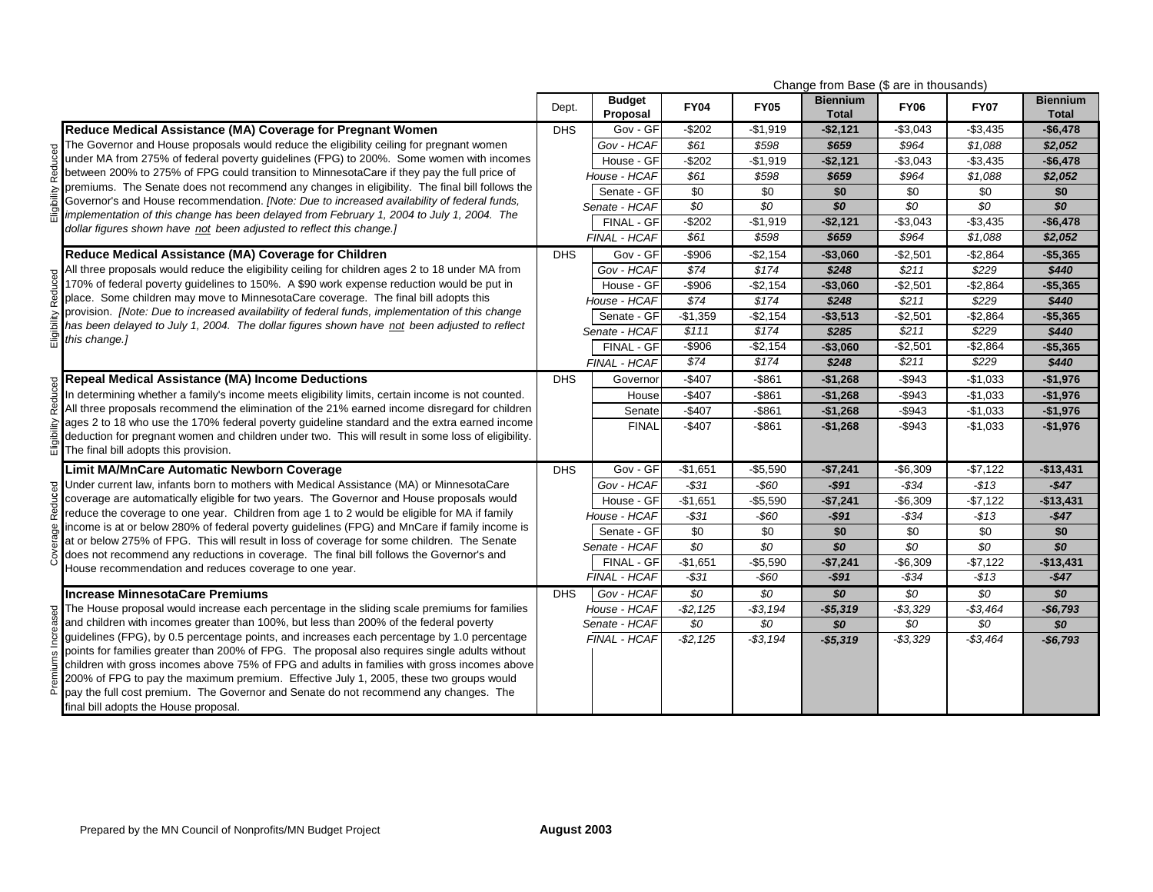|                                                                                                                                                                                                | Change from Base (\$ are in thousands) |                           |                 |             |                                 |                 |                 |                                 |
|------------------------------------------------------------------------------------------------------------------------------------------------------------------------------------------------|----------------------------------------|---------------------------|-----------------|-------------|---------------------------------|-----------------|-----------------|---------------------------------|
|                                                                                                                                                                                                | Dept.                                  | <b>Budget</b><br>Proposal | <b>FY04</b>     | <b>FY05</b> | <b>Biennium</b><br><b>Total</b> | <b>FY06</b>     | <b>FY07</b>     | <b>Biennium</b><br><b>Total</b> |
| Reduce Medical Assistance (MA) Coverage for Pregnant Women                                                                                                                                     | <b>DHS</b>                             | Gov - GF                  | $-$202$         | $-$1,919$   | $-$2,121$                       | $-$3,043$       | $-$3,435$       | $-$6,478$                       |
| The Governor and House proposals would reduce the eligibility ceiling for pregnant women                                                                                                       |                                        | Gov - HCAF                | \$61            | \$598       | \$659                           | \$964           | \$1,088         | \$2,052                         |
| under MA from 275% of federal poverty guidelines (FPG) to 200%. Some women with incomes                                                                                                        |                                        | House - GF                | $-$202$         | $-$1,919$   | $-$2,121$                       | $-$3,043$       | $-$3,435$       | $-$6,478$                       |
| between 200% to 275% of FPG could transition to MinnesotaCare if they pay the full price of                                                                                                    |                                        | House - HCAF              | \$61            | \$598       | \$659                           | \$964           | \$1,088         | \$2,052                         |
| premiums. The Senate does not recommend any changes in eligibility. The final bill follows the                                                                                                 |                                        | Senate - GF               | \$0             | \$0         | \$0                             | \$0             | \$0             | \$0                             |
| Governor's and House recommendation. [Note: Due to increased availability of federal funds,                                                                                                    |                                        | Senate - HCAF             | $\overline{50}$ | \$0         | \$0                             | $\overline{50}$ | $\overline{30}$ | \$0                             |
| implementation of this change has been delayed from February 1, 2004 to July 1, 2004. The<br>dollar figures shown have not been adjusted to reflect this change.]                              |                                        | FINAL - GF                | $-$202$         | $-$1,919$   | $-$2,121$                       | $-$3,043$       | $-$3,435$       | $-$6,478$                       |
|                                                                                                                                                                                                |                                        | FINAL - HCAF              | \$61            | \$598       | \$659                           | \$964           | \$1,088         | \$2,052                         |
| Reduce Medical Assistance (MA) Coverage for Children                                                                                                                                           | <b>DHS</b>                             | Gov - GF                  | $-$906$         | $-$2,154$   | $-$3,060$                       | $-$2,501$       | $-$2,864$       | $-$5,365$                       |
| All three proposals would reduce the eligibility ceiling for children ages 2 to 18 under MA from                                                                                               |                                        | Gov - HCAF                | \$74            | \$174       | \$248                           | \$211           | \$229           | \$440                           |
| 170% of federal poverty guidelines to 150%. A \$90 work expense reduction would be put in                                                                                                      |                                        | House - GF                | $-$ \$906       | $-$2,154$   | $-$3,060$                       | $-$2,501$       | $-$2,864$       | $-$5,365$                       |
| place. Some children may move to MinnesotaCare coverage. The final bill adopts this                                                                                                            |                                        | House - HCAF              | \$74            | \$174       | \$248                           | \$211           | \$229           | \$440                           |
| provision. [Note: Due to increased availability of federal funds, implementation of this change                                                                                                |                                        | Senate - GF               | $-$1,359$       | $-$2,154$   | $-$3,513$                       | $-$2,501$       | $-$2,864$       | $-$5,365$                       |
| has been delayed to July 1, 2004. The dollar figures shown have not been adjusted to reflect                                                                                                   |                                        | Senate - HCAF             | \$111           | \$174       | \$285                           | \$211           | \$229           | \$440                           |
| this change.]                                                                                                                                                                                  |                                        | FINAL - GF                | $-$906$         | $-$2,154$   | $-$3,060$                       | $-$ \$2,501     | $-$2,864$       | $-$5,365$                       |
|                                                                                                                                                                                                |                                        | FINAL - HCAF              | \$74            | \$174       | \$248                           | \$211           | \$229           | \$440                           |
| <b>Repeal Medical Assistance (MA) Income Deductions</b>                                                                                                                                        | <b>DHS</b>                             | Governor                  | $-$407$         | $-$ \$861   | $-$1,268$                       | $-$ \$943       | $-$1,033$       | $-$1,976$                       |
| In determining whether a family's income meets eligibility limits, certain income is not counted.                                                                                              |                                        | House                     | $-$407$         | $-$ \$861   | $-$1,268$                       | -\$943          | $-$1,033$       | $-$1,976$                       |
| All three proposals recommend the elimination of the 21% earned income disregard for children                                                                                                  |                                        | Senate                    | $-$407$         | $-$ \$861   | $-$1,268$                       | $-$ \$943       | $-$1,033$       | $-$1,976$                       |
| ages 2 to 18 who use the 170% federal poverty guideline standard and the extra earned income                                                                                                   |                                        | <b>FINAL</b>              | $-$407$         | $-$861$     | $-$1,268$                       | $-$ \$943       | $-$1,033$       | $-$1,976$                       |
| deduction for pregnant women and children under two. This will result in some loss of eligibility.                                                                                             |                                        |                           |                 |             |                                 |                 |                 |                                 |
| The final bill adopts this provision.                                                                                                                                                          |                                        |                           |                 |             |                                 |                 |                 |                                 |
| <b>Limit MA/MnCare Automatic Newborn Coverage</b>                                                                                                                                              | <b>DHS</b>                             | Gov - GF                  | $-$1,651$       | $-$5,590$   | $-$7,241$                       | $-$6,309$       | $-$7,122$       | $-$13,431$                      |
| Under current law, infants born to mothers with Medical Assistance (MA) or MinnesotaCare                                                                                                       |                                        | Gov - HCAF                | $-531$          | $-$60$      | $-$91$                          | $-$ \$34        | $-$13$          | $-$47$                          |
| coverage are automatically eligible for two years. The Governor and House proposals would                                                                                                      |                                        | House - GF                | $-$1,651$       | $-$5,590$   | $-$7,241$                       | $-$ \$6,309     | $-$7,122$       | $-$13,431$                      |
| reduce the coverage to one year. Children from age 1 to 2 would be eligible for MA if family                                                                                                   |                                        | House - HCAF              | $-531$          | $-$60$      | $-$91$                          | $-$ \$34        | $-$13$          | $-$47$                          |
| income is at or below 280% of federal poverty guidelines (FPG) and MnCare if family income is<br>at or below 275% of FPG. This will result in loss of coverage for some children. The Senate   |                                        | Senate - GF               | \$0             | \$0         | \$0                             | \$0             | \$0             | \$0                             |
| does not recommend any reductions in coverage. The final bill follows the Governor's and                                                                                                       |                                        | Senate - HCAF             | \$0             | \$0         | \$0                             | \$0             | \$0             | \$0                             |
| House recommendation and reduces coverage to one year.                                                                                                                                         |                                        | FINAL - GF                | $-$1,651$       | $-$5,590$   | $-$7,241$                       | $-$6,309$       | $-$7,122$       | $-$13,431$                      |
|                                                                                                                                                                                                |                                        | <b>FINAL - HCAF</b>       | $- $31$         | $-$60$      | $-$91$                          | -\$34           | -\$13           | $-$47$                          |
| <b>Increase MinnesotaCare Premiums</b>                                                                                                                                                         | <b>DHS</b>                             | Gov - HCAF                | \$0             | \$0         | \$0                             | \$0             | \$0             | \$0                             |
| The House proposal would increase each percentage in the sliding scale premiums for families                                                                                                   |                                        | House - HCAF              | $- $2,125$      | $- $3,194$  | $-$5,319$                       | $- $3,329$      | $- $3,464$      | $-$6,793$                       |
| and children with incomes greater than 100%, but less than 200% of the federal poverty                                                                                                         |                                        | Senate - HCAF             | \$0             | \$0         | $\overline{30}$                 | \$0             | \$0             | $\overline{30}$                 |
| quidelines (FPG), by 0.5 percentage points, and increases each percentage by 1.0 percentage                                                                                                    |                                        | FINAL - HCAF              | $-$ \$2,125     | $- $3,194$  | $-$5,319$                       | $- $3,329$      | $- $3,464$      | $-$6,793$                       |
| points for families greater than 200% of FPG. The proposal also requires single adults without<br>children with gross incomes above 75% of FPG and adults in families with gross incomes above |                                        |                           |                 |             |                                 |                 |                 |                                 |
| 200% of FPG to pay the maximum premium. Effective July 1, 2005, these two groups would                                                                                                         |                                        |                           |                 |             |                                 |                 |                 |                                 |
| pay the full cost premium. The Governor and Senate do not recommend any changes. The                                                                                                           |                                        |                           |                 |             |                                 |                 |                 |                                 |
| final bill adopts the House proposal.                                                                                                                                                          |                                        |                           |                 |             |                                 |                 |                 |                                 |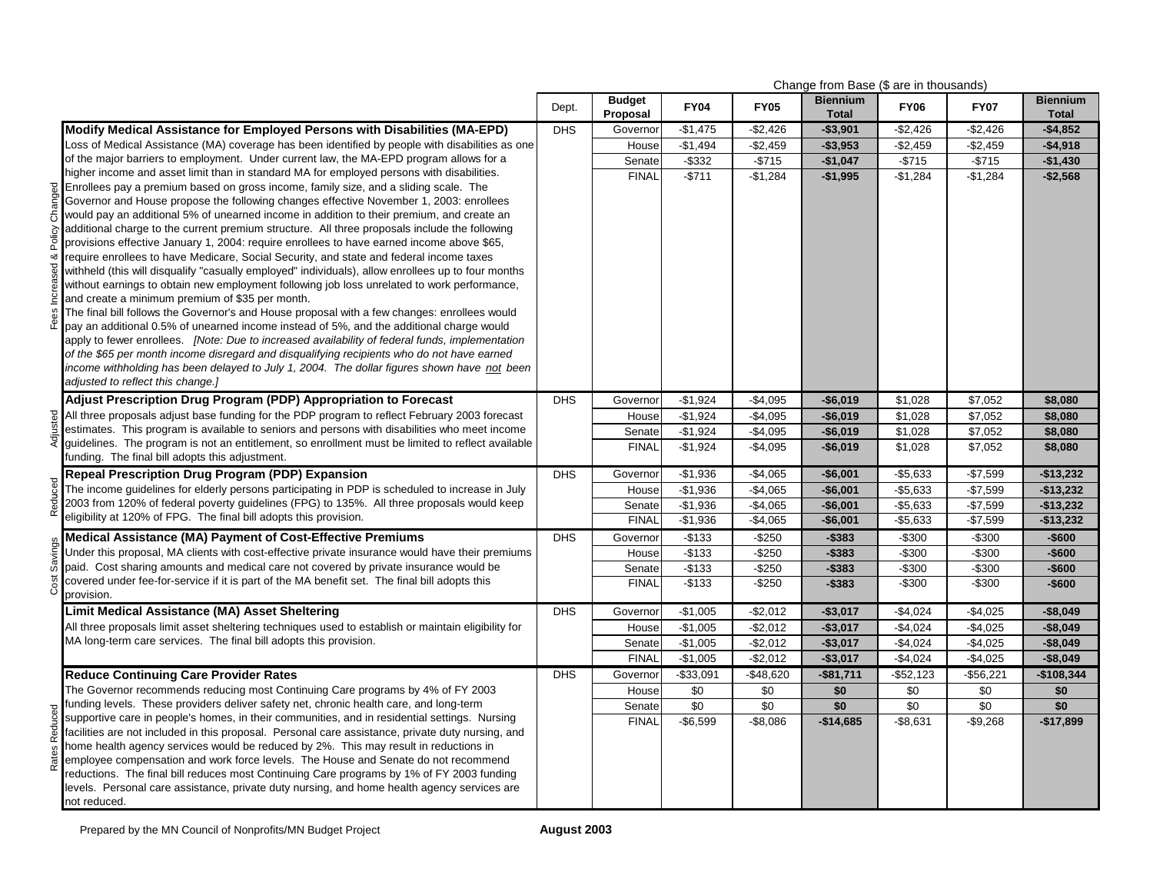|           |                                                                                                                                                                                                | Change from Base (\$ are in thousands) |                           |             |             |                                 |              |             |                                 |
|-----------|------------------------------------------------------------------------------------------------------------------------------------------------------------------------------------------------|----------------------------------------|---------------------------|-------------|-------------|---------------------------------|--------------|-------------|---------------------------------|
|           |                                                                                                                                                                                                | Dept.                                  | <b>Budget</b><br>Proposal | <b>FY04</b> | <b>FY05</b> | <b>Biennium</b><br><b>Total</b> | <b>FY06</b>  | <b>FY07</b> | <b>Biennium</b><br><b>Total</b> |
|           | Modify Medical Assistance for Employed Persons with Disabilities (MA-EPD)                                                                                                                      | <b>DHS</b>                             | Governor                  | $-$1,475$   | $-$2,426$   | $-$3,901$                       | $-$2,426$    | $-$2,426$   | -\$4,852                        |
|           | Loss of Medical Assistance (MA) coverage has been identified by people with disabilities as one                                                                                                |                                        | House                     | $-$1,494$   | $-$2,459$   | $-$3,953$                       | $-$2,459$    | $-$2,459$   | $-$4,918$                       |
|           | of the major barriers to employment. Under current law, the MA-EPD program allows for a                                                                                                        |                                        | Senate                    | $-$ \$332   | $-$715$     | $-$1,047$                       | $-$715$      | $-$715$     | $-$1,430$                       |
|           | higher income and asset limit than in standard MA for employed persons with disabilities.                                                                                                      |                                        | <b>FINAL</b>              | $-$ \$711   | $-$ \$1,284 | $-$1,995$                       | $-$1,284$    | $-$1,284$   | $-$2,568$                       |
| Changed   | Enrollees pay a premium based on gross income, family size, and a sliding scale. The                                                                                                           |                                        |                           |             |             |                                 |              |             |                                 |
|           | Governor and House propose the following changes effective November 1, 2003: enrollees                                                                                                         |                                        |                           |             |             |                                 |              |             |                                 |
|           | would pay an additional 5% of unearned income in addition to their premium, and create an<br>additional charge to the current premium structure. All three proposals include the following     |                                        |                           |             |             |                                 |              |             |                                 |
| Policy    | provisions effective January 1, 2004: require enrollees to have earned income above \$65,                                                                                                      |                                        |                           |             |             |                                 |              |             |                                 |
| య         | require enrollees to have Medicare, Social Security, and state and federal income taxes                                                                                                        |                                        |                           |             |             |                                 |              |             |                                 |
|           | withheld (this will disqualify "casually employed" individuals), allow enrollees up to four months                                                                                             |                                        |                           |             |             |                                 |              |             |                                 |
| Increased | without earnings to obtain new employment following job loss unrelated to work performance,                                                                                                    |                                        |                           |             |             |                                 |              |             |                                 |
|           | and create a minimum premium of \$35 per month.                                                                                                                                                |                                        |                           |             |             |                                 |              |             |                                 |
| Fees      | The final bill follows the Governor's and House proposal with a few changes: enrollees would                                                                                                   |                                        |                           |             |             |                                 |              |             |                                 |
|           | pay an additional 0.5% of unearned income instead of 5%, and the additional charge would                                                                                                       |                                        |                           |             |             |                                 |              |             |                                 |
|           | apply to fewer enrollees. [Note: Due to increased availability of federal funds, implementation                                                                                                |                                        |                           |             |             |                                 |              |             |                                 |
|           | of the \$65 per month income disregard and disqualifying recipients who do not have earned                                                                                                     |                                        |                           |             |             |                                 |              |             |                                 |
|           | income withholding has been delayed to July 1, 2004. The dollar figures shown have not been<br>adjusted to reflect this change.]                                                               |                                        |                           |             |             |                                 |              |             |                                 |
|           |                                                                                                                                                                                                |                                        |                           |             |             |                                 |              |             |                                 |
|           | Adjust Prescription Drug Program (PDP) Appropriation to Forecast                                                                                                                               | <b>DHS</b>                             | Governor                  | $-$1,924$   | $-$4,095$   | $-$6,019$                       | \$1,028      | \$7,052     | \$8,080                         |
| Adjusted  | All three proposals adjust base funding for the PDP program to reflect February 2003 forecast<br>estimates. This program is available to seniors and persons with disabilities who meet income |                                        | House                     | $-$1,924$   | $-$4,095$   | $-$6,019$                       | \$1,028      | \$7,052     | \$8,080                         |
|           | guidelines. The program is not an entitlement, so enrollment must be limited to reflect available                                                                                              |                                        | Senate                    | $-$1,924$   | $-$4,095$   | $-$6,019$                       | \$1,028      | \$7,052     | \$8,080                         |
|           | funding. The final bill adopts this adjustment.                                                                                                                                                |                                        | <b>FINAL</b>              | $-$1,924$   | $-$4,095$   | $-$6,019$                       | \$1,028      | \$7,052     | \$8,080                         |
|           | <b>Repeal Prescription Drug Program (PDP) Expansion</b>                                                                                                                                        | <b>DHS</b>                             | Governor                  | $-$1,936$   | $-$4,065$   | $-$6,001$                       | $-$5,633$    | $-$7,599$   | $-$13,232$                      |
|           | The income guidelines for elderly persons participating in PDP is scheduled to increase in July                                                                                                |                                        | House                     | $-$1,936$   | $-$4,065$   | $-$6,001$                       | $-$5,633$    | $-$7,599$   | $-$13,232$                      |
| Reduced   | 2003 from 120% of federal poverty guidelines (FPG) to 135%. All three proposals would keep                                                                                                     |                                        | Senate                    | $-$1,936$   | $-$4,065$   | $-$6,001$                       | $-$5,633$    | $-$7,599$   | $-$13,232$                      |
|           | eligibility at 120% of FPG. The final bill adopts this provision.                                                                                                                              |                                        | <b>FINAL</b>              | $-$1,936$   | $-$4,065$   | $-$6,001$                       | $-$5,633$    | $-$7,599$   | $-$13,232$                      |
|           | Medical Assistance (MA) Payment of Cost-Effective Premiums                                                                                                                                     | <b>DHS</b>                             | Governor                  | $-$133$     | $-$250$     | $-$383$                         | $-$300$      | $-$300$     | $-$600$                         |
| Savings   | Under this proposal, MA clients with cost-effective private insurance would have their premiums                                                                                                |                                        | House                     | $-$133$     | $-$ \$250   | $-$383$                         | $-$300$      | $-$300$     | $-$600$                         |
|           | paid. Cost sharing amounts and medical care not covered by private insurance would be                                                                                                          |                                        | Senate                    | $-$133$     | $-$ \$250   | $-$383$                         | $-$300$      | $-$300$     | $-$600$                         |
| Cost      | covered under fee-for-service if it is part of the MA benefit set. The final bill adopts this                                                                                                  |                                        | <b>FINAL</b>              | $-$133$     | $-$250$     | $-$383$                         | $-$300$      | $-$300$     | $-$600$                         |
|           | provision.                                                                                                                                                                                     |                                        |                           |             |             |                                 |              |             |                                 |
|           | Limit Medical Assistance (MA) Asset Sheltering                                                                                                                                                 | <b>DHS</b>                             | Governor                  | $-$1,005$   | $-$2,012$   | $-$3,017$                       | $-$4,024$    | $-$4,025$   | $-$ \$8,049                     |
|           | All three proposals limit asset sheltering techniques used to establish or maintain eligibility for                                                                                            |                                        | House                     | $-$1,005$   | $-$2,012$   | $-$3,017$                       | $-$4,024$    | $-$4,025$   | $-$8,049$                       |
|           | MA long-term care services. The final bill adopts this provision.                                                                                                                              |                                        | Senate                    | $-$1,005$   | $-$2,012$   | $-$3,017$                       | $-$4,024$    | $-$4,025$   | $-$8,049$                       |
|           |                                                                                                                                                                                                |                                        | <b>FINAL</b>              | $-$1,005$   | $-$2,012$   | $-$3,017$                       | $-$4,024$    | $-$4,025$   | $-$8,049$                       |
|           | <b>Reduce Continuing Care Provider Rates</b>                                                                                                                                                   | <b>DHS</b>                             | Governor                  | $-$33,091$  | $-$48,620$  | $-$81,711$                      | $-$ \$52,123 | -\$56,221   | $-$108,344$                     |
|           | The Governor recommends reducing most Continuing Care programs by 4% of FY 2003<br>funding levels. These providers deliver safety net, chronic health care, and long-term                      |                                        | House                     | \$0         | \$0         | \$0                             | \$0          | $\sqrt{60}$ | \$0                             |
| Reduced   | supportive care in people's homes, in their communities, and in residential settings. Nursing                                                                                                  |                                        | Senate                    | $\sqrt{6}$  | $\sqrt{6}$  | \$0                             | \$0          | \$0         | \$0                             |
|           | facilities are not included in this proposal. Personal care assistance, private duty nursing, and                                                                                              |                                        | <b>FINAL</b>              | $-$6,599$   | $-$8,086$   | $-$14,685$                      | $-$8,631$    | $-$9,268$   | $-$17,899$                      |
|           | home health agency services would be reduced by 2%. This may result in reductions in                                                                                                           |                                        |                           |             |             |                                 |              |             |                                 |
| Rates     | employee compensation and work force levels. The House and Senate do not recommend                                                                                                             |                                        |                           |             |             |                                 |              |             |                                 |
|           | reductions. The final bill reduces most Continuing Care programs by 1% of FY 2003 funding                                                                                                      |                                        |                           |             |             |                                 |              |             |                                 |
|           | levels. Personal care assistance, private duty nursing, and home health agency services are                                                                                                    |                                        |                           |             |             |                                 |              |             |                                 |
|           | not reduced.                                                                                                                                                                                   |                                        |                           |             |             |                                 |              |             |                                 |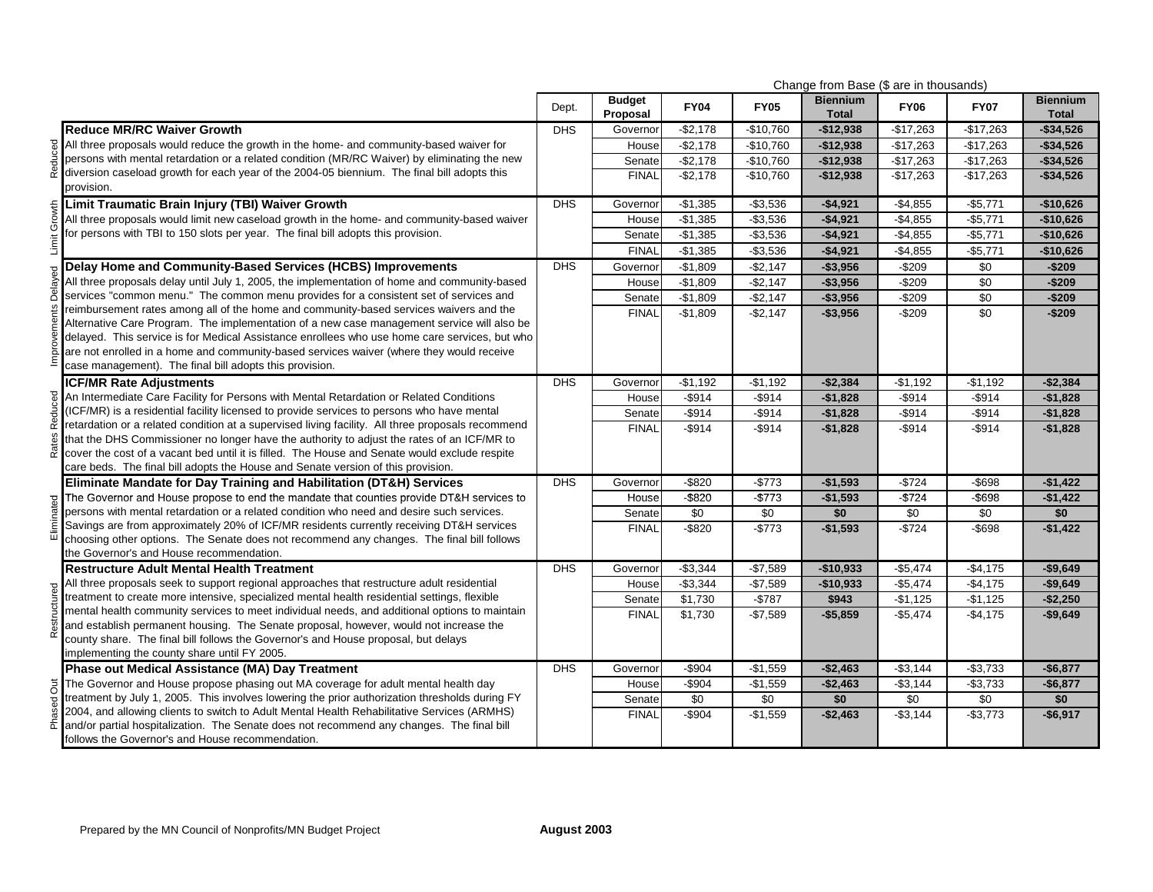|                                                                                                                                                                                                 |            |                           |             |             | Change from Base (\$ are in thousands) |             |             |                                 |
|-------------------------------------------------------------------------------------------------------------------------------------------------------------------------------------------------|------------|---------------------------|-------------|-------------|----------------------------------------|-------------|-------------|---------------------------------|
|                                                                                                                                                                                                 | Dept.      | <b>Budget</b><br>Proposal | <b>FY04</b> | <b>FY05</b> | <b>Biennium</b><br><b>Total</b>        | <b>FY06</b> | <b>FY07</b> | <b>Biennium</b><br><b>Total</b> |
| <b>Reduce MR/RC Waiver Growth</b>                                                                                                                                                               | <b>DHS</b> | Governor                  | $-$2,178$   | $-$10,760$  | $-$12,938$                             | $-$17,263$  | $-$17,263$  | $-$34,526$                      |
| All three proposals would reduce the growth in the home- and community-based waiver for                                                                                                         |            | House                     | $-$2,178$   | $-$10,760$  | $-$12,938$                             | $-$17,263$  | $-$17,263$  | $-$34,526$                      |
| persons with mental retardation or a related condition (MR/RC Waiver) by eliminating the new                                                                                                    |            | Senate                    | $-$2,178$   | $-$10,760$  | $-$12,938$                             | $-$17,263$  | $-$17,263$  | $-$ \$34,526                    |
| diversion caseload growth for each year of the 2004-05 biennium. The final bill adopts this                                                                                                     |            | <b>FINAL</b>              | $-$2,178$   | $-$10,760$  | $-$12,938$                             | $-$17,263$  | $-$17,263$  | $-$ \$34,526                    |
| provision.                                                                                                                                                                                      |            |                           |             |             |                                        |             |             |                                 |
| Limit Traumatic Brain Injury (TBI) Waiver Growth                                                                                                                                                | <b>DHS</b> | Governor                  | $-$1,385$   | $- $3,536$  | $-$4,921$                              | $-$4,855$   | $-$5,771$   | $-$10,626$                      |
| All three proposals would limit new caseload growth in the home- and community-based waiver                                                                                                     |            | House                     | $-$1,385$   | $-$3,536$   | $-$4,921$                              | $-$4,855$   | $-$5,771$   | $-$10,626$                      |
| for persons with TBI to 150 slots per year. The final bill adopts this provision.                                                                                                               |            | Senate                    | $-$1,385$   | $-$3,536$   | $-$4,921$                              | $-$4,855$   | $-$5,771$   | $-$10,626$                      |
|                                                                                                                                                                                                 |            | <b>FINAL</b>              | $-$1,385$   | $-$3,536$   | $-$4,921$                              | $-$4,855$   | $-$5,771$   | $-$10,626$                      |
| Delay Home and Community-Based Services (HCBS) Improvements                                                                                                                                     | <b>DHS</b> | Governor                  | $-$1,809$   | $-$2,147$   | $-$3,956$                              | $-$209$     | \$0         | $-$209$                         |
| All three proposals delay until July 1, 2005, the implementation of home and community-based                                                                                                    |            | House                     | $-$1,809$   | $-$2,147$   | $-$3,956$                              | $-$209$     | \$0         | $-$209$                         |
| services "common menu." The common menu provides for a consistent set of services and                                                                                                           |            | Senate                    | $-$1,809$   | $-$2,147$   | $-$3,956$                              | $-$209$     | \$0         | $-$209$                         |
| reimbursement rates among all of the home and community-based services waivers and the                                                                                                          |            | <b>FINAL</b>              | $-$1,809$   | $-$2,147$   | $-$3,956$                              | $-$209$     | \$0         | $-$209$                         |
| Alternative Care Program. The implementation of a new case management service will also be                                                                                                      |            |                           |             |             |                                        |             |             |                                 |
| delayed. This service is for Medical Assistance enrollees who use home care services, but who                                                                                                   |            |                           |             |             |                                        |             |             |                                 |
| are not enrolled in a home and community-based services waiver (where they would receive                                                                                                        |            |                           |             |             |                                        |             |             |                                 |
| case management). The final bill adopts this provision.                                                                                                                                         |            |                           |             |             |                                        |             |             |                                 |
| <b>ICF/MR Rate Adjustments</b>                                                                                                                                                                  | <b>DHS</b> | Governor                  | $-$1,192$   | $-$1,192$   | $-$2,384$                              | $-$1,192$   | $-$1,192$   | $-$2,384$                       |
| An Intermediate Care Facility for Persons with Mental Retardation or Related Conditions                                                                                                         |            | House                     | $-$ \$914   | $-$ \$914   | $-$1,828$                              | $-$ \$914   | $-$ \$914   | $-$1,828$                       |
| (ICF/MR) is a residential facility licensed to provide services to persons who have mental<br>retardation or a related condition at a supervised living facility. All three proposals recommend |            | Senate                    | $-$ \$914   | $-$ \$914   | $-$1,828$                              | $-$ \$914   | $-$914$     | $-$1,828$                       |
| that the DHS Commissioner no longer have the authority to adjust the rates of an ICF/MR to                                                                                                      |            | <b>FINAL</b>              | $-$ \$914   | $-$ \$914   | $-$1,828$                              | $-$ \$914   | $-$ \$914   | $-$1,828$                       |
| cover the cost of a vacant bed until it is filled. The House and Senate would exclude respite                                                                                                   |            |                           |             |             |                                        |             |             |                                 |
| care beds. The final bill adopts the House and Senate version of this provision.                                                                                                                |            |                           |             |             |                                        |             |             |                                 |
| Eliminate Mandate for Day Training and Habilitation (DT&H) Services                                                                                                                             | <b>DHS</b> | Governor                  | $-$ \$820   | $-$773$     | $-$1,593$                              | $-$724$     | $-$ \$698   | $-$1,422$                       |
| The Governor and House propose to end the mandate that counties provide DT&H services to                                                                                                        |            | House                     | $-$ \$820   | $-$773$     | $-$1,593$                              | $-5724$     | -\$698      | $-$1,422$                       |
| persons with mental retardation or a related condition who need and desire such services.                                                                                                       |            | Senate                    | \$0         | \$0         | \$0                                    | \$0         | \$0         | \$0                             |
| Savings are from approximately 20% of ICF/MR residents currently receiving DT&H services                                                                                                        |            | <b>FINAL</b>              | $-$ \$820   | $-$773$     | $-$1,593$                              | $-$724$     | $-$ \$698   | $-$1,422$                       |
| choosing other options. The Senate does not recommend any changes. The final bill follows                                                                                                       |            |                           |             |             |                                        |             |             |                                 |
| the Governor's and House recommendation.                                                                                                                                                        |            |                           |             |             |                                        |             |             |                                 |
| <b>Restructure Adult Mental Health Treatment</b>                                                                                                                                                | <b>DHS</b> | Governor                  | $-$3,344$   | $-$7,589$   | $-$10,933$                             | $-$5,474$   | $-$4,175$   | $-$9,649$                       |
| All three proposals seek to support regional approaches that restructure adult residential                                                                                                      |            | House                     | $-$3,344$   | $-$7,589$   | $-$10,933$                             | $-$5,474$   | $-$4,175$   | $-$9,649$                       |
| treatment to create more intensive, specialized mental health residential settings, flexible                                                                                                    |            | Senate                    | \$1,730     | $-$787$     | \$943                                  | $-$1,125$   | $-$1,125$   | $-$2,250$                       |
| mental health community services to meet individual needs, and additional options to maintain<br>and establish permanent housing. The Senate proposal, however, would not increase the          |            | <b>FINAL</b>              | \$1,730     | $-$7,589$   | $-$5,859$                              | $-$5,474$   | $-$4,175$   | $-$9,649$                       |
| county share. The final bill follows the Governor's and House proposal, but delays                                                                                                              |            |                           |             |             |                                        |             |             |                                 |
| implementing the county share until FY 2005.                                                                                                                                                    |            |                           |             |             |                                        |             |             |                                 |
| Phase out Medical Assistance (MA) Day Treatment                                                                                                                                                 | <b>DHS</b> | Governor                  | $-$904$     | $-$1,559$   | $-$2,463$                              | $-$3,144$   | $-$3,733$   | $-$6,877$                       |
| The Governor and House propose phasing out MA coverage for adult mental health day                                                                                                              |            | House                     | $-$904$     | $-$1,559$   | $-$2,463$                              | $-$3,144$   | $-$3,733$   | $-$6,877$                       |
| treatment by July 1, 2005. This involves lowering the prior authorization thresholds during FY                                                                                                  |            | Senate                    | \$0         | \$0         | \$0                                    | \$0         | \$0         | \$0                             |
| 2004, and allowing clients to switch to Adult Mental Health Rehabilitative Services (ARMHS)                                                                                                     |            | <b>FINAL</b>              | $-$904$     | $-$1,559$   | $-$2,463$                              | $-$3,144$   | $-$3,773$   | $-$6,917$                       |
| and/or partial hospitalization. The Senate does not recommend any changes. The final bill                                                                                                       |            |                           |             |             |                                        |             |             |                                 |
| follows the Governor's and House recommendation.                                                                                                                                                |            |                           |             |             |                                        |             |             |                                 |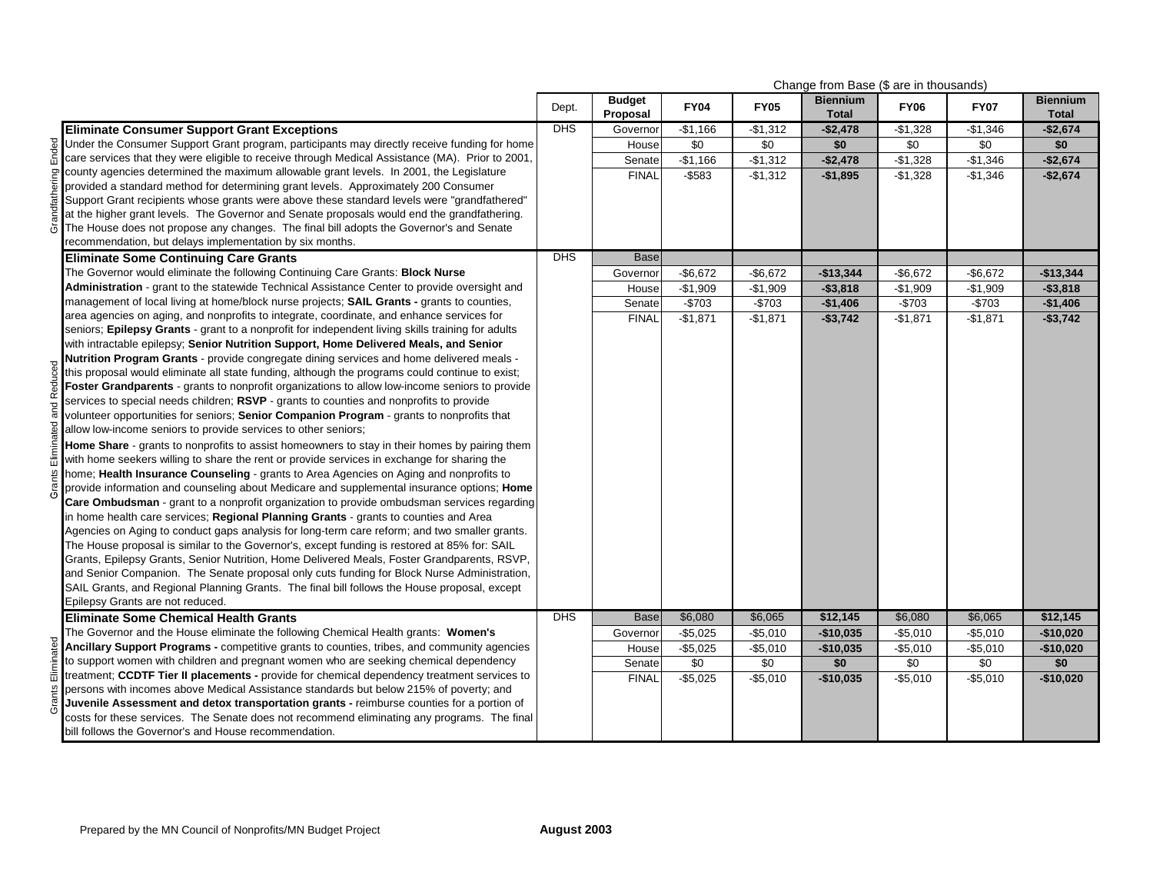|            |                                                                                                                                                                                     | Change from Base (\$ are in thousands) |                           |                 |                 |                                 |                 |                 |                                 |
|------------|-------------------------------------------------------------------------------------------------------------------------------------------------------------------------------------|----------------------------------------|---------------------------|-----------------|-----------------|---------------------------------|-----------------|-----------------|---------------------------------|
|            |                                                                                                                                                                                     | Dept.                                  | <b>Budget</b><br>Proposal | <b>FY04</b>     | <b>FY05</b>     | <b>Biennium</b><br><b>Total</b> | <b>FY06</b>     | <b>FY07</b>     | <b>Biennium</b><br><b>Total</b> |
|            | <b>Eliminate Consumer Support Grant Exceptions</b>                                                                                                                                  | <b>DHS</b>                             | Governor                  | $-$1,166$       | $-$1,312$       | $-$2,478$                       | $-$1,328$       | $-$1,346$       | $-$2,674$                       |
| Ended      | Under the Consumer Support Grant program, participants may directly receive funding for home                                                                                        |                                        | House                     | \$0             | $\sqrt{50}$     | \$0                             | \$0             | $\sqrt{6}$      | \$0                             |
|            | care services that they were eligible to receive through Medical Assistance (MA). Prior to 2001,                                                                                    |                                        | Senate                    | $-$1,166$       | $-$1,312$       | $-$2,478$                       | $-$1,328$       | $-$1,346$       | $-$2,674$                       |
|            | county agencies determined the maximum allowable grant levels. In 2001, the Legislature                                                                                             |                                        | <b>FINAL</b>              | $-$ \$583       | $-$1,312$       | $-$1,895$                       | $-$1,328$       | $-$1,346$       | $-$2,674$                       |
| puing      | provided a standard method for determining grant levels. Approximately 200 Consumer                                                                                                 |                                        |                           |                 |                 |                                 |                 |                 |                                 |
| ਜ਼         | Support Grant recipients whose grants were above these standard levels were "grandfathered"                                                                                         |                                        |                           |                 |                 |                                 |                 |                 |                                 |
| Grandf     | at the higher grant levels. The Governor and Senate proposals would end the grandfathering.                                                                                         |                                        |                           |                 |                 |                                 |                 |                 |                                 |
|            | The House does not propose any changes. The final bill adopts the Governor's and Senate                                                                                             |                                        |                           |                 |                 |                                 |                 |                 |                                 |
|            | recommendation, but delays implementation by six months.                                                                                                                            |                                        |                           |                 |                 |                                 |                 |                 |                                 |
|            | <b>Eliminate Some Continuing Care Grants</b>                                                                                                                                        | <b>DHS</b>                             | <b>Base</b>               |                 |                 |                                 |                 |                 |                                 |
|            | The Governor would eliminate the following Continuing Care Grants: Block Nurse                                                                                                      |                                        | Governor                  | $-$6,672$       | $-$6,672$       | $-$13,344$                      | $-$ \$6,672     | $-$6,672$       | $-$13,344$                      |
|            | Administration - grant to the statewide Technical Assistance Center to provide oversight and                                                                                        |                                        | House                     | $-$1,909$       | $-$1,909$       | $-$ \$3,818                     | $-$1,909$       | $-$1,909$       | $-$ \$3,818                     |
|            | management of local living at home/block nurse projects; SAIL Grants - grants to counties,                                                                                          |                                        | Senate                    | $-$703$         | $-$703$         | $-$1,406$                       | $-$703$         | $-$703$         | $-$1,406$                       |
|            | area agencies on aging, and nonprofits to integrate, coordinate, and enhance services for                                                                                           |                                        | <b>FINAL</b>              | $-$1,871$       | $-$1,871$       | $-$3,742$                       | $-$1,871$       | $-$1,871$       | $-$ \$3,742                     |
|            | seniors; Epilepsy Grants - grant to a nonprofit for independent living skills training for adults                                                                                   |                                        |                           |                 |                 |                                 |                 |                 |                                 |
|            | with intractable epilepsy; Senior Nutrition Support, Home Delivered Meals, and Senior                                                                                               |                                        |                           |                 |                 |                                 |                 |                 |                                 |
|            | Nutrition Program Grants - provide congregate dining services and home delivered meals -                                                                                            |                                        |                           |                 |                 |                                 |                 |                 |                                 |
|            | this proposal would eliminate all state funding, although the programs could continue to exist;                                                                                     |                                        |                           |                 |                 |                                 |                 |                 |                                 |
| Redi       | Foster Grandparents - grants to nonprofit organizations to allow low-income seniors to provide                                                                                      |                                        |                           |                 |                 |                                 |                 |                 |                                 |
|            | services to special needs children; RSVP - grants to counties and nonprofits to provide                                                                                             |                                        |                           |                 |                 |                                 |                 |                 |                                 |
|            | volunteer opportunities for seniors; Senior Companion Program - grants to nonprofits that                                                                                           |                                        |                           |                 |                 |                                 |                 |                 |                                 |
|            | allow low-income seniors to provide services to other seniors;                                                                                                                      |                                        |                           |                 |                 |                                 |                 |                 |                                 |
| Flimina    | Home Share - grants to nonprofits to assist homeowners to stay in their homes by pairing them                                                                                       |                                        |                           |                 |                 |                                 |                 |                 |                                 |
|            | with home seekers willing to share the rent or provide services in exchange for sharing the                                                                                         |                                        |                           |                 |                 |                                 |                 |                 |                                 |
| Grants     | home; Health Insurance Counseling - grants to Area Agencies on Aging and nonprofits to                                                                                              |                                        |                           |                 |                 |                                 |                 |                 |                                 |
|            | provide information and counseling about Medicare and supplemental insurance options; Home                                                                                          |                                        |                           |                 |                 |                                 |                 |                 |                                 |
|            | Care Ombudsman - grant to a nonprofit organization to provide ombudsman services regarding                                                                                          |                                        |                           |                 |                 |                                 |                 |                 |                                 |
|            | in home health care services; Regional Planning Grants - grants to counties and Area                                                                                                |                                        |                           |                 |                 |                                 |                 |                 |                                 |
|            | Agencies on Aging to conduct gaps analysis for long-term care reform; and two smaller grants.                                                                                       |                                        |                           |                 |                 |                                 |                 |                 |                                 |
|            | The House proposal is similar to the Governor's, except funding is restored at 85% for: SAIL                                                                                        |                                        |                           |                 |                 |                                 |                 |                 |                                 |
|            | Grants, Epilepsy Grants, Senior Nutrition, Home Delivered Meals, Foster Grandparents, RSVP,                                                                                         |                                        |                           |                 |                 |                                 |                 |                 |                                 |
|            | and Senior Companion. The Senate proposal only cuts funding for Block Nurse Administration,                                                                                         |                                        |                           |                 |                 |                                 |                 |                 |                                 |
|            | SAIL Grants, and Regional Planning Grants. The final bill follows the House proposal, except                                                                                        |                                        |                           |                 |                 |                                 |                 |                 |                                 |
|            | Epilepsy Grants are not reduced.                                                                                                                                                    |                                        |                           |                 |                 |                                 |                 |                 |                                 |
|            | <b>Eliminate Some Chemical Health Grants</b>                                                                                                                                        | <b>DHS</b>                             | <b>Base</b>               | \$6,080         | \$6,065         | \$12,145                        | \$6,080         | \$6,065         | \$12,145                        |
|            | The Governor and the House eliminate the following Chemical Health grants: Women's                                                                                                  |                                        | Governor                  | $-$5,025$       | $-$5,010$       | $-$10,035$                      | $-$5,010$       | $-$5,010$       | $-$10,020$                      |
| Eliminated | Ancillary Support Programs - competitive grants to counties, tribes, and community agencies                                                                                         |                                        | House                     | $-$5,025$       | $-$5,010$       | $-$10,035$                      | $-$5,010$       | $-$5,010$       | $-$10,020$                      |
|            | to support women with children and pregnant women who are seeking chemical dependency                                                                                               |                                        | Senate                    | $\overline{50}$ | $\overline{50}$ | \$0                             | $\overline{50}$ | $\overline{30}$ | \$0                             |
|            | treatment; CCDTF Tier II placements - provide for chemical dependency treatment services to                                                                                         |                                        | <b>FINAL</b>              | $-$5,025$       | $-$5,010$       | $-$10,035$                      | $-$5,010$       | $-$5,010$       | $-$10,020$                      |
| Grants     | persons with incomes above Medical Assistance standards but below 215% of poverty; and<br>Juvenile Assessment and detox transportation grants - reimburse counties for a portion of |                                        |                           |                 |                 |                                 |                 |                 |                                 |
|            | costs for these services. The Senate does not recommend eliminating any programs. The final                                                                                         |                                        |                           |                 |                 |                                 |                 |                 |                                 |
|            | bill follows the Governor's and House recommendation.                                                                                                                               |                                        |                           |                 |                 |                                 |                 |                 |                                 |
|            |                                                                                                                                                                                     |                                        |                           |                 |                 |                                 |                 |                 |                                 |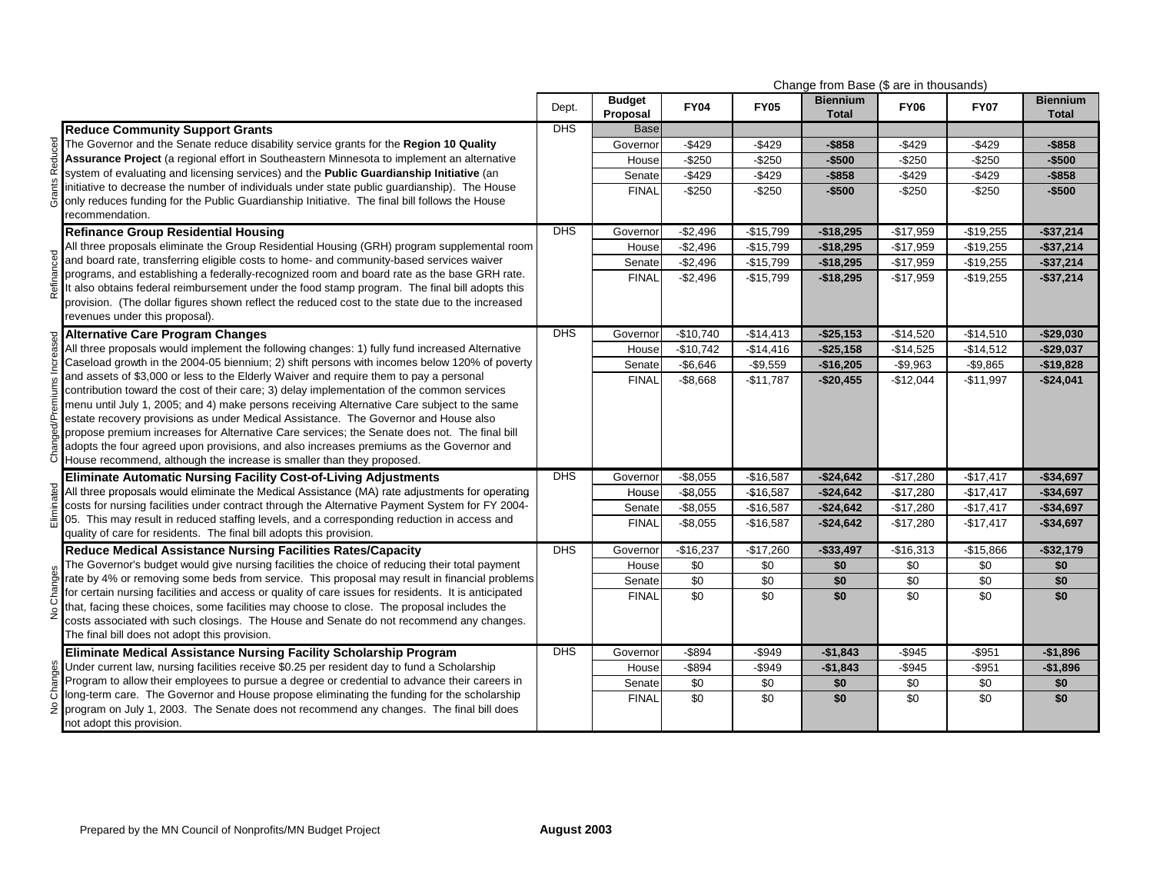|                                                                                                                                                                                                                                                                                                                                                                                                                                                                                                                                                                                                                                                |            | Change from Base (\$ are in thousands) |             |             |                                 |             |             |                                 |
|------------------------------------------------------------------------------------------------------------------------------------------------------------------------------------------------------------------------------------------------------------------------------------------------------------------------------------------------------------------------------------------------------------------------------------------------------------------------------------------------------------------------------------------------------------------------------------------------------------------------------------------------|------------|----------------------------------------|-------------|-------------|---------------------------------|-------------|-------------|---------------------------------|
|                                                                                                                                                                                                                                                                                                                                                                                                                                                                                                                                                                                                                                                | Dept.      | <b>Budget</b><br>Proposal              | <b>FY04</b> | <b>FY05</b> | <b>Biennium</b><br><b>Total</b> | <b>FY06</b> | <b>FY07</b> | <b>Biennium</b><br><b>Total</b> |
| <b>Reduce Community Support Grants</b>                                                                                                                                                                                                                                                                                                                                                                                                                                                                                                                                                                                                         | <b>DHS</b> | <b>Base</b>                            |             |             |                                 |             |             |                                 |
| The Governor and the Senate reduce disability service grants for the Region 10 Quality                                                                                                                                                                                                                                                                                                                                                                                                                                                                                                                                                         |            | Governor                               | $-$429$     | $-$429$     | $-$ \$858                       | $-$429$     | $-$429$     | $-$ \$858                       |
| Assurance Project (a regional effort in Southeastern Minnesota to implement an alternative                                                                                                                                                                                                                                                                                                                                                                                                                                                                                                                                                     |            | House                                  | $-$250$     | $-$250$     | $-$500$                         | $-$250$     | $-$250$     | $-$500$                         |
| system of evaluating and licensing services) and the Public Guardianship Initiative (an                                                                                                                                                                                                                                                                                                                                                                                                                                                                                                                                                        |            | Senate                                 | $-$429$     | $-$429$     | -\$858                          | $-$429$     | $-$429$     | $-$ \$858                       |
| initiative to decrease the number of individuals under state public quardianship). The House<br>only reduces funding for the Public Guardianship Initiative. The final bill follows the House<br>recommendation.                                                                                                                                                                                                                                                                                                                                                                                                                               |            | <b>FINAL</b>                           | $-$250$     | $-$250$     | $-$500$                         | $-$250$     | $-$250$     | $-$500$                         |
| <b>Refinance Group Residential Housing</b>                                                                                                                                                                                                                                                                                                                                                                                                                                                                                                                                                                                                     | DHS        | Governor                               | $-$2,496$   | $-$15,799$  | $-$18,295$                      | $-$17,959$  | $-$19,255$  | $-$37,214$                      |
| All three proposals eliminate the Group Residential Housing (GRH) program supplemental room                                                                                                                                                                                                                                                                                                                                                                                                                                                                                                                                                    |            | House                                  | $-$2,496$   | $-$15,799$  | $-$18,295$                      | $-$17,959$  | $-$19,255$  | $-$37,214$                      |
| and board rate, transferring eligible costs to home- and community-based services waiver                                                                                                                                                                                                                                                                                                                                                                                                                                                                                                                                                       |            | Senate                                 | $-$2,496$   | $-$15,799$  | $-$18,295$                      | $-$17,959$  | $-$19,255$  | $-$37,214$                      |
| programs, and establishing a federally-recognized room and board rate as the base GRH rate.<br>It also obtains federal reimbursement under the food stamp program. The final bill adopts this<br>provision. (The dollar figures shown reflect the reduced cost to the state due to the increased<br>revenues under this proposal).                                                                                                                                                                                                                                                                                                             |            | <b>FINAL</b>                           | $-$2,496$   | $-$15,799$  | $-$18,295$                      | $-$17,959$  | $-$19,255$  | $-$37,214$                      |
| <b>Alternative Care Program Changes</b>                                                                                                                                                                                                                                                                                                                                                                                                                                                                                                                                                                                                        | <b>DHS</b> | Governor                               | $-$10,740$  | $-$14,413$  | $-$25,153$                      | $-$14,520$  | $-$14,510$  | $-$29,030$                      |
| All three proposals would implement the following changes: 1) fully fund increased Alternative                                                                                                                                                                                                                                                                                                                                                                                                                                                                                                                                                 |            | House                                  | $-$10,742$  | $-$14,416$  | $-$25,158$                      | $-$14,525$  | $-$14,512$  | $-$29,037$                      |
| Caseload growth in the 2004-05 biennium; 2) shift persons with incomes below 120% of poverty                                                                                                                                                                                                                                                                                                                                                                                                                                                                                                                                                   |            | Senate                                 | $-$6,646$   | $-$9,559$   | $-$16,205$                      | $-$9,963$   | $-$9,865$   | $-$19,828$                      |
| and assets of \$3,000 or less to the Elderly Waiver and require them to pay a personal<br>contribution toward the cost of their care; 3) delay implementation of the common services<br>menu until July 1, 2005; and 4) make persons receiving Alternative Care subject to the same<br>estate recovery provisions as under Medical Assistance. The Governor and House also<br>propose premium increases for Alternative Care services; the Senate does not. The final bill<br>adopts the four agreed upon provisions, and also increases premiums as the Governor and<br>House recommend, although the increase is smaller than they proposed. |            | <b>FINAL</b>                           | $-$ \$8,668 | $-$11,787$  | $-$20,455$                      | $-$12,044$  | $-$11,997$  | $-$24,041$                      |
| <b>Eliminate Automatic Nursing Facility Cost-of-Living Adjustments</b>                                                                                                                                                                                                                                                                                                                                                                                                                                                                                                                                                                         | <b>DHS</b> | Governor                               | $-$8,055$   | $-$16,587$  | $-$24,642$                      | $-$17,280$  | $-$17,417$  | $-$34,697$                      |
| All three proposals would eliminate the Medical Assistance (MA) rate adjustments for operating                                                                                                                                                                                                                                                                                                                                                                                                                                                                                                                                                 |            | House                                  | $-$8,055$   | $-$16,587$  | $-$24,642$                      | $-$17,280$  | $-$17,417$  | $-$34,697$                      |
| costs for nursing facilities under contract through the Alternative Payment System for FY 2004-                                                                                                                                                                                                                                                                                                                                                                                                                                                                                                                                                |            | Senate                                 | $-$8,055$   | $-$16,587$  | $-$24,642$                      | $-$17,280$  | $-$17,417$  | $-$34,697$                      |
| 05. This may result in reduced staffing levels, and a corresponding reduction in access and<br>quality of care for residents. The final bill adopts this provision.                                                                                                                                                                                                                                                                                                                                                                                                                                                                            |            | <b>FINAL</b>                           | $-$8,055$   | $-$16,587$  | $-$24,642$                      | $-$17,280$  | $-$17,417$  | $-$34,697$                      |
| Reduce Medical Assistance Nursing Facilities Rates/Capacity                                                                                                                                                                                                                                                                                                                                                                                                                                                                                                                                                                                    | DHS        | Governor                               | $-$16,237$  | $-$17,260$  | $-$33,497$                      | $-$16,313$  | $-$15,866$  | $- $32,179$                     |
| The Governor's budget would give nursing facilities the choice of reducing their total payment                                                                                                                                                                                                                                                                                                                                                                                                                                                                                                                                                 |            | House                                  | \$0         | \$0         | \$0                             | \$0         | \$0         | \$0                             |
| rate by 4% or removing some beds from service. This proposal may result in financial problems                                                                                                                                                                                                                                                                                                                                                                                                                                                                                                                                                  |            | Senate                                 | \$0         | \$0         | \$0                             | $\sqrt{6}$  | \$0         | \$0                             |
| for certain nursing facilities and access or quality of care issues for residents. It is anticipated<br>that, facing these choices, some facilities may choose to close. The proposal includes the<br>costs associated with such closings. The House and Senate do not recommend any changes.<br>The final bill does not adopt this provision.                                                                                                                                                                                                                                                                                                 |            | <b>FINAL</b>                           | \$0         | \$0         | \$0                             | \$0         | \$0         | \$0                             |
| Eliminate Medical Assistance Nursing Facility Scholarship Program                                                                                                                                                                                                                                                                                                                                                                                                                                                                                                                                                                              | <b>DHS</b> | Governor                               | $-$ \$894   | $-$949$     | $-$1,843$                       | $-$945$     | $-$951$     | $-$1,896$                       |
| Under current law, nursing facilities receive \$0.25 per resident day to fund a Scholarship                                                                                                                                                                                                                                                                                                                                                                                                                                                                                                                                                    |            | House                                  | $-$ \$894   | $-$949$     | $-$1,843$                       | $-$ \$945   | $-$ \$951   | $-$1,896$                       |
| Program to allow their employees to pursue a degree or credential to advance their careers in                                                                                                                                                                                                                                                                                                                                                                                                                                                                                                                                                  |            | Senate                                 | \$0         | \$0         | \$0                             | \$0         | \$0         | \$0                             |
| long-term care. The Governor and House propose eliminating the funding for the scholarship<br>program on July 1, 2003. The Senate does not recommend any changes. The final bill does<br>not adopt this provision.                                                                                                                                                                                                                                                                                                                                                                                                                             |            | <b>FINAL</b>                           | \$0         | \$0         | \$0                             | \$0         | \$0         | \$0                             |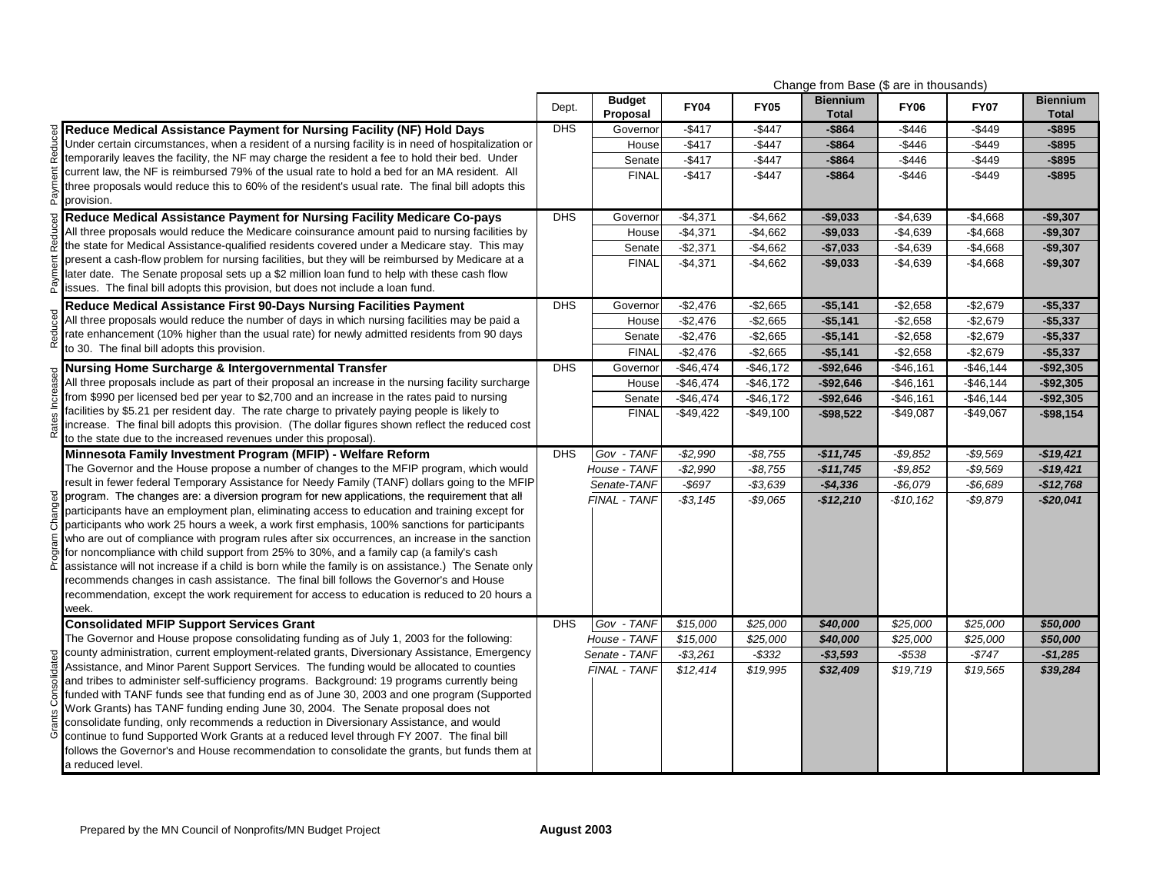| <b>Biennium</b><br><b>Budget</b><br><b>Biennium</b><br><b>FY04</b><br><b>FY06</b><br><b>FY07</b><br><b>FY05</b><br>Dept.<br>Proposal<br><b>Total</b><br><b>Total</b><br>Reduce Medical Assistance Payment for Nursing Facility (NF) Hold Days<br><b>DHS</b><br>$-$417$<br>$-$446$<br>$-$449$<br>Governor<br>$-$447$<br>$-$864$<br>$-$ \$895<br>Under certain circumstances, when a resident of a nursing facility is in need of hospitalization or<br>$-$417$<br>$-$446$<br>$-$447$<br>$-$864$<br>$-$449$<br>$-$ \$895<br>House<br>temporarily leaves the facility, the NF may charge the resident a fee to hold their bed. Under<br>$-$417$<br>$-$447$<br>$-$ \$864<br>$-$446$<br>$-$449$<br>$-$895$<br>Senate<br>current law, the NF is reimbursed 79% of the usual rate to hold a bed for an MA resident. All<br>$-$417$<br>$-$447$<br><b>FINAL</b><br>$-$864$<br>$-$446$<br>$-$449$<br>$-$ \$895<br>three proposals would reduce this to 60% of the resident's usual rate. The final bill adopts this<br>provision.<br><b>DHS</b><br>Reduce Medical Assistance Payment for Nursing Facility Medicare Co-pays<br>$-$4,371$<br>$-$4,662$<br>$-$9,033$<br>$-$4,639$<br>$-$4,668$<br>$-$9,307$<br>Governor<br>All three proposals would reduce the Medicare coinsurance amount paid to nursing facilities by<br>$-$4,371$<br>$-$4,662$<br>$-$9,033$<br>$-$4,639$<br>$-$4,668$<br>$-$9,307$<br>House<br>the state for Medical Assistance-qualified residents covered under a Medicare stay. This may<br>$-$2,371$<br>$-$4,662$<br>$-$7,033$<br>$-$4,639$<br>$-$4,668$<br>Senate<br>$-$9,307$<br>present a cash-flow problem for nursing facilities, but they will be reimbursed by Medicare at a<br><b>FINAL</b><br>$-$4,371$<br>$-$4,662$<br>$-$9,033$<br>$-$4,639$<br>$-$4,668$<br>$-$9,307$<br>later date. The Senate proposal sets up a \$2 million loan fund to help with these cash flow<br>issues. The final bill adopts this provision, but does not include a loan fund.<br><b>DHS</b><br>$-$2,476$<br>Reduce Medical Assistance First 90-Days Nursing Facilities Payment<br>Governor<br>$-$2,665$<br>$-$5,141$<br>$-$2,658$<br>$-$2,679$<br>$-$5,337$<br>All three proposals would reduce the number of days in which nursing facilities may be paid a<br>$-$2,476$<br>$-$2,658$<br>House<br>$-$2,665$<br>$-$5,141$<br>$-$2,679$<br>$-$5,337$<br>rate enhancement (10% higher than the usual rate) for newly admitted residents from 90 days<br>$-$2,476$<br>$-$2,665$<br>$-$5,141$<br>$-$2,658$<br>$-$2,679$<br>$-$5,337$<br>Senate<br>to 30. The final bill adopts this provision.<br><b>FINAL</b><br>$-$ \$2,476<br>$-$2,658$<br>$-$ \$2,665<br>$-$5,141$<br>$-$2,679$<br>$-$5,337$<br><b>DHS</b><br>$-$46,474$<br>$-$46,172$<br>$-$92,646$<br>$-$46,161$<br>$-$46,144$<br>$-$92,305$<br>Governor<br>Nursing Home Surcharge & Intergovernmental Transfer<br>All three proposals include as part of their proposal an increase in the nursing facility surcharge<br>$-$46,474$<br>$-$92,646$<br>$-$92,305$<br>House<br>$-$46,172$<br>$-$46,161$<br>$-$46,144$<br>from \$990 per licensed bed per year to \$2,700 and an increase in the rates paid to nursing<br>Senate<br>$-$46,474$<br>$-$ \$46,172<br>$-$92,646$<br>$-$46,161$<br>$-$46,144$<br>$-$92,305$<br>facilities by \$5.21 per resident day. The rate charge to privately paying people is likely to<br><b>FINAL</b><br>$-$49,422$<br>$-$49,100$<br>$-$98,522$<br>$-$49,087$<br>$-$49,067$<br>$-$98,154$<br>increase. The final bill adopts this provision. (The dollar figures shown reflect the reduced cost<br>to the state due to the increased revenues under this proposal).<br><b>DHS</b><br>$-$2,990$<br>$-$ \$9,852<br>$-$19,421$<br>Gov - TANF<br>$-$8,755$<br>$-$11,745$<br>$-$9,569$<br>Minnesota Family Investment Program (MFIP) - Welfare Reform<br>The Governor and the House propose a number of changes to the MFIP program, which would<br>House - TANF<br>$-$2,990$<br>$-$ \$8,755<br>$-$9,852$<br>$-$9,569$<br>$-$11,745$<br>$-$19,421$<br>result in fewer federal Temporary Assistance for Needy Family (TANF) dollars going to the MFIP<br>$-$ \$697<br>$-$6.079$<br>Senate-TANF<br>$-$3,639$<br>$-$6,689$<br>$-$4,336$<br>$-$12,768$<br>program. The changes are: a diversion program for new applications, the requirement that all<br>FINAL - TANF<br>$-$3,145$<br>$-$9,065$<br>$-$10,162$<br>$-$9,879$<br>$-$20,041$<br>$-$12,210$<br>participants have an employment plan, eliminating access to education and training except for<br>participants who work 25 hours a week, a work first emphasis, 100% sanctions for participants<br>who are out of compliance with program rules after six occurrences, an increase in the sanction<br>for noncompliance with child support from 25% to 30%, and a family cap (a family's cash<br>assistance will not increase if a child is born while the family is on assistance.) The Senate only<br>recommends changes in cash assistance. The final bill follows the Governor's and House<br>recommendation, except the work requirement for access to education is reduced to 20 hours a<br>week.<br><b>DHS</b><br>Gov - TANF<br>\$15,000<br>\$25,000<br><b>Consolidated MFIP Support Services Grant</b><br>\$25,000<br>\$25,000<br>\$40,000<br>\$50,000<br>The Governor and House propose consolidating funding as of July 1, 2003 for the following:<br>House - TANF<br>\$15,000<br>\$25,000<br>\$40,000<br>\$25,000<br>\$25,000<br>\$50,000<br>county administration, current employment-related grants, Diversionary Assistance, Emergency<br>Senate - TANF<br>$-$3,261$<br>$-$ \$332<br>$-$3,593$<br>-\$538<br>$-$747$<br>$-$1,285$<br>Assistance, and Minor Parent Support Services. The funding would be allocated to counties<br>FINAL - TANF<br>\$12,414<br>\$19,995<br>\$32,409<br>\$19,719<br>\$39,284<br>\$19,565<br>and tribes to administer self-sufficiency programs. Background: 19 programs currently being<br>funded with TANF funds see that funding end as of June 30, 2003 and one program (Supported<br>Work Grants) has TANF funding ending June 30, 2004. The Senate proposal does not<br>consolidate funding, only recommends a reduction in Diversionary Assistance, and would<br>continue to fund Supported Work Grants at a reduced level through FY 2007. The final bill<br>follows the Governor's and House recommendation to consolidate the grants, but funds them at |                  |  |  | Change from Base (\$ are in thousands) |  |  |
|---------------------------------------------------------------------------------------------------------------------------------------------------------------------------------------------------------------------------------------------------------------------------------------------------------------------------------------------------------------------------------------------------------------------------------------------------------------------------------------------------------------------------------------------------------------------------------------------------------------------------------------------------------------------------------------------------------------------------------------------------------------------------------------------------------------------------------------------------------------------------------------------------------------------------------------------------------------------------------------------------------------------------------------------------------------------------------------------------------------------------------------------------------------------------------------------------------------------------------------------------------------------------------------------------------------------------------------------------------------------------------------------------------------------------------------------------------------------------------------------------------------------------------------------------------------------------------------------------------------------------------------------------------------------------------------------------------------------------------------------------------------------------------------------------------------------------------------------------------------------------------------------------------------------------------------------------------------------------------------------------------------------------------------------------------------------------------------------------------------------------------------------------------------------------------------------------------------------------------------------------------------------------------------------------------------------------------------------------------------------------------------------------------------------------------------------------------------------------------------------------------------------------------------------------------------------------------------------------------------------------------------------------------------------------------------------------------------------------------------------------------------------------------------------------------------------------------------------------------------------------------------------------------------------------------------------------------------------------------------------------------------------------------------------------------------------------------------------------------------------------------------------------------------------------------------------------------------------------------------------------------------------------------------------------------------------------------------------------------------------------------------------------------------------------------------------------------------------------------------------------------------------------------------------------------------------------------------------------------------------------------------------------------------------------------------------------------------------------------------------------------------------------------------------------------------------------------------------------------------------------------------------------------------------------------------------------------------------------------------------------------------------------------------------------------------------------------------------------------------------------------------------------------------------------------------------------------------------------------------------------------------------------------------------------------------------------------------------------------------------------------------------------------------------------------------------------------------------------------------------------------------------------------------------------------------------------------------------------------------------------------------------------------------------------------------------------------------------------------------------------------------------------------------------------------------------------------------------------------------------------------------------------------------------------------------------------------------------------------------------------------------------------------------------------------------------------------------------------------------------------------------------------------------------------------------------------------------------------------------------------------------------------------------------------------------------------------------------------------------------------------------------------------------------------------------------------------------------------------------------------------------------------------------------------------------------------------------------------------------------------------------------------------------------------------------------------------------------------------------------------------------------------------------------------------------------------------------------------------------------------------------------------------------------------------------------------------------------------------------------------------------------------------------------------------------------------------------------------------------------------------------------------------------------------------------------------------------------------------------------------------------------------------------------------------------------------------------------------------------------------------------------------------------------------------------------------|------------------|--|--|----------------------------------------|--|--|
|                                                                                                                                                                                                                                                                                                                                                                                                                                                                                                                                                                                                                                                                                                                                                                                                                                                                                                                                                                                                                                                                                                                                                                                                                                                                                                                                                                                                                                                                                                                                                                                                                                                                                                                                                                                                                                                                                                                                                                                                                                                                                                                                                                                                                                                                                                                                                                                                                                                                                                                                                                                                                                                                                                                                                                                                                                                                                                                                                                                                                                                                                                                                                                                                                                                                                                                                                                                                                                                                                                                                                                                                                                                                                                                                                                                                                                                                                                                                                                                                                                                                                                                                                                                                                                                                                                                                                                                                                                                                                                                                                                                                                                                                                                                                                                                                                                                                                                                                                                                                                                                                                                                                                                                                                                                                                                                                                                                                                                                                                                                                                                                                                                                                                                                                                                                                                                                                                                                                                                                                                                                                                                                                                                                                                                                                                                                                                                                                                                                   |                  |  |  |                                        |  |  |
|                                                                                                                                                                                                                                                                                                                                                                                                                                                                                                                                                                                                                                                                                                                                                                                                                                                                                                                                                                                                                                                                                                                                                                                                                                                                                                                                                                                                                                                                                                                                                                                                                                                                                                                                                                                                                                                                                                                                                                                                                                                                                                                                                                                                                                                                                                                                                                                                                                                                                                                                                                                                                                                                                                                                                                                                                                                                                                                                                                                                                                                                                                                                                                                                                                                                                                                                                                                                                                                                                                                                                                                                                                                                                                                                                                                                                                                                                                                                                                                                                                                                                                                                                                                                                                                                                                                                                                                                                                                                                                                                                                                                                                                                                                                                                                                                                                                                                                                                                                                                                                                                                                                                                                                                                                                                                                                                                                                                                                                                                                                                                                                                                                                                                                                                                                                                                                                                                                                                                                                                                                                                                                                                                                                                                                                                                                                                                                                                                                                   |                  |  |  |                                        |  |  |
|                                                                                                                                                                                                                                                                                                                                                                                                                                                                                                                                                                                                                                                                                                                                                                                                                                                                                                                                                                                                                                                                                                                                                                                                                                                                                                                                                                                                                                                                                                                                                                                                                                                                                                                                                                                                                                                                                                                                                                                                                                                                                                                                                                                                                                                                                                                                                                                                                                                                                                                                                                                                                                                                                                                                                                                                                                                                                                                                                                                                                                                                                                                                                                                                                                                                                                                                                                                                                                                                                                                                                                                                                                                                                                                                                                                                                                                                                                                                                                                                                                                                                                                                                                                                                                                                                                                                                                                                                                                                                                                                                                                                                                                                                                                                                                                                                                                                                                                                                                                                                                                                                                                                                                                                                                                                                                                                                                                                                                                                                                                                                                                                                                                                                                                                                                                                                                                                                                                                                                                                                                                                                                                                                                                                                                                                                                                                                                                                                                                   |                  |  |  |                                        |  |  |
|                                                                                                                                                                                                                                                                                                                                                                                                                                                                                                                                                                                                                                                                                                                                                                                                                                                                                                                                                                                                                                                                                                                                                                                                                                                                                                                                                                                                                                                                                                                                                                                                                                                                                                                                                                                                                                                                                                                                                                                                                                                                                                                                                                                                                                                                                                                                                                                                                                                                                                                                                                                                                                                                                                                                                                                                                                                                                                                                                                                                                                                                                                                                                                                                                                                                                                                                                                                                                                                                                                                                                                                                                                                                                                                                                                                                                                                                                                                                                                                                                                                                                                                                                                                                                                                                                                                                                                                                                                                                                                                                                                                                                                                                                                                                                                                                                                                                                                                                                                                                                                                                                                                                                                                                                                                                                                                                                                                                                                                                                                                                                                                                                                                                                                                                                                                                                                                                                                                                                                                                                                                                                                                                                                                                                                                                                                                                                                                                                                                   |                  |  |  |                                        |  |  |
|                                                                                                                                                                                                                                                                                                                                                                                                                                                                                                                                                                                                                                                                                                                                                                                                                                                                                                                                                                                                                                                                                                                                                                                                                                                                                                                                                                                                                                                                                                                                                                                                                                                                                                                                                                                                                                                                                                                                                                                                                                                                                                                                                                                                                                                                                                                                                                                                                                                                                                                                                                                                                                                                                                                                                                                                                                                                                                                                                                                                                                                                                                                                                                                                                                                                                                                                                                                                                                                                                                                                                                                                                                                                                                                                                                                                                                                                                                                                                                                                                                                                                                                                                                                                                                                                                                                                                                                                                                                                                                                                                                                                                                                                                                                                                                                                                                                                                                                                                                                                                                                                                                                                                                                                                                                                                                                                                                                                                                                                                                                                                                                                                                                                                                                                                                                                                                                                                                                                                                                                                                                                                                                                                                                                                                                                                                                                                                                                                                                   |                  |  |  |                                        |  |  |
|                                                                                                                                                                                                                                                                                                                                                                                                                                                                                                                                                                                                                                                                                                                                                                                                                                                                                                                                                                                                                                                                                                                                                                                                                                                                                                                                                                                                                                                                                                                                                                                                                                                                                                                                                                                                                                                                                                                                                                                                                                                                                                                                                                                                                                                                                                                                                                                                                                                                                                                                                                                                                                                                                                                                                                                                                                                                                                                                                                                                                                                                                                                                                                                                                                                                                                                                                                                                                                                                                                                                                                                                                                                                                                                                                                                                                                                                                                                                                                                                                                                                                                                                                                                                                                                                                                                                                                                                                                                                                                                                                                                                                                                                                                                                                                                                                                                                                                                                                                                                                                                                                                                                                                                                                                                                                                                                                                                                                                                                                                                                                                                                                                                                                                                                                                                                                                                                                                                                                                                                                                                                                                                                                                                                                                                                                                                                                                                                                                                   |                  |  |  |                                        |  |  |
|                                                                                                                                                                                                                                                                                                                                                                                                                                                                                                                                                                                                                                                                                                                                                                                                                                                                                                                                                                                                                                                                                                                                                                                                                                                                                                                                                                                                                                                                                                                                                                                                                                                                                                                                                                                                                                                                                                                                                                                                                                                                                                                                                                                                                                                                                                                                                                                                                                                                                                                                                                                                                                                                                                                                                                                                                                                                                                                                                                                                                                                                                                                                                                                                                                                                                                                                                                                                                                                                                                                                                                                                                                                                                                                                                                                                                                                                                                                                                                                                                                                                                                                                                                                                                                                                                                                                                                                                                                                                                                                                                                                                                                                                                                                                                                                                                                                                                                                                                                                                                                                                                                                                                                                                                                                                                                                                                                                                                                                                                                                                                                                                                                                                                                                                                                                                                                                                                                                                                                                                                                                                                                                                                                                                                                                                                                                                                                                                                                                   |                  |  |  |                                        |  |  |
|                                                                                                                                                                                                                                                                                                                                                                                                                                                                                                                                                                                                                                                                                                                                                                                                                                                                                                                                                                                                                                                                                                                                                                                                                                                                                                                                                                                                                                                                                                                                                                                                                                                                                                                                                                                                                                                                                                                                                                                                                                                                                                                                                                                                                                                                                                                                                                                                                                                                                                                                                                                                                                                                                                                                                                                                                                                                                                                                                                                                                                                                                                                                                                                                                                                                                                                                                                                                                                                                                                                                                                                                                                                                                                                                                                                                                                                                                                                                                                                                                                                                                                                                                                                                                                                                                                                                                                                                                                                                                                                                                                                                                                                                                                                                                                                                                                                                                                                                                                                                                                                                                                                                                                                                                                                                                                                                                                                                                                                                                                                                                                                                                                                                                                                                                                                                                                                                                                                                                                                                                                                                                                                                                                                                                                                                                                                                                                                                                                                   |                  |  |  |                                        |  |  |
|                                                                                                                                                                                                                                                                                                                                                                                                                                                                                                                                                                                                                                                                                                                                                                                                                                                                                                                                                                                                                                                                                                                                                                                                                                                                                                                                                                                                                                                                                                                                                                                                                                                                                                                                                                                                                                                                                                                                                                                                                                                                                                                                                                                                                                                                                                                                                                                                                                                                                                                                                                                                                                                                                                                                                                                                                                                                                                                                                                                                                                                                                                                                                                                                                                                                                                                                                                                                                                                                                                                                                                                                                                                                                                                                                                                                                                                                                                                                                                                                                                                                                                                                                                                                                                                                                                                                                                                                                                                                                                                                                                                                                                                                                                                                                                                                                                                                                                                                                                                                                                                                                                                                                                                                                                                                                                                                                                                                                                                                                                                                                                                                                                                                                                                                                                                                                                                                                                                                                                                                                                                                                                                                                                                                                                                                                                                                                                                                                                                   |                  |  |  |                                        |  |  |
|                                                                                                                                                                                                                                                                                                                                                                                                                                                                                                                                                                                                                                                                                                                                                                                                                                                                                                                                                                                                                                                                                                                                                                                                                                                                                                                                                                                                                                                                                                                                                                                                                                                                                                                                                                                                                                                                                                                                                                                                                                                                                                                                                                                                                                                                                                                                                                                                                                                                                                                                                                                                                                                                                                                                                                                                                                                                                                                                                                                                                                                                                                                                                                                                                                                                                                                                                                                                                                                                                                                                                                                                                                                                                                                                                                                                                                                                                                                                                                                                                                                                                                                                                                                                                                                                                                                                                                                                                                                                                                                                                                                                                                                                                                                                                                                                                                                                                                                                                                                                                                                                                                                                                                                                                                                                                                                                                                                                                                                                                                                                                                                                                                                                                                                                                                                                                                                                                                                                                                                                                                                                                                                                                                                                                                                                                                                                                                                                                                                   |                  |  |  |                                        |  |  |
|                                                                                                                                                                                                                                                                                                                                                                                                                                                                                                                                                                                                                                                                                                                                                                                                                                                                                                                                                                                                                                                                                                                                                                                                                                                                                                                                                                                                                                                                                                                                                                                                                                                                                                                                                                                                                                                                                                                                                                                                                                                                                                                                                                                                                                                                                                                                                                                                                                                                                                                                                                                                                                                                                                                                                                                                                                                                                                                                                                                                                                                                                                                                                                                                                                                                                                                                                                                                                                                                                                                                                                                                                                                                                                                                                                                                                                                                                                                                                                                                                                                                                                                                                                                                                                                                                                                                                                                                                                                                                                                                                                                                                                                                                                                                                                                                                                                                                                                                                                                                                                                                                                                                                                                                                                                                                                                                                                                                                                                                                                                                                                                                                                                                                                                                                                                                                                                                                                                                                                                                                                                                                                                                                                                                                                                                                                                                                                                                                                                   |                  |  |  |                                        |  |  |
|                                                                                                                                                                                                                                                                                                                                                                                                                                                                                                                                                                                                                                                                                                                                                                                                                                                                                                                                                                                                                                                                                                                                                                                                                                                                                                                                                                                                                                                                                                                                                                                                                                                                                                                                                                                                                                                                                                                                                                                                                                                                                                                                                                                                                                                                                                                                                                                                                                                                                                                                                                                                                                                                                                                                                                                                                                                                                                                                                                                                                                                                                                                                                                                                                                                                                                                                                                                                                                                                                                                                                                                                                                                                                                                                                                                                                                                                                                                                                                                                                                                                                                                                                                                                                                                                                                                                                                                                                                                                                                                                                                                                                                                                                                                                                                                                                                                                                                                                                                                                                                                                                                                                                                                                                                                                                                                                                                                                                                                                                                                                                                                                                                                                                                                                                                                                                                                                                                                                                                                                                                                                                                                                                                                                                                                                                                                                                                                                                                                   |                  |  |  |                                        |  |  |
|                                                                                                                                                                                                                                                                                                                                                                                                                                                                                                                                                                                                                                                                                                                                                                                                                                                                                                                                                                                                                                                                                                                                                                                                                                                                                                                                                                                                                                                                                                                                                                                                                                                                                                                                                                                                                                                                                                                                                                                                                                                                                                                                                                                                                                                                                                                                                                                                                                                                                                                                                                                                                                                                                                                                                                                                                                                                                                                                                                                                                                                                                                                                                                                                                                                                                                                                                                                                                                                                                                                                                                                                                                                                                                                                                                                                                                                                                                                                                                                                                                                                                                                                                                                                                                                                                                                                                                                                                                                                                                                                                                                                                                                                                                                                                                                                                                                                                                                                                                                                                                                                                                                                                                                                                                                                                                                                                                                                                                                                                                                                                                                                                                                                                                                                                                                                                                                                                                                                                                                                                                                                                                                                                                                                                                                                                                                                                                                                                                                   |                  |  |  |                                        |  |  |
|                                                                                                                                                                                                                                                                                                                                                                                                                                                                                                                                                                                                                                                                                                                                                                                                                                                                                                                                                                                                                                                                                                                                                                                                                                                                                                                                                                                                                                                                                                                                                                                                                                                                                                                                                                                                                                                                                                                                                                                                                                                                                                                                                                                                                                                                                                                                                                                                                                                                                                                                                                                                                                                                                                                                                                                                                                                                                                                                                                                                                                                                                                                                                                                                                                                                                                                                                                                                                                                                                                                                                                                                                                                                                                                                                                                                                                                                                                                                                                                                                                                                                                                                                                                                                                                                                                                                                                                                                                                                                                                                                                                                                                                                                                                                                                                                                                                                                                                                                                                                                                                                                                                                                                                                                                                                                                                                                                                                                                                                                                                                                                                                                                                                                                                                                                                                                                                                                                                                                                                                                                                                                                                                                                                                                                                                                                                                                                                                                                                   |                  |  |  |                                        |  |  |
|                                                                                                                                                                                                                                                                                                                                                                                                                                                                                                                                                                                                                                                                                                                                                                                                                                                                                                                                                                                                                                                                                                                                                                                                                                                                                                                                                                                                                                                                                                                                                                                                                                                                                                                                                                                                                                                                                                                                                                                                                                                                                                                                                                                                                                                                                                                                                                                                                                                                                                                                                                                                                                                                                                                                                                                                                                                                                                                                                                                                                                                                                                                                                                                                                                                                                                                                                                                                                                                                                                                                                                                                                                                                                                                                                                                                                                                                                                                                                                                                                                                                                                                                                                                                                                                                                                                                                                                                                                                                                                                                                                                                                                                                                                                                                                                                                                                                                                                                                                                                                                                                                                                                                                                                                                                                                                                                                                                                                                                                                                                                                                                                                                                                                                                                                                                                                                                                                                                                                                                                                                                                                                                                                                                                                                                                                                                                                                                                                                                   |                  |  |  |                                        |  |  |
|                                                                                                                                                                                                                                                                                                                                                                                                                                                                                                                                                                                                                                                                                                                                                                                                                                                                                                                                                                                                                                                                                                                                                                                                                                                                                                                                                                                                                                                                                                                                                                                                                                                                                                                                                                                                                                                                                                                                                                                                                                                                                                                                                                                                                                                                                                                                                                                                                                                                                                                                                                                                                                                                                                                                                                                                                                                                                                                                                                                                                                                                                                                                                                                                                                                                                                                                                                                                                                                                                                                                                                                                                                                                                                                                                                                                                                                                                                                                                                                                                                                                                                                                                                                                                                                                                                                                                                                                                                                                                                                                                                                                                                                                                                                                                                                                                                                                                                                                                                                                                                                                                                                                                                                                                                                                                                                                                                                                                                                                                                                                                                                                                                                                                                                                                                                                                                                                                                                                                                                                                                                                                                                                                                                                                                                                                                                                                                                                                                                   |                  |  |  |                                        |  |  |
|                                                                                                                                                                                                                                                                                                                                                                                                                                                                                                                                                                                                                                                                                                                                                                                                                                                                                                                                                                                                                                                                                                                                                                                                                                                                                                                                                                                                                                                                                                                                                                                                                                                                                                                                                                                                                                                                                                                                                                                                                                                                                                                                                                                                                                                                                                                                                                                                                                                                                                                                                                                                                                                                                                                                                                                                                                                                                                                                                                                                                                                                                                                                                                                                                                                                                                                                                                                                                                                                                                                                                                                                                                                                                                                                                                                                                                                                                                                                                                                                                                                                                                                                                                                                                                                                                                                                                                                                                                                                                                                                                                                                                                                                                                                                                                                                                                                                                                                                                                                                                                                                                                                                                                                                                                                                                                                                                                                                                                                                                                                                                                                                                                                                                                                                                                                                                                                                                                                                                                                                                                                                                                                                                                                                                                                                                                                                                                                                                                                   |                  |  |  |                                        |  |  |
|                                                                                                                                                                                                                                                                                                                                                                                                                                                                                                                                                                                                                                                                                                                                                                                                                                                                                                                                                                                                                                                                                                                                                                                                                                                                                                                                                                                                                                                                                                                                                                                                                                                                                                                                                                                                                                                                                                                                                                                                                                                                                                                                                                                                                                                                                                                                                                                                                                                                                                                                                                                                                                                                                                                                                                                                                                                                                                                                                                                                                                                                                                                                                                                                                                                                                                                                                                                                                                                                                                                                                                                                                                                                                                                                                                                                                                                                                                                                                                                                                                                                                                                                                                                                                                                                                                                                                                                                                                                                                                                                                                                                                                                                                                                                                                                                                                                                                                                                                                                                                                                                                                                                                                                                                                                                                                                                                                                                                                                                                                                                                                                                                                                                                                                                                                                                                                                                                                                                                                                                                                                                                                                                                                                                                                                                                                                                                                                                                                                   |                  |  |  |                                        |  |  |
|                                                                                                                                                                                                                                                                                                                                                                                                                                                                                                                                                                                                                                                                                                                                                                                                                                                                                                                                                                                                                                                                                                                                                                                                                                                                                                                                                                                                                                                                                                                                                                                                                                                                                                                                                                                                                                                                                                                                                                                                                                                                                                                                                                                                                                                                                                                                                                                                                                                                                                                                                                                                                                                                                                                                                                                                                                                                                                                                                                                                                                                                                                                                                                                                                                                                                                                                                                                                                                                                                                                                                                                                                                                                                                                                                                                                                                                                                                                                                                                                                                                                                                                                                                                                                                                                                                                                                                                                                                                                                                                                                                                                                                                                                                                                                                                                                                                                                                                                                                                                                                                                                                                                                                                                                                                                                                                                                                                                                                                                                                                                                                                                                                                                                                                                                                                                                                                                                                                                                                                                                                                                                                                                                                                                                                                                                                                                                                                                                                                   |                  |  |  |                                        |  |  |
|                                                                                                                                                                                                                                                                                                                                                                                                                                                                                                                                                                                                                                                                                                                                                                                                                                                                                                                                                                                                                                                                                                                                                                                                                                                                                                                                                                                                                                                                                                                                                                                                                                                                                                                                                                                                                                                                                                                                                                                                                                                                                                                                                                                                                                                                                                                                                                                                                                                                                                                                                                                                                                                                                                                                                                                                                                                                                                                                                                                                                                                                                                                                                                                                                                                                                                                                                                                                                                                                                                                                                                                                                                                                                                                                                                                                                                                                                                                                                                                                                                                                                                                                                                                                                                                                                                                                                                                                                                                                                                                                                                                                                                                                                                                                                                                                                                                                                                                                                                                                                                                                                                                                                                                                                                                                                                                                                                                                                                                                                                                                                                                                                                                                                                                                                                                                                                                                                                                                                                                                                                                                                                                                                                                                                                                                                                                                                                                                                                                   |                  |  |  |                                        |  |  |
|                                                                                                                                                                                                                                                                                                                                                                                                                                                                                                                                                                                                                                                                                                                                                                                                                                                                                                                                                                                                                                                                                                                                                                                                                                                                                                                                                                                                                                                                                                                                                                                                                                                                                                                                                                                                                                                                                                                                                                                                                                                                                                                                                                                                                                                                                                                                                                                                                                                                                                                                                                                                                                                                                                                                                                                                                                                                                                                                                                                                                                                                                                                                                                                                                                                                                                                                                                                                                                                                                                                                                                                                                                                                                                                                                                                                                                                                                                                                                                                                                                                                                                                                                                                                                                                                                                                                                                                                                                                                                                                                                                                                                                                                                                                                                                                                                                                                                                                                                                                                                                                                                                                                                                                                                                                                                                                                                                                                                                                                                                                                                                                                                                                                                                                                                                                                                                                                                                                                                                                                                                                                                                                                                                                                                                                                                                                                                                                                                                                   |                  |  |  |                                        |  |  |
|                                                                                                                                                                                                                                                                                                                                                                                                                                                                                                                                                                                                                                                                                                                                                                                                                                                                                                                                                                                                                                                                                                                                                                                                                                                                                                                                                                                                                                                                                                                                                                                                                                                                                                                                                                                                                                                                                                                                                                                                                                                                                                                                                                                                                                                                                                                                                                                                                                                                                                                                                                                                                                                                                                                                                                                                                                                                                                                                                                                                                                                                                                                                                                                                                                                                                                                                                                                                                                                                                                                                                                                                                                                                                                                                                                                                                                                                                                                                                                                                                                                                                                                                                                                                                                                                                                                                                                                                                                                                                                                                                                                                                                                                                                                                                                                                                                                                                                                                                                                                                                                                                                                                                                                                                                                                                                                                                                                                                                                                                                                                                                                                                                                                                                                                                                                                                                                                                                                                                                                                                                                                                                                                                                                                                                                                                                                                                                                                                                                   |                  |  |  |                                        |  |  |
|                                                                                                                                                                                                                                                                                                                                                                                                                                                                                                                                                                                                                                                                                                                                                                                                                                                                                                                                                                                                                                                                                                                                                                                                                                                                                                                                                                                                                                                                                                                                                                                                                                                                                                                                                                                                                                                                                                                                                                                                                                                                                                                                                                                                                                                                                                                                                                                                                                                                                                                                                                                                                                                                                                                                                                                                                                                                                                                                                                                                                                                                                                                                                                                                                                                                                                                                                                                                                                                                                                                                                                                                                                                                                                                                                                                                                                                                                                                                                                                                                                                                                                                                                                                                                                                                                                                                                                                                                                                                                                                                                                                                                                                                                                                                                                                                                                                                                                                                                                                                                                                                                                                                                                                                                                                                                                                                                                                                                                                                                                                                                                                                                                                                                                                                                                                                                                                                                                                                                                                                                                                                                                                                                                                                                                                                                                                                                                                                                                                   |                  |  |  |                                        |  |  |
|                                                                                                                                                                                                                                                                                                                                                                                                                                                                                                                                                                                                                                                                                                                                                                                                                                                                                                                                                                                                                                                                                                                                                                                                                                                                                                                                                                                                                                                                                                                                                                                                                                                                                                                                                                                                                                                                                                                                                                                                                                                                                                                                                                                                                                                                                                                                                                                                                                                                                                                                                                                                                                                                                                                                                                                                                                                                                                                                                                                                                                                                                                                                                                                                                                                                                                                                                                                                                                                                                                                                                                                                                                                                                                                                                                                                                                                                                                                                                                                                                                                                                                                                                                                                                                                                                                                                                                                                                                                                                                                                                                                                                                                                                                                                                                                                                                                                                                                                                                                                                                                                                                                                                                                                                                                                                                                                                                                                                                                                                                                                                                                                                                                                                                                                                                                                                                                                                                                                                                                                                                                                                                                                                                                                                                                                                                                                                                                                                                                   |                  |  |  |                                        |  |  |
|                                                                                                                                                                                                                                                                                                                                                                                                                                                                                                                                                                                                                                                                                                                                                                                                                                                                                                                                                                                                                                                                                                                                                                                                                                                                                                                                                                                                                                                                                                                                                                                                                                                                                                                                                                                                                                                                                                                                                                                                                                                                                                                                                                                                                                                                                                                                                                                                                                                                                                                                                                                                                                                                                                                                                                                                                                                                                                                                                                                                                                                                                                                                                                                                                                                                                                                                                                                                                                                                                                                                                                                                                                                                                                                                                                                                                                                                                                                                                                                                                                                                                                                                                                                                                                                                                                                                                                                                                                                                                                                                                                                                                                                                                                                                                                                                                                                                                                                                                                                                                                                                                                                                                                                                                                                                                                                                                                                                                                                                                                                                                                                                                                                                                                                                                                                                                                                                                                                                                                                                                                                                                                                                                                                                                                                                                                                                                                                                                                                   |                  |  |  |                                        |  |  |
|                                                                                                                                                                                                                                                                                                                                                                                                                                                                                                                                                                                                                                                                                                                                                                                                                                                                                                                                                                                                                                                                                                                                                                                                                                                                                                                                                                                                                                                                                                                                                                                                                                                                                                                                                                                                                                                                                                                                                                                                                                                                                                                                                                                                                                                                                                                                                                                                                                                                                                                                                                                                                                                                                                                                                                                                                                                                                                                                                                                                                                                                                                                                                                                                                                                                                                                                                                                                                                                                                                                                                                                                                                                                                                                                                                                                                                                                                                                                                                                                                                                                                                                                                                                                                                                                                                                                                                                                                                                                                                                                                                                                                                                                                                                                                                                                                                                                                                                                                                                                                                                                                                                                                                                                                                                                                                                                                                                                                                                                                                                                                                                                                                                                                                                                                                                                                                                                                                                                                                                                                                                                                                                                                                                                                                                                                                                                                                                                                                                   |                  |  |  |                                        |  |  |
|                                                                                                                                                                                                                                                                                                                                                                                                                                                                                                                                                                                                                                                                                                                                                                                                                                                                                                                                                                                                                                                                                                                                                                                                                                                                                                                                                                                                                                                                                                                                                                                                                                                                                                                                                                                                                                                                                                                                                                                                                                                                                                                                                                                                                                                                                                                                                                                                                                                                                                                                                                                                                                                                                                                                                                                                                                                                                                                                                                                                                                                                                                                                                                                                                                                                                                                                                                                                                                                                                                                                                                                                                                                                                                                                                                                                                                                                                                                                                                                                                                                                                                                                                                                                                                                                                                                                                                                                                                                                                                                                                                                                                                                                                                                                                                                                                                                                                                                                                                                                                                                                                                                                                                                                                                                                                                                                                                                                                                                                                                                                                                                                                                                                                                                                                                                                                                                                                                                                                                                                                                                                                                                                                                                                                                                                                                                                                                                                                                                   |                  |  |  |                                        |  |  |
|                                                                                                                                                                                                                                                                                                                                                                                                                                                                                                                                                                                                                                                                                                                                                                                                                                                                                                                                                                                                                                                                                                                                                                                                                                                                                                                                                                                                                                                                                                                                                                                                                                                                                                                                                                                                                                                                                                                                                                                                                                                                                                                                                                                                                                                                                                                                                                                                                                                                                                                                                                                                                                                                                                                                                                                                                                                                                                                                                                                                                                                                                                                                                                                                                                                                                                                                                                                                                                                                                                                                                                                                                                                                                                                                                                                                                                                                                                                                                                                                                                                                                                                                                                                                                                                                                                                                                                                                                                                                                                                                                                                                                                                                                                                                                                                                                                                                                                                                                                                                                                                                                                                                                                                                                                                                                                                                                                                                                                                                                                                                                                                                                                                                                                                                                                                                                                                                                                                                                                                                                                                                                                                                                                                                                                                                                                                                                                                                                                                   |                  |  |  |                                        |  |  |
|                                                                                                                                                                                                                                                                                                                                                                                                                                                                                                                                                                                                                                                                                                                                                                                                                                                                                                                                                                                                                                                                                                                                                                                                                                                                                                                                                                                                                                                                                                                                                                                                                                                                                                                                                                                                                                                                                                                                                                                                                                                                                                                                                                                                                                                                                                                                                                                                                                                                                                                                                                                                                                                                                                                                                                                                                                                                                                                                                                                                                                                                                                                                                                                                                                                                                                                                                                                                                                                                                                                                                                                                                                                                                                                                                                                                                                                                                                                                                                                                                                                                                                                                                                                                                                                                                                                                                                                                                                                                                                                                                                                                                                                                                                                                                                                                                                                                                                                                                                                                                                                                                                                                                                                                                                                                                                                                                                                                                                                                                                                                                                                                                                                                                                                                                                                                                                                                                                                                                                                                                                                                                                                                                                                                                                                                                                                                                                                                                                                   |                  |  |  |                                        |  |  |
|                                                                                                                                                                                                                                                                                                                                                                                                                                                                                                                                                                                                                                                                                                                                                                                                                                                                                                                                                                                                                                                                                                                                                                                                                                                                                                                                                                                                                                                                                                                                                                                                                                                                                                                                                                                                                                                                                                                                                                                                                                                                                                                                                                                                                                                                                                                                                                                                                                                                                                                                                                                                                                                                                                                                                                                                                                                                                                                                                                                                                                                                                                                                                                                                                                                                                                                                                                                                                                                                                                                                                                                                                                                                                                                                                                                                                                                                                                                                                                                                                                                                                                                                                                                                                                                                                                                                                                                                                                                                                                                                                                                                                                                                                                                                                                                                                                                                                                                                                                                                                                                                                                                                                                                                                                                                                                                                                                                                                                                                                                                                                                                                                                                                                                                                                                                                                                                                                                                                                                                                                                                                                                                                                                                                                                                                                                                                                                                                                                                   |                  |  |  |                                        |  |  |
|                                                                                                                                                                                                                                                                                                                                                                                                                                                                                                                                                                                                                                                                                                                                                                                                                                                                                                                                                                                                                                                                                                                                                                                                                                                                                                                                                                                                                                                                                                                                                                                                                                                                                                                                                                                                                                                                                                                                                                                                                                                                                                                                                                                                                                                                                                                                                                                                                                                                                                                                                                                                                                                                                                                                                                                                                                                                                                                                                                                                                                                                                                                                                                                                                                                                                                                                                                                                                                                                                                                                                                                                                                                                                                                                                                                                                                                                                                                                                                                                                                                                                                                                                                                                                                                                                                                                                                                                                                                                                                                                                                                                                                                                                                                                                                                                                                                                                                                                                                                                                                                                                                                                                                                                                                                                                                                                                                                                                                                                                                                                                                                                                                                                                                                                                                                                                                                                                                                                                                                                                                                                                                                                                                                                                                                                                                                                                                                                                                                   |                  |  |  |                                        |  |  |
|                                                                                                                                                                                                                                                                                                                                                                                                                                                                                                                                                                                                                                                                                                                                                                                                                                                                                                                                                                                                                                                                                                                                                                                                                                                                                                                                                                                                                                                                                                                                                                                                                                                                                                                                                                                                                                                                                                                                                                                                                                                                                                                                                                                                                                                                                                                                                                                                                                                                                                                                                                                                                                                                                                                                                                                                                                                                                                                                                                                                                                                                                                                                                                                                                                                                                                                                                                                                                                                                                                                                                                                                                                                                                                                                                                                                                                                                                                                                                                                                                                                                                                                                                                                                                                                                                                                                                                                                                                                                                                                                                                                                                                                                                                                                                                                                                                                                                                                                                                                                                                                                                                                                                                                                                                                                                                                                                                                                                                                                                                                                                                                                                                                                                                                                                                                                                                                                                                                                                                                                                                                                                                                                                                                                                                                                                                                                                                                                                                                   |                  |  |  |                                        |  |  |
|                                                                                                                                                                                                                                                                                                                                                                                                                                                                                                                                                                                                                                                                                                                                                                                                                                                                                                                                                                                                                                                                                                                                                                                                                                                                                                                                                                                                                                                                                                                                                                                                                                                                                                                                                                                                                                                                                                                                                                                                                                                                                                                                                                                                                                                                                                                                                                                                                                                                                                                                                                                                                                                                                                                                                                                                                                                                                                                                                                                                                                                                                                                                                                                                                                                                                                                                                                                                                                                                                                                                                                                                                                                                                                                                                                                                                                                                                                                                                                                                                                                                                                                                                                                                                                                                                                                                                                                                                                                                                                                                                                                                                                                                                                                                                                                                                                                                                                                                                                                                                                                                                                                                                                                                                                                                                                                                                                                                                                                                                                                                                                                                                                                                                                                                                                                                                                                                                                                                                                                                                                                                                                                                                                                                                                                                                                                                                                                                                                                   |                  |  |  |                                        |  |  |
|                                                                                                                                                                                                                                                                                                                                                                                                                                                                                                                                                                                                                                                                                                                                                                                                                                                                                                                                                                                                                                                                                                                                                                                                                                                                                                                                                                                                                                                                                                                                                                                                                                                                                                                                                                                                                                                                                                                                                                                                                                                                                                                                                                                                                                                                                                                                                                                                                                                                                                                                                                                                                                                                                                                                                                                                                                                                                                                                                                                                                                                                                                                                                                                                                                                                                                                                                                                                                                                                                                                                                                                                                                                                                                                                                                                                                                                                                                                                                                                                                                                                                                                                                                                                                                                                                                                                                                                                                                                                                                                                                                                                                                                                                                                                                                                                                                                                                                                                                                                                                                                                                                                                                                                                                                                                                                                                                                                                                                                                                                                                                                                                                                                                                                                                                                                                                                                                                                                                                                                                                                                                                                                                                                                                                                                                                                                                                                                                                                                   |                  |  |  |                                        |  |  |
|                                                                                                                                                                                                                                                                                                                                                                                                                                                                                                                                                                                                                                                                                                                                                                                                                                                                                                                                                                                                                                                                                                                                                                                                                                                                                                                                                                                                                                                                                                                                                                                                                                                                                                                                                                                                                                                                                                                                                                                                                                                                                                                                                                                                                                                                                                                                                                                                                                                                                                                                                                                                                                                                                                                                                                                                                                                                                                                                                                                                                                                                                                                                                                                                                                                                                                                                                                                                                                                                                                                                                                                                                                                                                                                                                                                                                                                                                                                                                                                                                                                                                                                                                                                                                                                                                                                                                                                                                                                                                                                                                                                                                                                                                                                                                                                                                                                                                                                                                                                                                                                                                                                                                                                                                                                                                                                                                                                                                                                                                                                                                                                                                                                                                                                                                                                                                                                                                                                                                                                                                                                                                                                                                                                                                                                                                                                                                                                                                                                   |                  |  |  |                                        |  |  |
|                                                                                                                                                                                                                                                                                                                                                                                                                                                                                                                                                                                                                                                                                                                                                                                                                                                                                                                                                                                                                                                                                                                                                                                                                                                                                                                                                                                                                                                                                                                                                                                                                                                                                                                                                                                                                                                                                                                                                                                                                                                                                                                                                                                                                                                                                                                                                                                                                                                                                                                                                                                                                                                                                                                                                                                                                                                                                                                                                                                                                                                                                                                                                                                                                                                                                                                                                                                                                                                                                                                                                                                                                                                                                                                                                                                                                                                                                                                                                                                                                                                                                                                                                                                                                                                                                                                                                                                                                                                                                                                                                                                                                                                                                                                                                                                                                                                                                                                                                                                                                                                                                                                                                                                                                                                                                                                                                                                                                                                                                                                                                                                                                                                                                                                                                                                                                                                                                                                                                                                                                                                                                                                                                                                                                                                                                                                                                                                                                                                   |                  |  |  |                                        |  |  |
|                                                                                                                                                                                                                                                                                                                                                                                                                                                                                                                                                                                                                                                                                                                                                                                                                                                                                                                                                                                                                                                                                                                                                                                                                                                                                                                                                                                                                                                                                                                                                                                                                                                                                                                                                                                                                                                                                                                                                                                                                                                                                                                                                                                                                                                                                                                                                                                                                                                                                                                                                                                                                                                                                                                                                                                                                                                                                                                                                                                                                                                                                                                                                                                                                                                                                                                                                                                                                                                                                                                                                                                                                                                                                                                                                                                                                                                                                                                                                                                                                                                                                                                                                                                                                                                                                                                                                                                                                                                                                                                                                                                                                                                                                                                                                                                                                                                                                                                                                                                                                                                                                                                                                                                                                                                                                                                                                                                                                                                                                                                                                                                                                                                                                                                                                                                                                                                                                                                                                                                                                                                                                                                                                                                                                                                                                                                                                                                                                                                   |                  |  |  |                                        |  |  |
|                                                                                                                                                                                                                                                                                                                                                                                                                                                                                                                                                                                                                                                                                                                                                                                                                                                                                                                                                                                                                                                                                                                                                                                                                                                                                                                                                                                                                                                                                                                                                                                                                                                                                                                                                                                                                                                                                                                                                                                                                                                                                                                                                                                                                                                                                                                                                                                                                                                                                                                                                                                                                                                                                                                                                                                                                                                                                                                                                                                                                                                                                                                                                                                                                                                                                                                                                                                                                                                                                                                                                                                                                                                                                                                                                                                                                                                                                                                                                                                                                                                                                                                                                                                                                                                                                                                                                                                                                                                                                                                                                                                                                                                                                                                                                                                                                                                                                                                                                                                                                                                                                                                                                                                                                                                                                                                                                                                                                                                                                                                                                                                                                                                                                                                                                                                                                                                                                                                                                                                                                                                                                                                                                                                                                                                                                                                                                                                                                                                   |                  |  |  |                                        |  |  |
|                                                                                                                                                                                                                                                                                                                                                                                                                                                                                                                                                                                                                                                                                                                                                                                                                                                                                                                                                                                                                                                                                                                                                                                                                                                                                                                                                                                                                                                                                                                                                                                                                                                                                                                                                                                                                                                                                                                                                                                                                                                                                                                                                                                                                                                                                                                                                                                                                                                                                                                                                                                                                                                                                                                                                                                                                                                                                                                                                                                                                                                                                                                                                                                                                                                                                                                                                                                                                                                                                                                                                                                                                                                                                                                                                                                                                                                                                                                                                                                                                                                                                                                                                                                                                                                                                                                                                                                                                                                                                                                                                                                                                                                                                                                                                                                                                                                                                                                                                                                                                                                                                                                                                                                                                                                                                                                                                                                                                                                                                                                                                                                                                                                                                                                                                                                                                                                                                                                                                                                                                                                                                                                                                                                                                                                                                                                                                                                                                                                   |                  |  |  |                                        |  |  |
|                                                                                                                                                                                                                                                                                                                                                                                                                                                                                                                                                                                                                                                                                                                                                                                                                                                                                                                                                                                                                                                                                                                                                                                                                                                                                                                                                                                                                                                                                                                                                                                                                                                                                                                                                                                                                                                                                                                                                                                                                                                                                                                                                                                                                                                                                                                                                                                                                                                                                                                                                                                                                                                                                                                                                                                                                                                                                                                                                                                                                                                                                                                                                                                                                                                                                                                                                                                                                                                                                                                                                                                                                                                                                                                                                                                                                                                                                                                                                                                                                                                                                                                                                                                                                                                                                                                                                                                                                                                                                                                                                                                                                                                                                                                                                                                                                                                                                                                                                                                                                                                                                                                                                                                                                                                                                                                                                                                                                                                                                                                                                                                                                                                                                                                                                                                                                                                                                                                                                                                                                                                                                                                                                                                                                                                                                                                                                                                                                                                   |                  |  |  |                                        |  |  |
|                                                                                                                                                                                                                                                                                                                                                                                                                                                                                                                                                                                                                                                                                                                                                                                                                                                                                                                                                                                                                                                                                                                                                                                                                                                                                                                                                                                                                                                                                                                                                                                                                                                                                                                                                                                                                                                                                                                                                                                                                                                                                                                                                                                                                                                                                                                                                                                                                                                                                                                                                                                                                                                                                                                                                                                                                                                                                                                                                                                                                                                                                                                                                                                                                                                                                                                                                                                                                                                                                                                                                                                                                                                                                                                                                                                                                                                                                                                                                                                                                                                                                                                                                                                                                                                                                                                                                                                                                                                                                                                                                                                                                                                                                                                                                                                                                                                                                                                                                                                                                                                                                                                                                                                                                                                                                                                                                                                                                                                                                                                                                                                                                                                                                                                                                                                                                                                                                                                                                                                                                                                                                                                                                                                                                                                                                                                                                                                                                                                   |                  |  |  |                                        |  |  |
|                                                                                                                                                                                                                                                                                                                                                                                                                                                                                                                                                                                                                                                                                                                                                                                                                                                                                                                                                                                                                                                                                                                                                                                                                                                                                                                                                                                                                                                                                                                                                                                                                                                                                                                                                                                                                                                                                                                                                                                                                                                                                                                                                                                                                                                                                                                                                                                                                                                                                                                                                                                                                                                                                                                                                                                                                                                                                                                                                                                                                                                                                                                                                                                                                                                                                                                                                                                                                                                                                                                                                                                                                                                                                                                                                                                                                                                                                                                                                                                                                                                                                                                                                                                                                                                                                                                                                                                                                                                                                                                                                                                                                                                                                                                                                                                                                                                                                                                                                                                                                                                                                                                                                                                                                                                                                                                                                                                                                                                                                                                                                                                                                                                                                                                                                                                                                                                                                                                                                                                                                                                                                                                                                                                                                                                                                                                                                                                                                                                   |                  |  |  |                                        |  |  |
|                                                                                                                                                                                                                                                                                                                                                                                                                                                                                                                                                                                                                                                                                                                                                                                                                                                                                                                                                                                                                                                                                                                                                                                                                                                                                                                                                                                                                                                                                                                                                                                                                                                                                                                                                                                                                                                                                                                                                                                                                                                                                                                                                                                                                                                                                                                                                                                                                                                                                                                                                                                                                                                                                                                                                                                                                                                                                                                                                                                                                                                                                                                                                                                                                                                                                                                                                                                                                                                                                                                                                                                                                                                                                                                                                                                                                                                                                                                                                                                                                                                                                                                                                                                                                                                                                                                                                                                                                                                                                                                                                                                                                                                                                                                                                                                                                                                                                                                                                                                                                                                                                                                                                                                                                                                                                                                                                                                                                                                                                                                                                                                                                                                                                                                                                                                                                                                                                                                                                                                                                                                                                                                                                                                                                                                                                                                                                                                                                                                   |                  |  |  |                                        |  |  |
|                                                                                                                                                                                                                                                                                                                                                                                                                                                                                                                                                                                                                                                                                                                                                                                                                                                                                                                                                                                                                                                                                                                                                                                                                                                                                                                                                                                                                                                                                                                                                                                                                                                                                                                                                                                                                                                                                                                                                                                                                                                                                                                                                                                                                                                                                                                                                                                                                                                                                                                                                                                                                                                                                                                                                                                                                                                                                                                                                                                                                                                                                                                                                                                                                                                                                                                                                                                                                                                                                                                                                                                                                                                                                                                                                                                                                                                                                                                                                                                                                                                                                                                                                                                                                                                                                                                                                                                                                                                                                                                                                                                                                                                                                                                                                                                                                                                                                                                                                                                                                                                                                                                                                                                                                                                                                                                                                                                                                                                                                                                                                                                                                                                                                                                                                                                                                                                                                                                                                                                                                                                                                                                                                                                                                                                                                                                                                                                                                                                   |                  |  |  |                                        |  |  |
|                                                                                                                                                                                                                                                                                                                                                                                                                                                                                                                                                                                                                                                                                                                                                                                                                                                                                                                                                                                                                                                                                                                                                                                                                                                                                                                                                                                                                                                                                                                                                                                                                                                                                                                                                                                                                                                                                                                                                                                                                                                                                                                                                                                                                                                                                                                                                                                                                                                                                                                                                                                                                                                                                                                                                                                                                                                                                                                                                                                                                                                                                                                                                                                                                                                                                                                                                                                                                                                                                                                                                                                                                                                                                                                                                                                                                                                                                                                                                                                                                                                                                                                                                                                                                                                                                                                                                                                                                                                                                                                                                                                                                                                                                                                                                                                                                                                                                                                                                                                                                                                                                                                                                                                                                                                                                                                                                                                                                                                                                                                                                                                                                                                                                                                                                                                                                                                                                                                                                                                                                                                                                                                                                                                                                                                                                                                                                                                                                                                   | a reduced level. |  |  |                                        |  |  |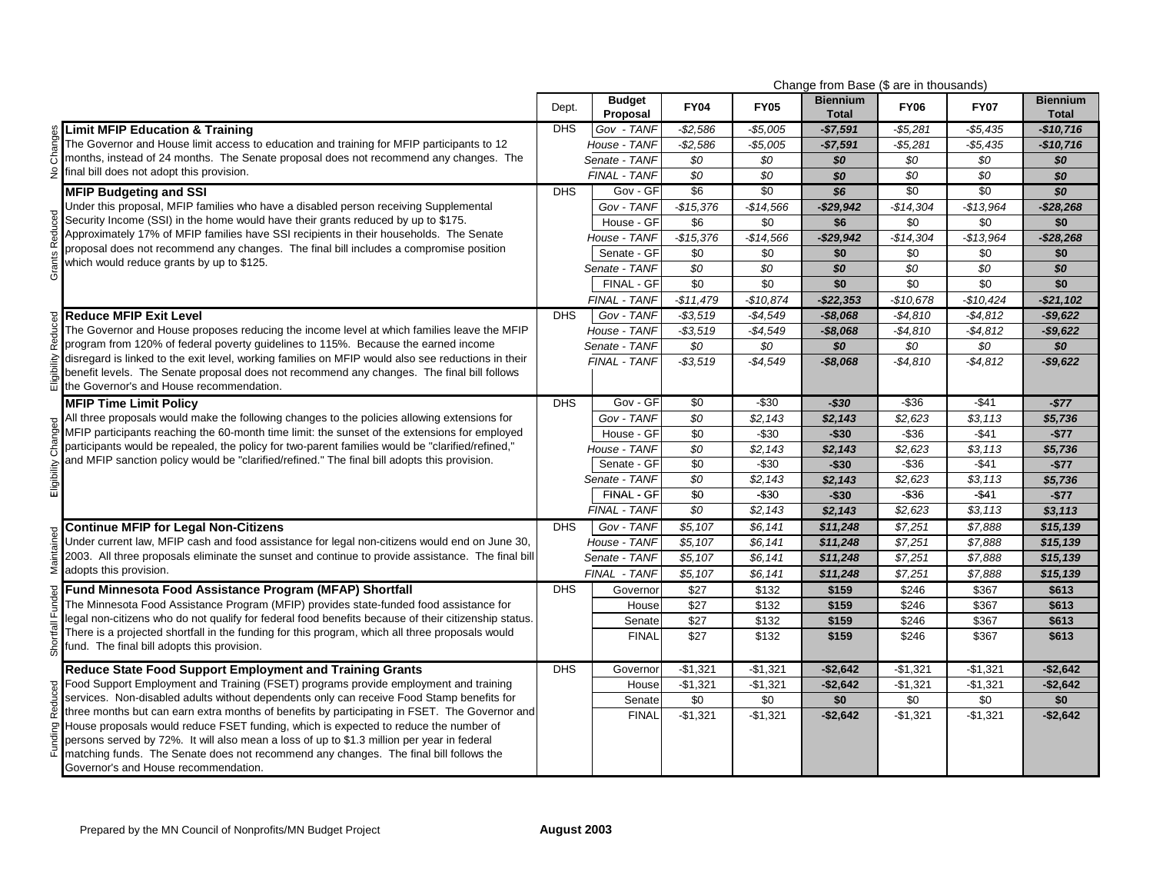|                                                                                                                                                |            |                           |                 |                       | Change from Base (\$ are in thousands) |                 |                 |                                 |
|------------------------------------------------------------------------------------------------------------------------------------------------|------------|---------------------------|-----------------|-----------------------|----------------------------------------|-----------------|-----------------|---------------------------------|
|                                                                                                                                                | Dept.      | <b>Budget</b><br>Proposal | <b>FY04</b>     | <b>FY05</b>           | <b>Biennium</b><br><b>Total</b>        | <b>FY06</b>     | <b>FY07</b>     | <b>Biennium</b><br><b>Total</b> |
| <b>Limit MFIP Education &amp; Training</b>                                                                                                     | <b>DHS</b> | Gov - TANF                | $-$ \$2,586     | -\$5,005              | $-$7,591$                              | $-$5,281$       | $-$5,435$       | -\$10,716                       |
| The Governor and House limit access to education and training for MFIP participants to 12                                                      |            | House - TANF              | $-$2,586$       | $-$5,005$             | $-$7,591$                              | $-$5,281$       | $-$5,435$       | $-$10,716$                      |
| months, instead of 24 months. The Senate proposal does not recommend any changes. The                                                          |            | Senate - TANF             | \$0             | \$0                   | \$0                                    | \$0             | \$0             | \$0                             |
| final bill does not adopt this provision.                                                                                                      |            | FINAL - TANF              | $\sqrt{$0}$     | $\overline{50}$       | \$0                                    | \$0             | \$0             | \$0                             |
| <b>MFIP Budgeting and SSI</b>                                                                                                                  | <b>DHS</b> | Gov - GF                  | \$6             | \$0                   | \$6                                    | \$0             | \$0             | $\overline{30}$                 |
| Under this proposal, MFIP families who have a disabled person receiving Supplemental                                                           |            | Gov - TANF                | $-$15,376$      | $-$14,566$            | $-$29,942$                             | $-$14,304$      | $-$13.964$      | $-$ \$28,268                    |
| Security Income (SSI) in the home would have their grants reduced by up to \$175.                                                              |            | House - GF                | \$6             | \$0                   | \$6                                    | \$0             | \$0             | \$0                             |
| Approximately 17% of MFIP families have SSI recipients in their households. The Senate                                                         |            | House - TANF              | $-$15,376$      | $-$14,566$            | $-$29,942$                             | $-$14,304$      | $-$13.964$      | $-$28,268$                      |
| proposal does not recommend any changes. The final bill includes a compromise position                                                         |            | Senate - GF               | \$0             | \$0                   | \$0                                    | \$0             | \$0             | \$0                             |
| which would reduce grants by up to \$125.                                                                                                      |            | Senate - TANF             | $\sqrt{$0}$     | $\overline{50}$       | \$0                                    | \$0             | $\overline{50}$ | \$0                             |
|                                                                                                                                                |            | FINAL - GF                | $\sqrt{6}$      | $\sqrt{50}$           | \$0                                    | $\overline{50}$ | $\sqrt{50}$     | \$0                             |
|                                                                                                                                                |            | FINAL - TANF              | $-$11,479$      | $-$10,874$            | $-$22,353$                             | $-$10,678$      | $-$10,424$      | $-$ \$21,102                    |
| <b>Reduce MFIP Exit Level</b>                                                                                                                  | <b>DHS</b> | Gov - TANF                | $-$ \$3,519     | $-$4,549$             | $-$8,068$                              | $-$4,810$       | $-$4,812$       | $-$9,622$                       |
| The Governor and House proposes reducing the income level at which families leave the MFIP                                                     |            | House - TANF              | $-$3,519$       | $-$4,549$             | $-$8,068$                              | $-$4,810$       | $-$4,812$       | $-$9,622$                       |
| program from 120% of federal poverty guidelines to 115%. Because the earned income                                                             |            | Senate - TANF             | \$0             | \$0                   | \$0                                    | $\overline{50}$ | \$0             | \$0                             |
| disregard is linked to the exit level, working families on MFIP would also see reductions in their                                             |            | FINAL - TANF              | $- $3,519$      | -\$4,549              | $-$8,068$                              | $-$4,810$       | $-$ \$4,812     | $-$9,622$                       |
| benefit levels. The Senate proposal does not recommend any changes. The final bill follows<br>the Governor's and House recommendation.         |            |                           |                 |                       |                                        |                 |                 |                                 |
| <b>MFIP Time Limit Policy</b>                                                                                                                  | <b>DHS</b> | Gov - GF                  | \$0             | $-$30$                | $-$30$                                 | $-$ \$36        | $-$41$          | $-$77$                          |
| All three proposals would make the following changes to the policies allowing extensions for                                                   |            | Gov - TANF                | \$0             | \$2,143               | \$2,143                                | \$2,623         | \$3,113         | \$5,736                         |
| MFIP participants reaching the 60-month time limit: the sunset of the extensions for employed                                                  |            | House - GF                | \$0             | $-$30$                | $-$30$                                 | $-$36$          | $-$ \$41        | $-$77$                          |
| participants would be repealed, the policy for two-parent families would be "clarified/refined,"                                               |            | House - TANF              | \$0             | \$2,143               | \$2,143                                | \$2,623         | \$3,113         | \$5,736                         |
| and MFIP sanction policy would be "clarified/refined." The final bill adopts this provision.                                                   |            | Senate - GF               | \$0             | $-$30$                | $-$30$                                 | $-$36$          | $-$41$          | $-$77$                          |
|                                                                                                                                                |            | Senate - TANF             | \$0             | \$2,143               | \$2,143                                | \$2,623         | \$3,113         | \$5,736                         |
| ⊞                                                                                                                                              |            | FINAL - GF                | $\overline{50}$ | $-$ \$30              | $-$30$                                 | $-$36$          | $-$41$          | $-$77$                          |
|                                                                                                                                                |            | FINAL - TANF              | \$0             | \$2,143               | \$2,143                                | \$2,623         | \$3,113         | \$3,113                         |
| <b>Continue MFIP for Legal Non-Citizens</b>                                                                                                    | <b>DHS</b> | Gov - TANF                | \$5,107         | \$6,141               | \$11,248                               | \$7,251         | \$7,888         | \$15,139                        |
| Under current law, MFIP cash and food assistance for legal non-citizens would end on June 30,                                                  |            | House - TANF              | \$5,107         | \$6,141               | \$11,248                               | \$7,251         | \$7,888         | \$15,139                        |
| 2003. All three proposals eliminate the sunset and continue to provide assistance. The final bill                                              |            | Senate - TANF             | \$5,107         | \$6,141               | \$11,248                               | \$7,251         | \$7,888         | \$15,139                        |
| adopts this provision.                                                                                                                         |            | FINAL - TANF              | \$5,107         | \$6,141               | \$11,248                               | \$7,251         | \$7,888         | \$15,139                        |
| Fund Minnesota Food Assistance Program (MFAP) Shortfall                                                                                        | <b>DHS</b> | Governor                  | \$27            | \$132                 | \$159                                  | \$246           | \$367           | \$613                           |
| The Minnesota Food Assistance Program (MFIP) provides state-funded food assistance for                                                         |            | House                     | \$27            | \$132                 | \$159                                  | \$246           | \$367           | \$613                           |
| legal non-citizens who do not qualify for federal food benefits because of their citizenship status.                                           |            | Senate                    | \$27            | \$132                 | \$159                                  | \$246           | \$367           | \$613                           |
| There is a projected shortfall in the funding for this program, which all three proposals would<br>fund. The final bill adopts this provision. |            | <b>FINAL</b>              | \$27            | \$132                 | \$159                                  | \$246           | \$367           | \$613                           |
| Reduce State Food Support Employment and Training Grants                                                                                       | <b>DHS</b> | Governor                  | $-$1,321$       | $-$1,321$             | $-$2,642$                              | $-$1,321$       | $-$1,321$       | $-$2,642$                       |
| Food Support Employment and Training (FSET) programs provide employment and training                                                           |            | House                     | $-$1,321$       | $-$1,321$             | $-$2,642$                              | $-$1,321$       | $-$1,321$       | $-$2,642$                       |
| services. Non-disabled adults without dependents only can receive Food Stamp benefits for                                                      |            | Senate                    | \$0             | \$0                   | \$0                                    | \$0             | \$0             | \$0                             |
| three months but can earn extra months of benefits by participating in FSET. The Governor and                                                  |            | <b>FINAL</b>              | $-$1,321$       | $\overline{-\$1,}321$ | $-$2,642$                              | $-$1,321$       | $-$1,321$       | $-$2,642$                       |
| House proposals would reduce FSET funding, which is expected to reduce the number of                                                           |            |                           |                 |                       |                                        |                 |                 |                                 |
| persons served by 72%. It will also mean a loss of up to \$1.3 million per year in federal                                                     |            |                           |                 |                       |                                        |                 |                 |                                 |
| matching funds. The Senate does not recommend any changes. The final bill follows the<br>Governor's and House recommendation.                  |            |                           |                 |                       |                                        |                 |                 |                                 |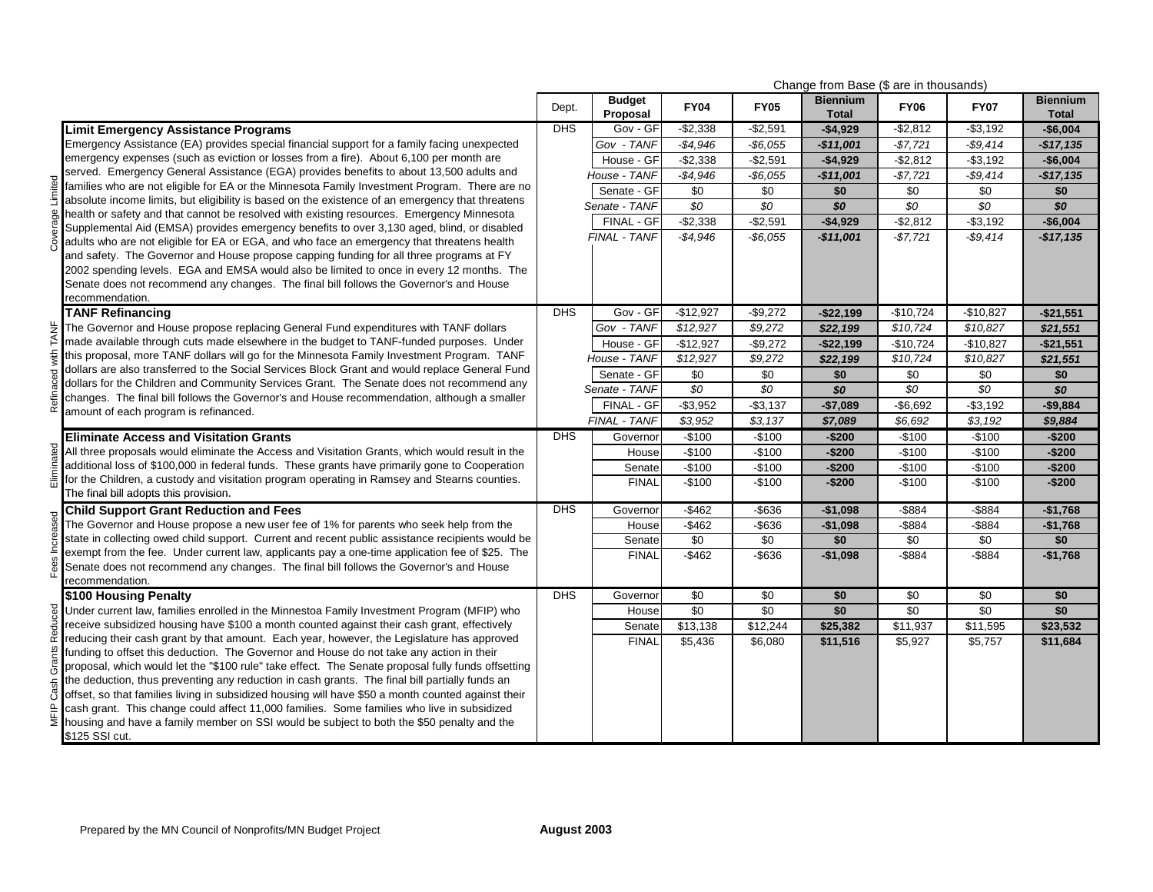| Change from Base (\$ are in thousands) |                                                                                                                                                                                     |            |                           |                 |             |                                 |                 |                 |                                 |
|----------------------------------------|-------------------------------------------------------------------------------------------------------------------------------------------------------------------------------------|------------|---------------------------|-----------------|-------------|---------------------------------|-----------------|-----------------|---------------------------------|
|                                        |                                                                                                                                                                                     | Dept.      | <b>Budget</b><br>Proposal | <b>FY04</b>     | <b>FY05</b> | <b>Biennium</b><br><b>Total</b> | <b>FY06</b>     | <b>FY07</b>     | <b>Biennium</b><br><b>Total</b> |
|                                        | <b>Limit Emergency Assistance Programs</b>                                                                                                                                          | <b>DHS</b> | Gov - GF                  | $-$2,338$       | $-$2,591$   | $-$4,929$                       | $-$ \$2,812     | $- $3,192$      | -\$6,004                        |
|                                        | Emergency Assistance (EA) provides special financial support for a family facing unexpected                                                                                         |            | Gov - TANF                | $-$4,946$       | $-$6.055$   | $-$11,001$                      | $-$7,721$       | $-$9,414$       | $-$17,135$                      |
|                                        | emergency expenses (such as eviction or losses from a fire). About 6,100 per month are                                                                                              |            | House - GF                | $-$2,338$       | $-$2,591$   | $-$4,929$                       | $-$2,812$       | $- $3,192$      | $-$6,004$                       |
|                                        | served. Emergency General Assistance (EGA) provides benefits to about 13,500 adults and                                                                                             |            | House - TANF              | $-$4,946$       | $-$6,055$   | $-$11,001$                      | $-$7,721$       | $-$9,414$       | $-$17,135$                      |
|                                        | families who are not eligible for EA or the Minnesota Family Investment Program. There are no                                                                                       |            | Senate - GF               | \$0             | \$0         | \$0                             | \$0             | \$0             | \$0                             |
|                                        | absolute income limits, but eligibility is based on the existence of an emergency that threatens                                                                                    |            | Senate - TANF             | \$0             | \$0         | \$0                             | \$0             | \$0             | \$0                             |
|                                        | health or safety and that cannot be resolved with existing resources. Emergency Minnesota                                                                                           |            | FINAL - GF                | $-$2,338$       | $-$2,591$   | $-$4,929$                       | $-$2,812$       | $- $3,192$      | $-$6,004$                       |
|                                        | Supplemental Aid (EMSA) provides emergency benefits to over 3,130 aged, blind, or disabled                                                                                          |            | FINAL - TANF              | $-$4,946$       | $-$6.055$   | $-$11,001$                      | $-$7,721$       | $-$9,414$       | $-$17,135$                      |
|                                        | adults who are not eligible for EA or EGA, and who face an emergency that threatens health                                                                                          |            |                           |                 |             |                                 |                 |                 |                                 |
|                                        | and safety. The Governor and House propose capping funding for all three programs at FY<br>2002 spending levels. EGA and EMSA would also be limited to once in every 12 months. The |            |                           |                 |             |                                 |                 |                 |                                 |
|                                        | Senate does not recommend any changes. The final bill follows the Governor's and House                                                                                              |            |                           |                 |             |                                 |                 |                 |                                 |
|                                        | recommendation.                                                                                                                                                                     |            |                           |                 |             |                                 |                 |                 |                                 |
|                                        | <b>TANF Refinancing</b>                                                                                                                                                             | <b>DHS</b> | Gov - GF                  | $-$12,927$      | $-$9,272$   | $-$22,199$                      | $-$10,724$      | $-$10,827$      | $-$21,551$                      |
|                                        | The Governor and House propose replacing General Fund expenditures with TANF dollars                                                                                                |            | Gov - TANF                | \$12,927        | \$9,272     | \$22,199                        | \$10,724        | \$10,827        | \$21,551                        |
| TANF                                   | made available through cuts made elsewhere in the budget to TANF-funded purposes. Under                                                                                             |            | House - GF                | $-$12,927$      | $-$9,272$   | $-$22,199$                      | $-$10,724$      | $-$10,827$      | $-$21,551$                      |
| with                                   | this proposal, more TANF dollars will go for the Minnesota Family Investment Program. TANF                                                                                          |            | House - TANF              | \$12,927        | \$9,272     | \$22,199                        | \$10,724        | \$10,827        | \$21,551                        |
|                                        | dollars are also transferred to the Social Services Block Grant and would replace General Fund                                                                                      |            | Senate - GF               | \$0             | \$0         | \$0                             | \$0             | \$0             | \$0                             |
|                                        | dollars for the Children and Community Services Grant. The Senate does not recommend any                                                                                            |            | Senate - TANF             | \$0             | \$0         | \$0                             | \$0             | \$0             | \$0                             |
| Refina                                 | changes. The final bill follows the Governor's and House recommendation, although a smaller                                                                                         |            | FINAL - GF                | $-$3,952$       | $-$3,137$   | $-$7,089$                       | $-$6,692$       | $- $3,192$      | $-$9,884$                       |
|                                        | amount of each program is refinanced.                                                                                                                                               |            | FINAL - TANF              | \$3,952         | \$3,137     | \$7,089                         | \$6,692         | \$3,192         | \$9,884                         |
|                                        | <b>Eliminate Access and Visitation Grants</b>                                                                                                                                       | <b>DHS</b> | Governor                  | -\$100          | $-$100$     | $-$200$                         | $-$100$         | $-$100$         | $-$200$                         |
|                                        | All three proposals would eliminate the Access and Visitation Grants, which would result in the                                                                                     |            | House                     | $-$100$         | $-$100$     | $-$200$                         | $-$100$         | $-$100$         | $-$200$                         |
|                                        | additional loss of \$100,000 in federal funds. These grants have primarily gone to Cooperation                                                                                      |            | Senate                    | $-$100$         | $-$100$     | $-$200$                         | $-$100$         | $-$100$         | $-$200$                         |
| Fliminated                             | for the Children, a custody and visitation program operating in Ramsey and Stearns counties.                                                                                        |            | <b>FINAL</b>              | $-$100$         | $-$100$     | $-$200$                         | $-$100$         | $-$100$         | $-$200$                         |
|                                        | The final bill adopts this provision.                                                                                                                                               |            |                           |                 |             |                                 |                 |                 |                                 |
|                                        | <b>Child Support Grant Reduction and Fees</b>                                                                                                                                       | <b>DHS</b> | Governor                  | $-$462$         | $-$636$     | $-$1,098$                       | $-$ \$884       | $-$ \$884       | $-$1,768$                       |
|                                        | The Governor and House propose a new user fee of 1% for parents who seek help from the                                                                                              |            | House                     | $-$ \$462       | -\$636      | $-$1,098$                       | $-$ \$884       | -\$884          | $-$1,768$                       |
|                                        | state in collecting owed child support. Current and recent public assistance recipients would be                                                                                    |            | Senate                    | $\overline{50}$ | $\sqrt{6}$  | \$0                             | $\overline{50}$ | $\overline{50}$ | \$0                             |
|                                        | exempt from the fee. Under current law, applicants pay a one-time application fee of \$25. The                                                                                      |            | <b>FINAL</b>              | $-$ \$462       | $-$ \$636   | $-$1,098$                       | $-$ \$884       | $-$ \$884       | $-$1,768$                       |
| Fees                                   | Senate does not recommend any changes. The final bill follows the Governor's and House                                                                                              |            |                           |                 |             |                                 |                 |                 |                                 |
|                                        | recommendation.                                                                                                                                                                     | <b>DHS</b> |                           | \$0             | \$0         | \$0                             | \$0             | \$0             | \$0                             |
|                                        | \$100 Housing Penalty<br>Under current law, families enrolled in the Minnestoa Family Investment Program (MFIP) who                                                                 |            | Governor<br>House         | $\overline{50}$ | $\sqrt{6}$  | \$0                             | $\sqrt{6}$      | \$0             | \$0                             |
| Reduced                                | receive subsidized housing have \$100 a month counted against their cash grant, effectively                                                                                         |            | Senate                    | \$13,138        | \$12,244    | \$25,382                        | \$11,937        | \$11,595        | \$23,532                        |
|                                        | reducing their cash grant by that amount. Each year, however, the Legislature has approved                                                                                          |            | <b>FINAL</b>              | \$5,436         | \$6,080     | \$11,516                        | \$5,927         | \$5,757         | \$11,684                        |
|                                        | funding to offset this deduction. The Governor and House do not take any action in their                                                                                            |            |                           |                 |             |                                 |                 |                 |                                 |
| Grants                                 | proposal, which would let the "\$100 rule" take effect. The Senate proposal fully funds offsetting                                                                                  |            |                           |                 |             |                                 |                 |                 |                                 |
|                                        | the deduction, thus preventing any reduction in cash grants. The final bill partially funds an                                                                                      |            |                           |                 |             |                                 |                 |                 |                                 |
| Cash                                   | offset, so that families living in subsidized housing will have \$50 a month counted against their                                                                                  |            |                           |                 |             |                                 |                 |                 |                                 |
| MFIP                                   | cash grant. This change could affect 11,000 families. Some families who live in subsidized                                                                                          |            |                           |                 |             |                                 |                 |                 |                                 |
|                                        | housing and have a family member on SSI would be subject to both the \$50 penalty and the                                                                                           |            |                           |                 |             |                                 |                 |                 |                                 |
|                                        | \$125 SSI cut.                                                                                                                                                                      |            |                           |                 |             |                                 |                 |                 |                                 |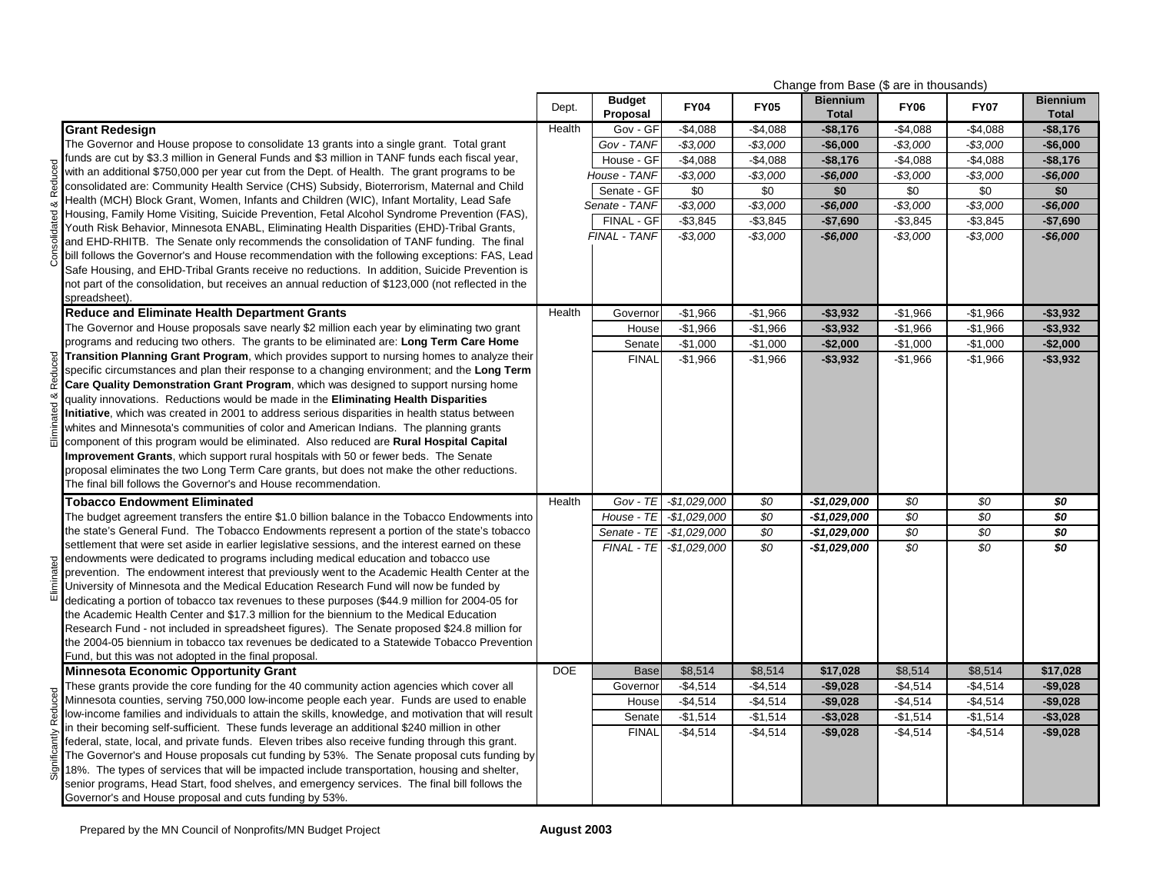|             |                                                                                                                                                                                                   | Change from Base (\$ are in thousands) |                           |                          |             |                                 |             |             |                                 |
|-------------|---------------------------------------------------------------------------------------------------------------------------------------------------------------------------------------------------|----------------------------------------|---------------------------|--------------------------|-------------|---------------------------------|-------------|-------------|---------------------------------|
|             |                                                                                                                                                                                                   | Dept.                                  | <b>Budget</b><br>Proposal | <b>FY04</b>              | <b>FY05</b> | <b>Biennium</b><br><b>Total</b> | <b>FY06</b> | <b>FY07</b> | <b>Biennium</b><br><b>Total</b> |
|             | <b>Grant Redesign</b>                                                                                                                                                                             | Health                                 | Gov - GF                  | $-$4,088$                | $-$4,088$   | $-$8,176$                       | $-$4,088$   | $-$4,088$   | $-$ \$8,176                     |
|             | The Governor and House propose to consolidate 13 grants into a single grant. Total grant                                                                                                          |                                        | Gov - TANF                | $-$3,000$                | $-$3,000$   | $-$6,000$                       | $-$3,000$   | $-$3,000$   | $-$6,000$                       |
|             | funds are cut by \$3.3 million in General Funds and \$3 million in TANF funds each fiscal year,                                                                                                   |                                        | House - GF                | $-$4,088$                | $-$4,088$   | $-$8,176$                       | $-$4,088$   | $-$4,088$   | $-$ \$8,176                     |
|             | with an additional \$750,000 per year cut from the Dept. of Health. The grant programs to be                                                                                                      |                                        | House - TANF              | $-$3,000$                | $-$3,000$   | $-$6,000$                       | $-$3,000$   | $-$3,000$   | $-$6,000$                       |
| Reduced     | consolidated are: Community Health Service (CHS) Subsidy, Bioterrorism, Maternal and Child                                                                                                        |                                        | Senate - GF               | \$0                      | \$0         | \$0                             | \$0         | \$0         | \$0                             |
| ×           | Health (MCH) Block Grant, Women, Infants and Children (WIC), Infant Mortality, Lead Safe                                                                                                          |                                        | Senate - TANF             | $-$3,000$                | $-$3,000$   | $-$6,000$                       | $-$3,000$   | $-$3,000$   | $-$6,000$                       |
| dated       | Housing, Family Home Visiting, Suicide Prevention, Fetal Alcohol Syndrome Prevention (FAS),                                                                                                       |                                        | FINAL - GF                | $-$3,845$                | $-$3,845$   | $-$7,690$                       | $-$3,845$   | $-$3,845$   | $-$7,690$                       |
|             | Youth Risk Behavior, Minnesota ENABL, Eliminating Health Disparities (EHD)-Tribal Grants,                                                                                                         |                                        | FINAL - TANF              | $-$3,000$                | $-$3,000$   | $-$6,000$                       | $-$3,000$   | $-$3,000$   | $-$6,000$                       |
|             | and EHD-RHITB. The Senate only recommends the consolidation of TANF funding. The final                                                                                                            |                                        |                           |                          |             |                                 |             |             |                                 |
|             | bill follows the Governor's and House recommendation with the following exceptions: FAS, Lead                                                                                                     |                                        |                           |                          |             |                                 |             |             |                                 |
|             | Safe Housing, and EHD-Tribal Grants receive no reductions. In addition, Suicide Prevention is                                                                                                     |                                        |                           |                          |             |                                 |             |             |                                 |
|             | not part of the consolidation, but receives an annual reduction of \$123,000 (not reflected in the                                                                                                |                                        |                           |                          |             |                                 |             |             |                                 |
|             | spreadsheet).                                                                                                                                                                                     |                                        |                           |                          |             |                                 |             |             |                                 |
|             | <b>Reduce and Eliminate Health Department Grants</b>                                                                                                                                              | Health                                 | Governor                  | $-$1,966$                | $-$1,966$   | $-$3,932$                       | $-$1,966$   | $-$1,966$   | $-$3,932$                       |
|             | The Governor and House proposals save nearly \$2 million each year by eliminating two grant                                                                                                       |                                        | House                     | $-$1,966$                | $-$1,966$   | $-$3,932$                       | $-$1,966$   | $-$1,966$   | $-$3,932$                       |
|             | programs and reducing two others. The grants to be eliminated are: Long Term Care Home                                                                                                            |                                        | Senate                    | $-$1,000$                | $-$1,000$   | $-$2,000$                       | $-$1,000$   | $-$1,000$   | $-$2,000$                       |
| Reduced     | Transition Planning Grant Program, which provides support to nursing homes to analyze their                                                                                                       |                                        | <b>FINAL</b>              | $-$1,966$                | $-$1,966$   | $-$ \$3,932                     | $-$1,966$   | $-$1,966$   | $-$3,932$                       |
|             | specific circumstances and plan their response to a changing environment; and the Long Term                                                                                                       |                                        |                           |                          |             |                                 |             |             |                                 |
|             | Care Quality Demonstration Grant Program, which was designed to support nursing home                                                                                                              |                                        |                           |                          |             |                                 |             |             |                                 |
| ed &        | quality innovations. Reductions would be made in the Eliminating Health Disparities                                                                                                               |                                        |                           |                          |             |                                 |             |             |                                 |
|             | Initiative, which was created in 2001 to address serious disparities in health status between                                                                                                     |                                        |                           |                          |             |                                 |             |             |                                 |
| i<br>Elimin | whites and Minnesota's communities of color and American Indians. The planning grants                                                                                                             |                                        |                           |                          |             |                                 |             |             |                                 |
|             | component of this program would be eliminated. Also reduced are Rural Hospital Capital                                                                                                            |                                        |                           |                          |             |                                 |             |             |                                 |
|             | Improvement Grants, which support rural hospitals with 50 or fewer beds. The Senate                                                                                                               |                                        |                           |                          |             |                                 |             |             |                                 |
|             | proposal eliminates the two Long Term Care grants, but does not make the other reductions.                                                                                                        |                                        |                           |                          |             |                                 |             |             |                                 |
|             | The final bill follows the Governor's and House recommendation.                                                                                                                                   |                                        |                           |                          |             |                                 |             |             |                                 |
|             | <b>Tobacco Endowment Eliminated</b>                                                                                                                                                               | Health                                 | $Gov - TE$                | $-$1,029,000$            | \$0         | -\$1,029,000                    | \$0         | \$0         | \$0                             |
|             | The budget agreement transfers the entire \$1.0 billion balance in the Tobacco Endowments into                                                                                                    |                                        | House - TE                | $-$1,029,000$            | \$0         | -\$1,029,000                    | \$0         | \$0         | \$0                             |
|             | the state's General Fund. The Tobacco Endowments represent a portion of the state's tobacco                                                                                                       |                                        | Senate - TE               | $-$1,029,000$            | \$0         | -\$1,029,000                    | \$0         | \$0         | \$0                             |
|             | settlement that were set aside in earlier legislative sessions, and the interest earned on these                                                                                                  |                                        |                           | FINAL - TE - \$1,029,000 | \$0         | -\$1,029,000                    | \$0         | \$0         | \$0                             |
| hated       | endowments were dedicated to programs including medical education and tobacco use                                                                                                                 |                                        |                           |                          |             |                                 |             |             |                                 |
|             | prevention. The endowment interest that previously went to the Academic Health Center at the                                                                                                      |                                        |                           |                          |             |                                 |             |             |                                 |
| â           | University of Minnesota and the Medical Education Research Fund will now be funded by                                                                                                             |                                        |                           |                          |             |                                 |             |             |                                 |
|             | dedicating a portion of tobacco tax revenues to these purposes (\$44.9 million for 2004-05 for                                                                                                    |                                        |                           |                          |             |                                 |             |             |                                 |
|             | the Academic Health Center and \$17.3 million for the biennium to the Medical Education                                                                                                           |                                        |                           |                          |             |                                 |             |             |                                 |
|             | Research Fund - not included in spreadsheet figures). The Senate proposed \$24.8 million for                                                                                                      |                                        |                           |                          |             |                                 |             |             |                                 |
|             | the 2004-05 biennium in tobacco tax revenues be dedicated to a Statewide Tobacco Prevention                                                                                                       |                                        |                           |                          |             |                                 |             |             |                                 |
|             | Fund, but this was not adopted in the final proposal.                                                                                                                                             | <b>DOE</b>                             | <b>Base</b>               | \$8,514                  | \$8,514     | \$17,028                        | \$8,514     | \$8,514     | \$17,028                        |
|             | <b>Minnesota Economic Opportunity Grant</b>                                                                                                                                                       |                                        | Governor                  | $-$4.514$                |             | $-$9.028$                       | $-$4.514$   | $-$4.514$   | $-$9.028$                       |
|             | These grants provide the core funding for the 40 community action agencies which cover all                                                                                                        |                                        |                           |                          | $-$4,514$   |                                 |             |             |                                 |
|             | Minnesota counties, serving 750,000 low-income people each year. Funds are used to enable<br>low-income families and individuals to attain the skills, knowledge, and motivation that will result |                                        | House                     | $-$4,514$                | $-$4,514$   | $-$9,028$                       | $-$4,514$   | $-$4,514$   | $-$9,028$                       |
|             | in their becoming self-sufficient. These funds leverage an additional \$240 million in other                                                                                                      |                                        | Senate                    | $-$1,514$                | $-$1,514$   | $-$3,028$                       | $-$1,514$   | $-$1,514$   | $-$3,028$                       |
|             | federal, state, local, and private funds. Eleven tribes also receive funding through this grant.                                                                                                  |                                        | <b>FINAL</b>              | $-$4,514$                | $-$4,514$   | $-$9,028$                       | $-$4,514$   | $-$4,514$   | $-$9,028$                       |
|             | The Governor's and House proposals cut funding by 53%. The Senate proposal cuts funding by                                                                                                        |                                        |                           |                          |             |                                 |             |             |                                 |
| Significa   | 18%. The types of services that will be impacted include transportation, housing and shelter,                                                                                                     |                                        |                           |                          |             |                                 |             |             |                                 |
|             | senior programs, Head Start, food shelves, and emergency services. The final bill follows the                                                                                                     |                                        |                           |                          |             |                                 |             |             |                                 |
|             | Governor's and House proposal and cuts funding by 53%.                                                                                                                                            |                                        |                           |                          |             |                                 |             |             |                                 |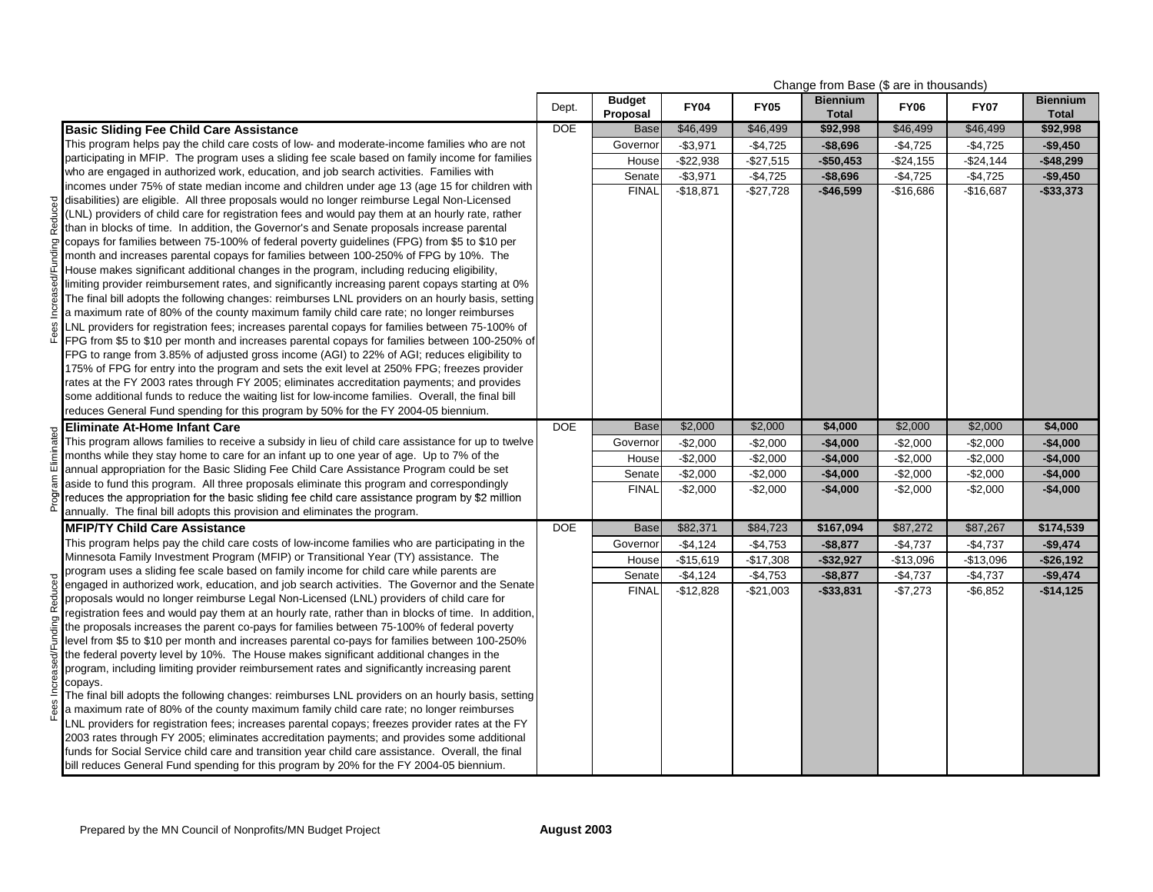|               |                                                                                                                                                                                            |            |                           |             |             | Change from Base (\$ are in thousands) |             |             |                                 |  |
|---------------|--------------------------------------------------------------------------------------------------------------------------------------------------------------------------------------------|------------|---------------------------|-------------|-------------|----------------------------------------|-------------|-------------|---------------------------------|--|
|               |                                                                                                                                                                                            | Dept.      | <b>Budget</b><br>Proposal | <b>FY04</b> | <b>FY05</b> | <b>Biennium</b><br><b>Total</b>        | <b>FY06</b> | <b>FY07</b> | <b>Biennium</b><br><b>Total</b> |  |
|               | <b>Basic Sliding Fee Child Care Assistance</b>                                                                                                                                             | <b>DOE</b> | <b>Base</b>               | \$46,499    | \$46,499    | \$92,998                               | \$46,499    | \$46,499    | \$92,998                        |  |
|               | This program helps pay the child care costs of low- and moderate-income families who are not                                                                                               |            | Governor                  | $-$3,971$   | $-$4,725$   | $-$8,696$                              | $-$4,725$   | $-$4,725$   | $-$9,450$                       |  |
|               | participating in MFIP. The program uses a sliding fee scale based on family income for families                                                                                            |            | House                     | $-$22,938$  | $-$27,515$  | $-$50,453$                             | $-$24,155$  | $-$24,144$  | $-$48,299$                      |  |
|               | who are engaged in authorized work, education, and job search activities. Families with                                                                                                    |            | Senate                    | $-$3,971$   | $-$4,725$   | $-$8,696$                              | $-$4,725$   | $-$4,725$   | $-$9,450$                       |  |
|               | incomes under 75% of state median income and children under age 13 (age 15 for children with                                                                                               |            | <b>FINAL</b>              | $-$18,871$  | $-$27,728$  | $-$46,599$                             | $-$16,686$  | $-$16,687$  | $-$ \$33,373                    |  |
| Reduced       | disabilities) are eligible. All three proposals would no longer reimburse Legal Non-Licensed                                                                                               |            |                           |             |             |                                        |             |             |                                 |  |
|               | (LNL) providers of child care for registration fees and would pay them at an hourly rate, rather                                                                                           |            |                           |             |             |                                        |             |             |                                 |  |
|               | than in blocks of time. In addition, the Governor's and Senate proposals increase parental<br>copays for families between 75-100% of federal poverty guidelines (FPG) from \$5 to \$10 per |            |                           |             |             |                                        |             |             |                                 |  |
| Funding       | month and increases parental copays for families between 100-250% of FPG by 10%. The                                                                                                       |            |                           |             |             |                                        |             |             |                                 |  |
|               | House makes significant additional changes in the program, including reducing eligibility,                                                                                                 |            |                           |             |             |                                        |             |             |                                 |  |
|               | limiting provider reimbursement rates, and significantly increasing parent copays starting at 0%                                                                                           |            |                           |             |             |                                        |             |             |                                 |  |
|               | The final bill adopts the following changes: reimburses LNL providers on an hourly basis, setting                                                                                          |            |                           |             |             |                                        |             |             |                                 |  |
| hcreas        | a maximum rate of 80% of the county maximum family child care rate; no longer reimburses                                                                                                   |            |                           |             |             |                                        |             |             |                                 |  |
| 35            | LNL providers for registration fees; increases parental copays for families between 75-100% of                                                                                             |            |                           |             |             |                                        |             |             |                                 |  |
| ۴             | FPG from \$5 to \$10 per month and increases parental copays for families between 100-250% of                                                                                              |            |                           |             |             |                                        |             |             |                                 |  |
|               | FPG to range from 3.85% of adjusted gross income (AGI) to 22% of AGI; reduces eligibility to                                                                                               |            |                           |             |             |                                        |             |             |                                 |  |
|               | 175% of FPG for entry into the program and sets the exit level at 250% FPG; freezes provider                                                                                               |            |                           |             |             |                                        |             |             |                                 |  |
|               | rates at the FY 2003 rates through FY 2005; eliminates accreditation payments; and provides                                                                                                |            |                           |             |             |                                        |             |             |                                 |  |
|               | some additional funds to reduce the waiting list for low-income families. Overall, the final bill                                                                                          |            |                           |             |             |                                        |             |             |                                 |  |
|               | reduces General Fund spending for this program by 50% for the FY 2004-05 biennium.                                                                                                         |            |                           |             |             |                                        |             |             |                                 |  |
|               | <b>Eliminate At-Home Infant Care</b>                                                                                                                                                       | <b>DOE</b> | <b>Base</b>               | \$2,000     | \$2,000     | \$4,000                                | \$2,000     | \$2,000     | \$4,000                         |  |
|               | This program allows families to receive a subsidy in lieu of child care assistance for up to twelve                                                                                        |            | Governor                  | $-$2,000$   | $-$2,000$   | $-$4,000$                              | $-$2,000$   | $-$2,000$   | $-$4,000$                       |  |
|               | months while they stay home to care for an infant up to one year of age. Up to 7% of the                                                                                                   |            | House                     | $-$2,000$   | $-$2,000$   | $-$4,000$                              | $-$2,000$   | $-$2,000$   | $-$4,000$                       |  |
| am Eliminated | annual appropriation for the Basic Sliding Fee Child Care Assistance Program could be set<br>aside to fund this program. All three proposals eliminate this program and correspondingly    |            | Senate                    | $-$2,000$   | $-$2,000$   | $-$4,000$                              | $-$2,000$   | $-$2,000$   | $-$4,000$                       |  |
|               | reduces the appropriation for the basic sliding fee child care assistance program by \$2 million                                                                                           |            | <b>FINAL</b>              | $-$2,000$   | $-$2,000$   | $-$4,000$                              | $-$2,000$   | $-$2,000$   | $-$4,000$                       |  |
| ò             | annually. The final bill adopts this provision and eliminates the program.                                                                                                                 |            |                           |             |             |                                        |             |             |                                 |  |
|               | <b>MFIP/TY Child Care Assistance</b>                                                                                                                                                       | <b>DOE</b> | <b>Base</b>               | \$82,371    | \$84,723    | \$167,094                              | \$87,272    | \$87,267    | \$174,539                       |  |
|               | This program helps pay the child care costs of low-income families who are participating in the                                                                                            |            | Governor                  | $-$4,124$   | $-$4,753$   | $-$8,877$                              | $-$4,737$   | $-$4,737$   | $-$9,474$                       |  |
|               | Minnesota Family Investment Program (MFIP) or Transitional Year (TY) assistance. The                                                                                                       |            | House                     | $-$15,619$  | $-$17,308$  | $-$32,927$                             | $-$13,096$  | $-$13,096$  | $-$26,192$                      |  |
|               | program uses a sliding fee scale based on family income for child care while parents are                                                                                                   |            | Senate                    | $-$4,124$   | $-$4,753$   | $-$8,877$                              | $-$4,737$   | $-$4,737$   | $-$9,474$                       |  |
| Reduced       | engaged in authorized work, education, and job search activities. The Governor and the Senate                                                                                              |            | <b>FINAL</b>              | $-$12,828$  | $-$21,003$  | $-$33,831$                             | $-$7,273$   | $-$6,852$   | $-$14,125$                      |  |
|               | proposals would no longer reimburse Legal Non-Licensed (LNL) providers of child care for                                                                                                   |            |                           |             |             |                                        |             |             |                                 |  |
|               | registration fees and would pay them at an hourly rate, rather than in blocks of time. In addition,                                                                                        |            |                           |             |             |                                        |             |             |                                 |  |
|               | the proposals increases the parent co-pays for families between 75-100% of federal poverty                                                                                                 |            |                           |             |             |                                        |             |             |                                 |  |
|               | level from \$5 to \$10 per month and increases parental co-pays for families between 100-250%                                                                                              |            |                           |             |             |                                        |             |             |                                 |  |
|               | the federal poverty level by 10%. The House makes significant additional changes in the<br>program, including limiting provider reimbursement rates and significantly increasing parent    |            |                           |             |             |                                        |             |             |                                 |  |
|               | copays.                                                                                                                                                                                    |            |                           |             |             |                                        |             |             |                                 |  |
|               | The final bill adopts the following changes: reimburses LNL providers on an hourly basis, setting                                                                                          |            |                           |             |             |                                        |             |             |                                 |  |
|               | a maximum rate of 80% of the county maximum family child care rate; no longer reimburses                                                                                                   |            |                           |             |             |                                        |             |             |                                 |  |
|               | LNL providers for registration fees; increases parental copays; freezes provider rates at the FY                                                                                           |            |                           |             |             |                                        |             |             |                                 |  |
|               | 2003 rates through FY 2005; eliminates accreditation payments; and provides some additional                                                                                                |            |                           |             |             |                                        |             |             |                                 |  |
|               | funds for Social Service child care and transition year child care assistance. Overall, the final                                                                                          |            |                           |             |             |                                        |             |             |                                 |  |
|               | bill reduces General Fund spending for this program by 20% for the FY 2004-05 biennium.                                                                                                    |            |                           |             |             |                                        |             |             |                                 |  |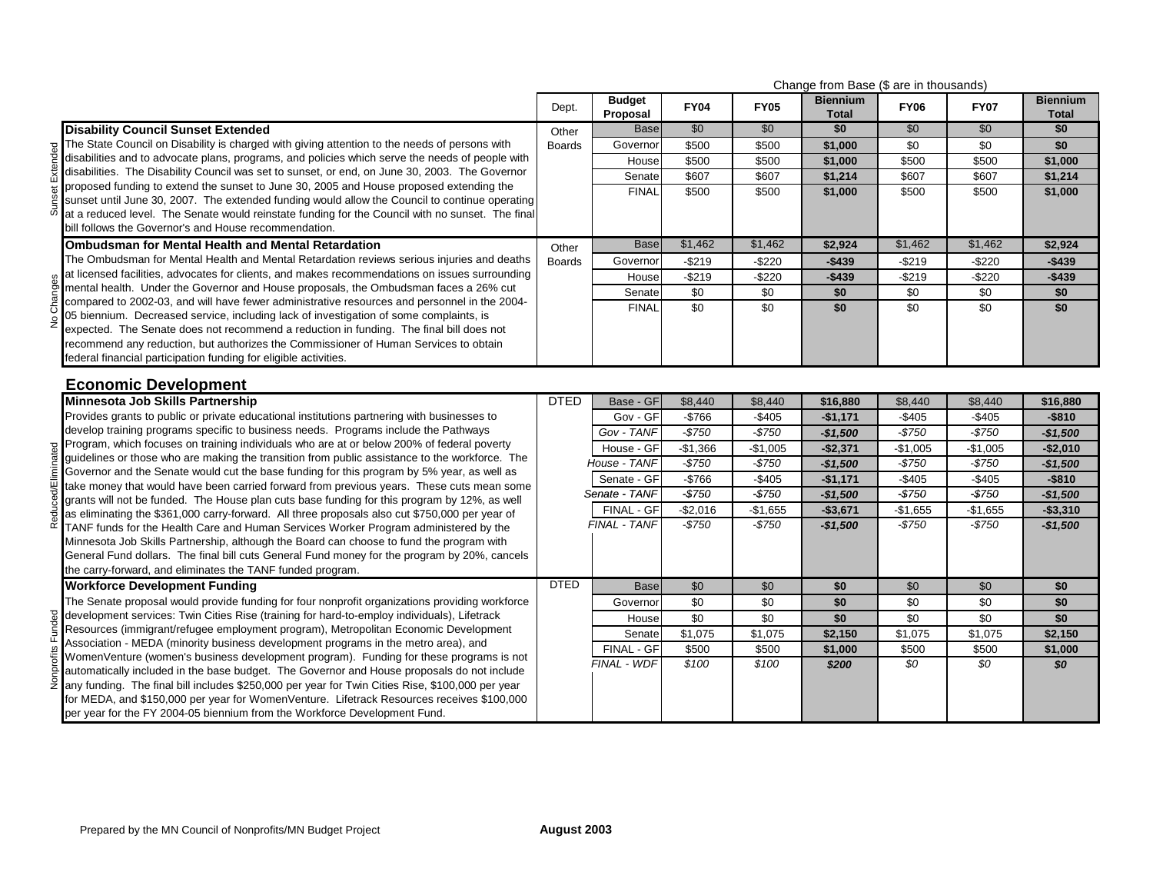|          |                                                                                                                                                                                              | Change from Base (\$ are in thousands) |                           |             |                 |                                 |                 |                 |                                 |
|----------|----------------------------------------------------------------------------------------------------------------------------------------------------------------------------------------------|----------------------------------------|---------------------------|-------------|-----------------|---------------------------------|-----------------|-----------------|---------------------------------|
|          |                                                                                                                                                                                              | Dept.                                  | <b>Budget</b><br>Proposal | <b>FY04</b> | <b>FY05</b>     | <b>Biennium</b><br><b>Total</b> | <b>FY06</b>     | <b>FY07</b>     | <b>Biennium</b><br><b>Total</b> |
|          | <b>Disability Council Sunset Extended</b>                                                                                                                                                    | Other                                  | <b>Base</b>               | \$0         | $\overline{50}$ | \$0                             | $\overline{50}$ | \$0             | \$0                             |
|          | The State Council on Disability is charged with giving attention to the needs of persons with                                                                                                | <b>Boards</b>                          | Governor                  | \$500       | \$500           | \$1,000                         | \$0             | \$0             | \$0                             |
| Extended | disabilities and to advocate plans, programs, and policies which serve the needs of people with                                                                                              |                                        | House                     | \$500       | \$500           | \$1,000                         | \$500           | \$500           | \$1,000                         |
|          | disabilities. The Disability Council was set to sunset, or end, on June 30, 2003. The Governor                                                                                               |                                        | Senate                    | \$607       | \$607           | \$1,214                         | \$607           | \$607           | \$1,214                         |
|          | proposed funding to extend the sunset to June 30, 2005 and House proposed extending the                                                                                                      |                                        | <b>FINAL</b>              | \$500       | \$500           | \$1,000                         | \$500           | \$500           | \$1,000                         |
| ഗ്       | sunset until June 30, 2007. The extended funding would allow the Council to continue operating                                                                                               |                                        |                           |             |                 |                                 |                 |                 |                                 |
|          | at a reduced level. The Senate would reinstate funding for the Council with no sunset. The final<br>bill follows the Governor's and House recommendation.                                    |                                        |                           |             |                 |                                 |                 |                 |                                 |
|          |                                                                                                                                                                                              |                                        |                           |             |                 |                                 |                 |                 |                                 |
|          | <b>Ombudsman for Mental Health and Mental Retardation</b>                                                                                                                                    | Other                                  | <b>Base</b>               | \$1,462     | \$1,462         | \$2,924                         | \$1,462         | \$1,462         | \$2,924                         |
|          | The Ombudsman for Mental Health and Mental Retardation reviews serious injuries and deaths<br>at licensed facilities, advocates for clients, and makes recommendations on issues surrounding | <b>Boards</b>                          | Governor                  | -\$219      | $-$220$         | $-$439$                         | $-$219$         | $-$220$         | $-$439$                         |
| Changes  | mental health. Under the Governor and House proposals, the Ombudsman faces a 26% cut                                                                                                         |                                        | House                     | $-$219$     | $-$220$         | $-$439$                         | $-$219$         | $-$220$         | $-$439$                         |
|          | compared to 2002-03, and will have fewer administrative resources and personnel in the 2004-                                                                                                 |                                        | Senate                    | \$0         | \$0             | \$0                             | $\sqrt{6}$      | \$0             | \$0                             |
|          | 05 biennium. Decreased service, including lack of investigation of some complaints, is                                                                                                       |                                        | <b>FINAL</b>              | \$0         | \$0             | \$0                             | \$0             | \$0             | \$0                             |
|          | expected. The Senate does not recommend a reduction in funding. The final bill does not                                                                                                      |                                        |                           |             |                 |                                 |                 |                 |                                 |
|          | recommend any reduction, but authorizes the Commissioner of Human Services to obtain                                                                                                         |                                        |                           |             |                 |                                 |                 |                 |                                 |
|          | federal financial participation funding for eligible activities.                                                                                                                             |                                        |                           |             |                 |                                 |                 |                 |                                 |
|          | <b>Economic Development</b>                                                                                                                                                                  |                                        |                           |             |                 |                                 |                 |                 |                                 |
|          | Minnesota Job Skills Partnership                                                                                                                                                             | <b>DTED</b>                            | Base - GF                 | \$8,440     | \$8,440         | \$16,880                        | \$8,440         | \$8,440         | \$16,880                        |
|          | Provides grants to public or private educational institutions partnering with businesses to                                                                                                  |                                        | Gov - GF                  | $-$766$     | $-$405$         | $-$1,171$                       | $-$405$         | $-$405$         | $-$810$                         |
|          | develop training programs specific to business needs. Programs include the Pathways                                                                                                          |                                        | Gov - TANF                | $-$750$     | $-$750$         | $-$1,500$                       | $-$750$         | $-$750$         | $-$1,500$                       |
| ٩Ā       | Program, which focuses on training individuals who are at or below 200% of federal poverty                                                                                                   |                                        | House - GF                | $-$1,366$   | $-$1,005$       | $-$2,371$                       | $-$1,005$       | $-$1,005$       | $-$2,010$                       |
|          | guidelines or those who are making the transition from public assistance to the workforce. The                                                                                               |                                        | House - TANF              | $-$750$     | $-$750$         | $-$1,500$                       | $-$750$         | $-$750$         | $-$1,500$                       |
|          | Governor and the Senate would cut the base funding for this program by 5% year, as well as<br>take money that would have been carried forward from previous years. These cuts mean some      |                                        | Senate - GF               | $-$766$     | $-$405$         | $-$1,171$                       | $-$405$         | $-$405$         | $-$ \$810                       |
|          | grants will not be funded. The House plan cuts base funding for this program by 12%, as well                                                                                                 |                                        | Senate - TANF             | $-$750$     | $-$750$         | $-$1,500$                       | $-$750$         | $-$750$         | $-$1,500$                       |
|          | as eliminating the \$361,000 carry-forward. All three proposals also cut \$750,000 per year of                                                                                               |                                        | FINAL - GF                | $-$2,016$   | $-$1,655$       | $- $3,671$                      | $-$1,655$       | $-$1,655$       | $-$3,310$                       |
| Redu     | TANF funds for the Health Care and Human Services Worker Program administered by the                                                                                                         |                                        | FINAL - TANF              | $-$750$     | $-$750$         | $-$1,500$                       | $-$750$         | $-$750$         | $-$1,500$                       |
|          | Minnesota Job Skills Partnership, although the Board can choose to fund the program with                                                                                                     |                                        |                           |             |                 |                                 |                 |                 |                                 |
|          | General Fund dollars. The final bill cuts General Fund money for the program by 20%, cancels                                                                                                 |                                        |                           |             |                 |                                 |                 |                 |                                 |
|          | the carry-forward, and eliminates the TANF funded program.                                                                                                                                   |                                        |                           |             |                 |                                 |                 |                 |                                 |
|          | <b>Workforce Development Funding</b>                                                                                                                                                         | <b>DTED</b>                            | <b>Base</b>               | \$0         | \$0             | $\overline{50}$                 | $\overline{50}$ | \$0             | \$0                             |
|          | The Senate proposal would provide funding for four nonprofit organizations providing workforce                                                                                               |                                        | Governor                  | \$0         | \$0             | \$0                             | \$0             | $\overline{30}$ | \$0                             |
|          | development services: Twin Cities Rise (training for hard-to-employ individuals), Lifetrack                                                                                                  |                                        | House                     | \$0         | \$0             | \$0                             | \$0             | \$0             | \$0                             |
|          | Resources (immigrant/refugee employment program), Metropolitan Economic Development                                                                                                          |                                        | Senate                    | \$1,075     | \$1,075         | \$2,150                         | \$1,075         | \$1,075         | \$2,150                         |
|          | Association - MEDA (minority business development programs in the metro area), and                                                                                                           |                                        | FINAL - GF                | \$500       | \$500           | \$1,000                         | \$500           | \$500           | \$1,000                         |
|          | WomenVenture (women's business development program). Funding for these programs is not<br>automatically included in the base budget. The Governor and House proposals do not include         |                                        | FINAL - WDF               | \$100       | \$100           | \$200                           | $\overline{SO}$ | $\overline{SO}$ | SO                              |
| Nonpr    | any funding. The final bill includes \$250,000 per year for Twin Cities Rise, \$100,000 per year                                                                                             |                                        |                           |             |                 |                                 |                 |                 |                                 |
|          |                                                                                                                                                                                              |                                        |                           |             |                 |                                 |                 |                 |                                 |
|          | for MEDA, and \$150,000 per year for WomenVenture. Lifetrack Resources receives \$100,000                                                                                                    |                                        |                           |             |                 |                                 |                 |                 |                                 |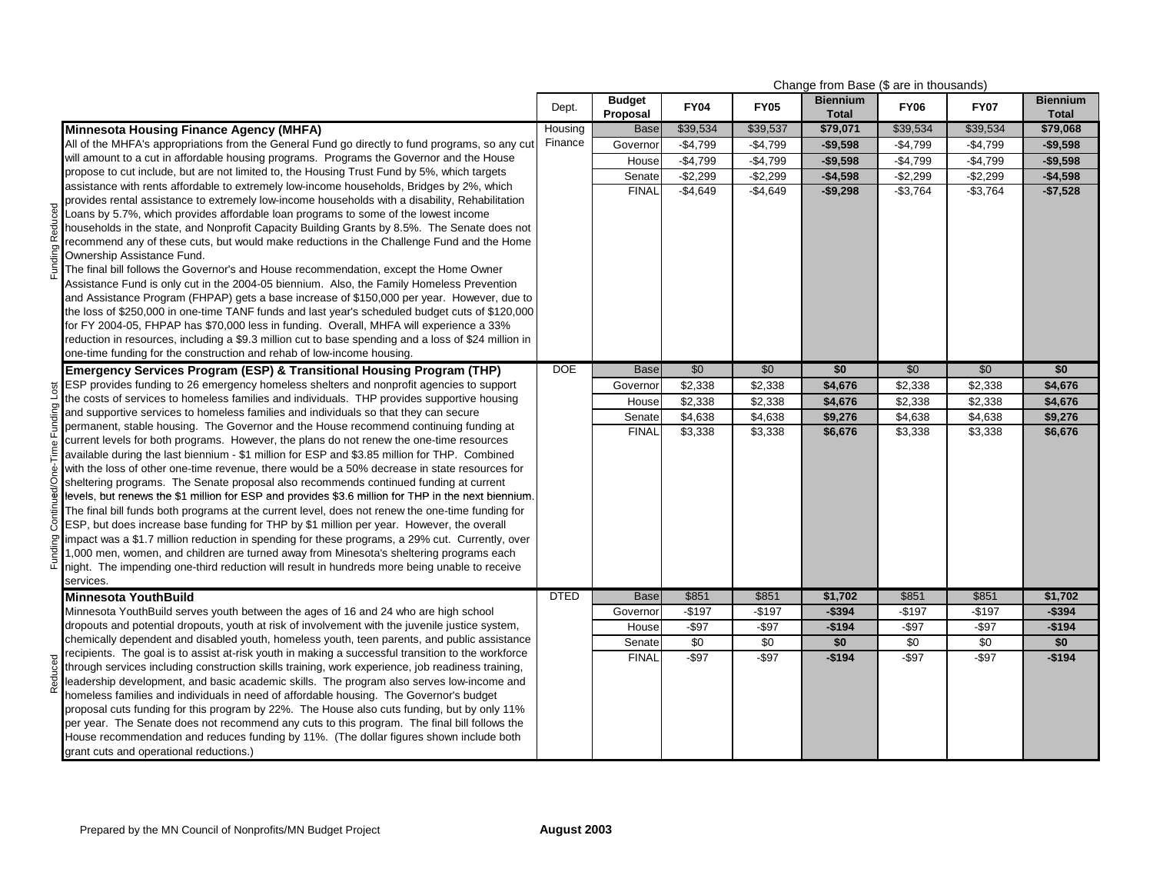|         |                                                                                                            | Change from Base (\$ are in thousands) |                           |             |             |                                 |             |                        |                                 |
|---------|------------------------------------------------------------------------------------------------------------|----------------------------------------|---------------------------|-------------|-------------|---------------------------------|-------------|------------------------|---------------------------------|
|         |                                                                                                            | Dept.                                  | <b>Budget</b><br>Proposal | <b>FY04</b> | <b>FY05</b> | <b>Biennium</b><br><b>Total</b> | <b>FY06</b> | <b>FY07</b>            | <b>Biennium</b><br><b>Total</b> |
|         | <b>Minnesota Housing Finance Agency (MHFA)</b>                                                             | Housing                                | <b>Base</b>               | \$39,534    | \$39,537    | \$79,071                        | \$39,534    | \$39,534               | \$79,068                        |
|         | All of the MHFA's appropriations from the General Fund go directly to fund programs, so any cut            | Finance                                | Governor                  | $-$4,799$   | $-$4,799$   | $-$9,598$                       | $-$4,799$   | $-$4,799$              | $-$9,598$                       |
|         | will amount to a cut in affordable housing programs. Programs the Governor and the House                   |                                        | House                     | $-$4,799$   | $-$4,799$   | $-$9,598$                       | $-$4,799$   | $-$4,799$              | $-$9,598$                       |
|         | propose to cut include, but are not limited to, the Housing Trust Fund by 5%, which targets                |                                        | Senate                    | $-$2,299$   | $-$2,299$   | $-$4,598$                       | $-$2,299$   | $\overline{-}$ \$2,299 | $-$4,598$                       |
|         | assistance with rents affordable to extremely low-income households, Bridges by 2%, which                  |                                        | <b>FINAL</b>              | $-$4,649$   | $-$4,649$   | $-$9,298$                       | $-$3,764$   | $-$3,764$              | $-$7,528$                       |
|         | provides rental assistance to extremely low-income households with a disability, Rehabilitation            |                                        |                           |             |             |                                 |             |                        |                                 |
|         | Loans by 5.7%, which provides affordable loan programs to some of the lowest income                        |                                        |                           |             |             |                                 |             |                        |                                 |
|         | households in the state, and Nonprofit Capacity Building Grants by 8.5%. The Senate does not               |                                        |                           |             |             |                                 |             |                        |                                 |
|         | recommend any of these cuts, but would make reductions in the Challenge Fund and the Home                  |                                        |                           |             |             |                                 |             |                        |                                 |
|         | Ownership Assistance Fund.                                                                                 |                                        |                           |             |             |                                 |             |                        |                                 |
| Pain-   | The final bill follows the Governor's and House recommendation, except the Home Owner                      |                                        |                           |             |             |                                 |             |                        |                                 |
|         | Assistance Fund is only cut in the 2004-05 biennium. Also, the Family Homeless Prevention                  |                                        |                           |             |             |                                 |             |                        |                                 |
|         | and Assistance Program (FHPAP) gets a base increase of \$150,000 per year. However, due to                 |                                        |                           |             |             |                                 |             |                        |                                 |
|         | the loss of \$250,000 in one-time TANF funds and last year's scheduled budget cuts of \$120,000            |                                        |                           |             |             |                                 |             |                        |                                 |
|         | for FY 2004-05, FHPAP has \$70,000 less in funding. Overall, MHFA will experience a 33%                    |                                        |                           |             |             |                                 |             |                        |                                 |
|         | reduction in resources, including a \$9.3 million cut to base spending and a loss of \$24 million in       |                                        |                           |             |             |                                 |             |                        |                                 |
|         | one-time funding for the construction and rehab of low-income housing.                                     |                                        |                           |             |             |                                 |             |                        |                                 |
|         | <b>Emergency Services Program (ESP) &amp; Transitional Housing Program (THP)</b>                           | <b>DOE</b>                             | <b>Base</b>               | \$0         | \$0         | \$0                             | \$0         | \$0                    | \$0                             |
| Lost    | ESP provides funding to 26 emergency homeless shelters and nonprofit agencies to support                   |                                        | Governor                  | \$2,338     | \$2,338     | \$4,676                         | \$2,338     | \$2,338                | \$4,676                         |
|         | the costs of services to homeless families and individuals. THP provides supportive housing                |                                        | House                     | \$2,338     | \$2,338     | \$4,676                         | \$2,338     | \$2,338                | \$4,676                         |
|         | and supportive services to homeless families and individuals so that they can secure                       |                                        | Senate                    | \$4,638     | \$4,638     | \$9,276                         | \$4,638     | \$4,638                | \$9,276                         |
|         | permanent, stable housing. The Governor and the House recommend continuing funding at                      |                                        | <b>FINAL</b>              | \$3,338     | \$3,338     | \$6,676                         | \$3,338     | \$3,338                | \$6,676                         |
|         | current levels for both programs. However, the plans do not renew the one-time resources                   |                                        |                           |             |             |                                 |             |                        |                                 |
|         | available during the last biennium - \$1 million for ESP and \$3.85 million for THP. Combined              |                                        |                           |             |             |                                 |             |                        |                                 |
|         | with the loss of other one-time revenue, there would be a 50% decrease in state resources for              |                                        |                           |             |             |                                 |             |                        |                                 |
|         | sheltering programs. The Senate proposal also recommends continued funding at current                      |                                        |                           |             |             |                                 |             |                        |                                 |
|         | levels, but renews the \$1 million for ESP and provides \$3.6 million for THP in the next biennium.        |                                        |                           |             |             |                                 |             |                        |                                 |
| Continu | The final bill funds both programs at the current level, does not renew the one-time funding for           |                                        |                           |             |             |                                 |             |                        |                                 |
|         | ESP, but does increase base funding for THP by \$1 million per year. However, the overall                  |                                        |                           |             |             |                                 |             |                        |                                 |
|         | limpact was a \$1.7 million reduction in spending for these programs, a 29% cut. Currently, over           |                                        |                           |             |             |                                 |             |                        |                                 |
| Funding | 1,000 men, women, and children are turned away from Minesota's sheltering programs each                    |                                        |                           |             |             |                                 |             |                        |                                 |
|         | night. The impending one-third reduction will result in hundreds more being unable to receive<br>services. |                                        |                           |             |             |                                 |             |                        |                                 |
|         | <b>Minnesota YouthBuild</b>                                                                                | <b>DTED</b>                            | <b>Base</b>               | \$851       | \$851       | \$1,702                         | \$851       | \$851                  | \$1,702                         |
|         | Minnesota YouthBuild serves youth between the ages of 16 and 24 who are high school                        |                                        | Governor                  | $-$197$     | $-$197$     | $-$394$                         | $-$197$     | $-$197$                | $-$394$                         |
|         | dropouts and potential dropouts, youth at risk of involvement with the juvenile justice system,            |                                        | House                     | $-$ \$97    | $-$ \$97    | $-$194$                         | $-$ \$97    | $-$ \$97               | $-$194$                         |
|         | chemically dependent and disabled youth, homeless youth, teen parents, and public assistance               |                                        | Senate                    | \$0         | \$0         | \$0                             | \$0         | \$0                    | \$0                             |
|         | recipients. The goal is to assist at-risk youth in making a successful transition to the workforce         |                                        | <b>FINAL</b>              | $-$ \$97    | $-$ \$97    | $-$194$                         | $-$ \$97    | $-$ \$97               | $-$194$                         |
| Reduced | through services including construction skills training, work experience, job readiness training,          |                                        |                           |             |             |                                 |             |                        |                                 |
|         | leadership development, and basic academic skills. The program also serves low-income and                  |                                        |                           |             |             |                                 |             |                        |                                 |
|         | homeless families and individuals in need of affordable housing. The Governor's budget                     |                                        |                           |             |             |                                 |             |                        |                                 |
|         | proposal cuts funding for this program by 22%. The House also cuts funding, but by only 11%                |                                        |                           |             |             |                                 |             |                        |                                 |
|         | per year. The Senate does not recommend any cuts to this program. The final bill follows the               |                                        |                           |             |             |                                 |             |                        |                                 |
|         | House recommendation and reduces funding by 11%. (The dollar figures shown include both                    |                                        |                           |             |             |                                 |             |                        |                                 |
|         | grant cuts and operational reductions.)                                                                    |                                        |                           |             |             |                                 |             |                        |                                 |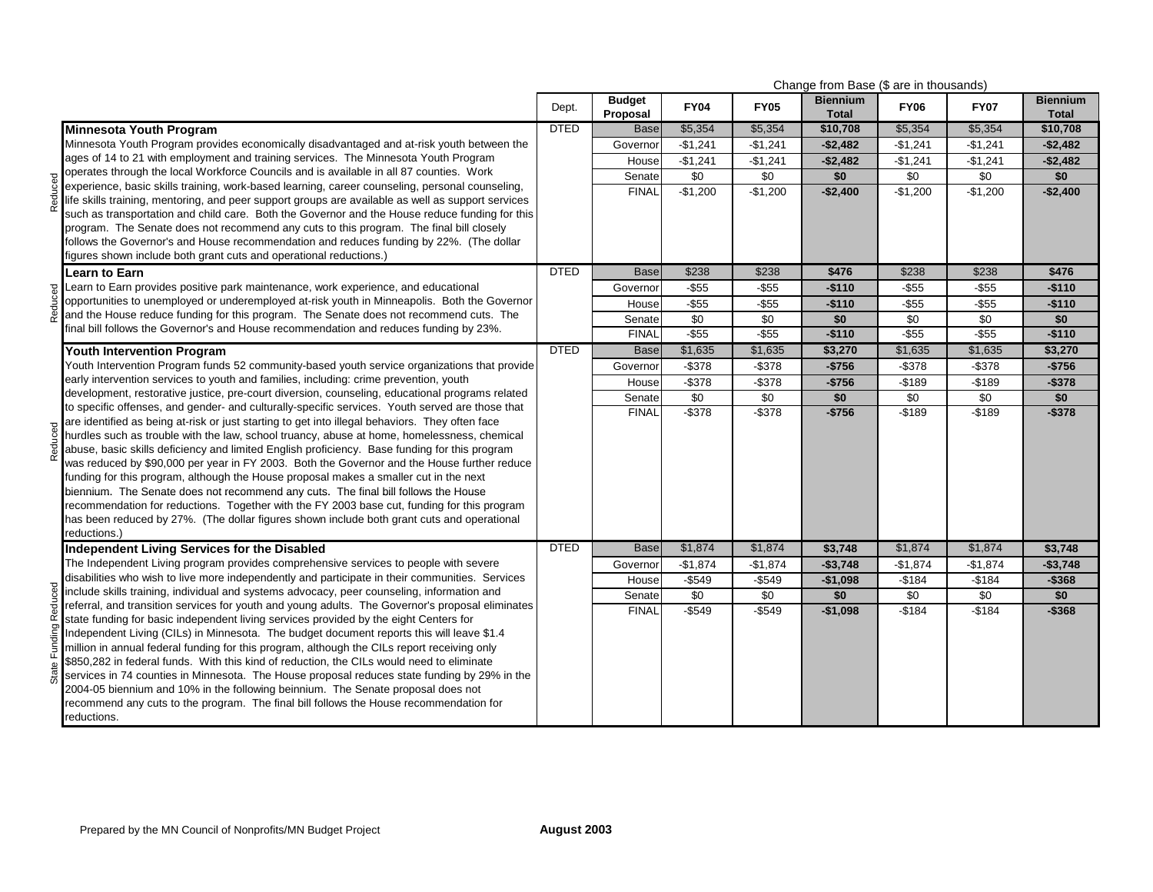|        |                                                                                                                                                                                                       |             | Change from Base (\$ are in thousands) |             |             |                                 |             |             |                                 |
|--------|-------------------------------------------------------------------------------------------------------------------------------------------------------------------------------------------------------|-------------|----------------------------------------|-------------|-------------|---------------------------------|-------------|-------------|---------------------------------|
|        |                                                                                                                                                                                                       | Dept.       | <b>Budget</b><br>Proposal              | <b>FY04</b> | <b>FY05</b> | <b>Biennium</b><br><b>Total</b> | <b>FY06</b> | <b>FY07</b> | <b>Biennium</b><br><b>Total</b> |
|        | <b>Minnesota Youth Program</b>                                                                                                                                                                        | <b>DTED</b> | <b>Base</b>                            | \$5,354     | \$5,354     | \$10,708                        | \$5,354     | \$5,354     | \$10,708                        |
|        | Minnesota Youth Program provides economically disadvantaged and at-risk youth between the                                                                                                             |             | Governor                               | $-$1,241$   | $-$1,241$   | $-$2,482$                       | $-$1,241$   | $-$1,241$   | $-$2,482$                       |
|        | ages of 14 to 21 with employment and training services. The Minnesota Youth Program                                                                                                                   |             | House                                  | $-$1,241$   | $-$1,241$   | $-$2,482$                       | $-$1,241$   | $-$1,241$   | $-$2,482$                       |
|        | operates through the local Workforce Councils and is available in all 87 counties. Work                                                                                                               |             | Senate                                 | \$0         | \$0         | \$0                             | \$0         | \$0         | \$0                             |
| Reduce | experience, basic skills training, work-based learning, career counseling, personal counseling,<br>life skills training, mentoring, and peer support groups are available as well as support services |             | <b>FINAL</b>                           | $-$1,200$   | $-$1,200$   | $-$2,400$                       | $-$1,200$   | $-$1,200$   | $-$2,400$                       |
|        | such as transportation and child care. Both the Governor and the House reduce funding for this                                                                                                        |             |                                        |             |             |                                 |             |             |                                 |
|        | program. The Senate does not recommend any cuts to this program. The final bill closely                                                                                                               |             |                                        |             |             |                                 |             |             |                                 |
|        | follows the Governor's and House recommendation and reduces funding by 22%. (The dollar                                                                                                               |             |                                        |             |             |                                 |             |             |                                 |
|        | figures shown include both grant cuts and operational reductions.)                                                                                                                                    |             |                                        |             |             |                                 |             |             |                                 |
|        | Learn to Earn                                                                                                                                                                                         | <b>DTED</b> | <b>Base</b>                            | \$238       | \$238       | \$476                           | \$238       | \$238       | \$476                           |
|        | Learn to Earn provides positive park maintenance, work experience, and educational                                                                                                                    |             | Governor                               | $-$ \$55    | $-$55$      | $-$110$                         | $-$55$      | $-$55$      | $-$110$                         |
|        | opportunities to unemployed or underemployed at-risk youth in Minneapolis. Both the Governor<br>and the House reduce funding for this program. The Senate does not recommend cuts. The                |             | House                                  | $-$ \$55    | $-$55$      | $-$110$                         | $-$55$      | $-$ \$55    | $-$110$                         |
|        | final bill follows the Governor's and House recommendation and reduces funding by 23%.                                                                                                                |             | Senate                                 | \$0         | \$0         | \$0                             | \$0         | \$0         | \$0                             |
|        |                                                                                                                                                                                                       | <b>DTED</b> | <b>FINAL</b>                           | $-$ \$55    | $-$ \$55    | $-$110$                         | $-$ \$55    | $-$ \$55    | $-$110$                         |
|        | <b>Youth Intervention Program</b>                                                                                                                                                                     |             | <b>Base</b>                            | \$1,635     | \$1,635     | \$3,270                         | \$1,635     | \$1,635     | \$3,270                         |
|        | Youth Intervention Program funds 52 community-based youth service organizations that provide                                                                                                          |             | Governor                               | $-$ \$378   | $-$ \$378   | $-$756$                         | $-$ \$378   | $-$ \$378   | $-$756$                         |
|        | early intervention services to youth and families, including: crime prevention, youth<br>development, restorative justice, pre-court diversion, counseling, educational programs related              |             | House                                  | $-$ \$378   | $-$ \$378   | $-$756$                         | $-$189$     | -\$189      | $-$378$                         |
|        | to specific offenses, and gender- and culturally-specific services. Youth served are those that                                                                                                       |             | Senate                                 | \$0         | \$0         | \$0                             | \$0         | \$0         | \$0                             |
|        | are identified as being at-risk or just starting to get into illegal behaviors. They often face                                                                                                       |             | <b>FINAL</b>                           | $-$ \$378   | $-$ \$378   | $-$756$                         | $-$189$     | $-$189$     | $-$ \$378                       |
|        | hurdles such as trouble with the law, school truancy, abuse at home, homelessness, chemical                                                                                                           |             |                                        |             |             |                                 |             |             |                                 |
|        | abuse, basic skills deficiency and limited English proficiency. Base funding for this program                                                                                                         |             |                                        |             |             |                                 |             |             |                                 |
|        | was reduced by \$90,000 per year in FY 2003. Both the Governor and the House further reduce                                                                                                           |             |                                        |             |             |                                 |             |             |                                 |
|        | funding for this program, although the House proposal makes a smaller cut in the next                                                                                                                 |             |                                        |             |             |                                 |             |             |                                 |
|        | biennium. The Senate does not recommend any cuts. The final bill follows the House<br>recommendation for reductions. Together with the FY 2003 base cut, funding for this program                     |             |                                        |             |             |                                 |             |             |                                 |
|        | has been reduced by 27%. (The dollar figures shown include both grant cuts and operational                                                                                                            |             |                                        |             |             |                                 |             |             |                                 |
|        | reductions.)                                                                                                                                                                                          |             |                                        |             |             |                                 |             |             |                                 |
|        | Independent Living Services for the Disabled                                                                                                                                                          | <b>DTED</b> | <b>Base</b>                            | \$1,874     | \$1,874     | \$3,748                         | \$1,874     | \$1,874     | \$3,748                         |
|        | The Independent Living program provides comprehensive services to people with severe                                                                                                                  |             | Governor                               | $-$1,874$   | $-$1,874$   | $-$3,748$                       | $-$1,874$   | $-$1,874$   | $-$3,748$                       |
|        | disabilities who wish to live more independently and participate in their communities. Services                                                                                                       |             | House                                  | $-$549$     | $-$549$     | $-$1,098$                       | $-$184$     | $-$184$     | $-$368$                         |
|        | include skills training, individual and systems advocacy, peer counseling, information and                                                                                                            |             | Senate                                 | \$0         | \$0         | \$0                             | \$0         | \$0         | \$0                             |
| Reduce | referral, and transition services for youth and young adults. The Governor's proposal eliminates                                                                                                      |             | <b>FINAL</b>                           | $-$549$     | $-$549$     | $-$1,098$                       | $-$184$     | $-$184$     | $-$ \$368                       |
|        | state funding for basic independent living services provided by the eight Centers for<br>Independent Living (CILs) in Minnesota. The budget document reports this will leave \$1.4                    |             |                                        |             |             |                                 |             |             |                                 |
|        | million in annual federal funding for this program, although the CILs report receiving only                                                                                                           |             |                                        |             |             |                                 |             |             |                                 |
|        | \$850,282 in federal funds. With this kind of reduction, the CILs would need to eliminate                                                                                                             |             |                                        |             |             |                                 |             |             |                                 |
|        | services in 74 counties in Minnesota. The House proposal reduces state funding by 29% in the                                                                                                          |             |                                        |             |             |                                 |             |             |                                 |
|        | 2004-05 biennium and 10% in the following beinnium. The Senate proposal does not                                                                                                                      |             |                                        |             |             |                                 |             |             |                                 |
|        | recommend any cuts to the program. The final bill follows the House recommendation for                                                                                                                |             |                                        |             |             |                                 |             |             |                                 |
|        | reductions.                                                                                                                                                                                           |             |                                        |             |             |                                 |             |             |                                 |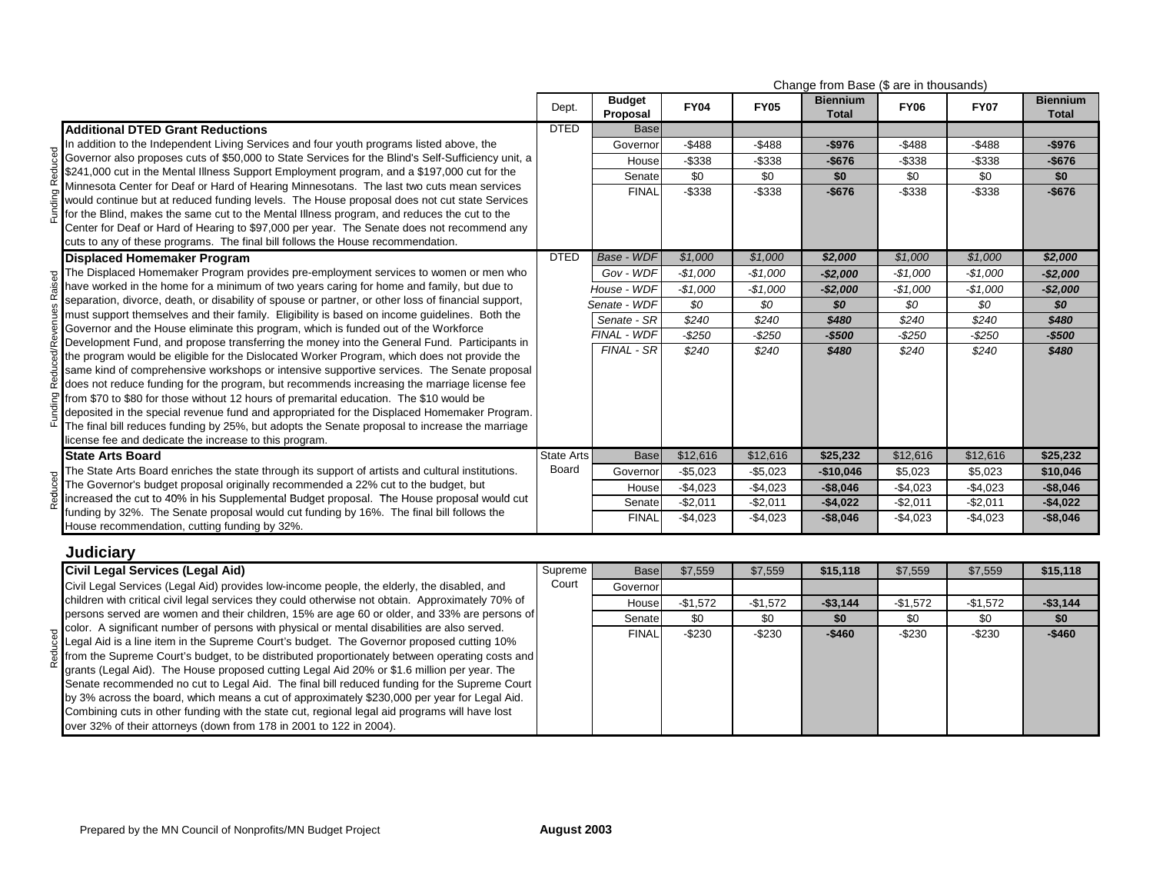|                                                                                                                                                                                         | Change from Base (\$ are in thousands) |                           |             |             |                                 |             |              |                                 |
|-----------------------------------------------------------------------------------------------------------------------------------------------------------------------------------------|----------------------------------------|---------------------------|-------------|-------------|---------------------------------|-------------|--------------|---------------------------------|
|                                                                                                                                                                                         | Dept.                                  | <b>Budget</b><br>Proposal | <b>FY04</b> | <b>FY05</b> | <b>Biennium</b><br><b>Total</b> | <b>FY06</b> | <b>FY07</b>  | <b>Biennium</b><br><b>Total</b> |
| <b>Additional DTED Grant Reductions</b>                                                                                                                                                 | <b>DTED</b>                            | <b>Base</b>               |             |             |                                 |             |              |                                 |
| In addition to the Independent Living Services and four youth programs listed above, the                                                                                                |                                        | Governor                  | $-$ \$488   | $-$ \$488   | $-$976$                         | $-$ \$488   | $-$ \$488    | $-$976$                         |
| Governor also proposes cuts of \$50,000 to State Services for the Blind's Self-Sufficiency unit, a                                                                                      |                                        | House                     | $-$ \$338   | $-$ \$338   | $-$676$                         | $-$ \$338   | $-$ \$338    | $-$676$                         |
| \$241,000 cut in the Mental Illness Support Employment program, and a \$197,000 cut for the                                                                                             |                                        | Senate                    | \$0         | \$0         | \$0                             | \$0         | \$0          | \$0                             |
| Minnesota Center for Deaf or Hard of Hearing Minnesotans. The last two cuts mean services                                                                                               |                                        | <b>FINAL</b>              | $-$ \$338   | $-$ \$338   | $-$676$                         | $-$338$     | $-$ \$338    | $-$676$                         |
| would continue but at reduced funding levels. The House proposal does not cut state Services                                                                                            |                                        |                           |             |             |                                 |             |              |                                 |
| for the Blind, makes the same cut to the Mental Illness program, and reduces the cut to the                                                                                             |                                        |                           |             |             |                                 |             |              |                                 |
| Center for Deaf or Hard of Hearing to \$97,000 per year. The Senate does not recommend any<br>cuts to any of these programs. The final bill follows the House recommendation.           |                                        |                           |             |             |                                 |             |              |                                 |
| <b>Displaced Homemaker Program</b>                                                                                                                                                      | <b>DTED</b>                            | Base - WDF                | \$1,000     | \$1,000     | \$2,000                         | \$1,000     | \$1,000      | \$2,000                         |
| p. The Displaced Homemaker Program provides pre-employment services to women or men who                                                                                                 |                                        | Gov - WDF                 | $-$1,000$   | $-$1,000$   | $-$2,000$                       | $-$1,000$   | $-$1,000$    | -\$2,000                        |
| have worked in the home for a minimum of two years caring for home and family, but due to                                                                                               |                                        | House - WDF               | $-$1,000$   | $-$1,000$   | $-$2,000$                       | $-$1,000$   | $-$1,000$    | $-$2,000$                       |
| separation, divorce, death, or disability of spouse or partner, or other loss of financial support,                                                                                     |                                        | Senate - WDF              | \$0         | \$0         |                                 |             |              |                                 |
| must support themselves and their family. Eligibility is based on income guidelines. Both the                                                                                           |                                        | Senate - SR               |             |             | \$0                             | \$0         | \$0<br>\$240 | \$0                             |
| Governor and the House eliminate this program, which is funded out of the Workforce                                                                                                     |                                        | FINAL - WDF               | \$240       | \$240       | \$480                           | \$240       |              | \$480                           |
| Development Fund, and propose transferring the money into the General Fund. Participants in                                                                                             |                                        | <b>FINAL - SR</b>         | $-$250$     | $-$250$     | $-$500$                         | $-$ \$250   | $-$ \$250    | $-$500$                         |
| the program would be eligible for the Dislocated Worker Program, which does not provide the                                                                                             |                                        |                           | \$240       | \$240       | \$480                           | \$240       | \$240        | \$480                           |
| same kind of comprehensive workshops or intensive supportive services. The Senate proposal                                                                                              |                                        |                           |             |             |                                 |             |              |                                 |
| does not reduce funding for the program, but recommends increasing the marriage license fee                                                                                             |                                        |                           |             |             |                                 |             |              |                                 |
| $\mathbb{P}$ from \$70 to \$80 for those without 12 hours of premarital education. The \$10 would be                                                                                    |                                        |                           |             |             |                                 |             |              |                                 |
| deposited in the special revenue fund and appropriated for the Displaced Homemaker Program.                                                                                             |                                        |                           |             |             |                                 |             |              |                                 |
| The final bill reduces funding by 25%, but adopts the Senate proposal to increase the marriage                                                                                          |                                        |                           |             |             |                                 |             |              |                                 |
| license fee and dedicate the increase to this program.                                                                                                                                  | State Arts                             | <b>Base</b>               | \$12,616    | \$12,616    | \$25,232                        | \$12,616    | \$12,616     | \$25,232                        |
| <b>State Arts Board</b>                                                                                                                                                                 | Board                                  |                           |             |             |                                 |             |              |                                 |
| The State Arts Board enriches the state through its support of artists and cultural institutions.<br>The Governor's budget proposal originally recommended a 22% cut to the budget, but |                                        | Governor                  | $-$5,023$   | $-$5,023$   | $-$10,046$                      | \$5,023     | \$5,023      | \$10,046                        |
| increased the cut to 40% in his Supplemental Budget proposal. The House proposal would cut                                                                                              |                                        | House                     | $-$4,023$   | $-$4,023$   | $-$8,046$                       | $-$4,023$   | $-$4,023$    | $-$8,046$                       |
| funding by 32%. The Senate proposal would cut funding by 16%. The final bill follows the                                                                                                |                                        | Senatel                   | $-$2,011$   | $-$2,011$   | $-$4,022$                       | $-$2,011$   | $-$2,011$    | $-$4,022$                       |
| House recommendation, cutting funding by 32%.                                                                                                                                           |                                        | <b>FINAL</b>              | $-$ \$4,023 | $-$4,023$   | $-$ \$8,046                     | $-$4,023$   | $-$4,023$    | $-$ \$8,046                     |
|                                                                                                                                                                                         |                                        |                           |             |             |                                 |             |              |                                 |

## **Judiciary**

| Civil Legal Services (Legal Aid)                                                                                                                                                                                                                                                                                                                                                                                                                                                                                                                                                                                                                                                                                                                                    | Supreme | Basel        | \$7.559   | \$7,559   | \$15.118  | \$7,559   | \$7,559   | \$15,118  |
|---------------------------------------------------------------------------------------------------------------------------------------------------------------------------------------------------------------------------------------------------------------------------------------------------------------------------------------------------------------------------------------------------------------------------------------------------------------------------------------------------------------------------------------------------------------------------------------------------------------------------------------------------------------------------------------------------------------------------------------------------------------------|---------|--------------|-----------|-----------|-----------|-----------|-----------|-----------|
| Civil Legal Services (Legal Aid) provides low-income people, the elderly, the disabled, and                                                                                                                                                                                                                                                                                                                                                                                                                                                                                                                                                                                                                                                                         | Court   | Governor     |           |           |           |           |           |           |
| children with critical civil legal services they could otherwise not obtain. Approximately 70% of                                                                                                                                                                                                                                                                                                                                                                                                                                                                                                                                                                                                                                                                   |         | House        | $-$1,572$ | $-$1,572$ | $-$3,144$ | -\$1,572  | $-$1,572$ | $-$3,144$ |
| persons served are women and their children, 15% are age 60 or older, and 33% are persons of                                                                                                                                                                                                                                                                                                                                                                                                                                                                                                                                                                                                                                                                        |         | Senate       | \$0       | \$0       | \$0       | \$0       | \$0       | \$0       |
| color. A significant number of persons with physical or mental disabilities are also served.<br>Legal Aid is a line item in the Supreme Court's budget. The Governor proposed cutting 10%<br>from the Supreme Court's budget, to be distributed proportionately between operating costs and<br>grants (Legal Aid). The House proposed cutting Legal Aid 20% or \$1.6 million per year. The<br>Senate recommended no cut to Legal Aid. The final bill reduced funding for the Supreme Court<br>by 3% across the board, which means a cut of approximately \$230,000 per year for Legal Aid.<br>Combining cuts in other funding with the state cut, regional legal aid programs will have lost<br>over 32% of their attorneys (down from 178 in 2001 to 122 in 2004). |         | <b>FINAL</b> | $-$ \$230 | $-$230$   | $-$ \$460 | $-$ \$230 | $-$230$   | $-$460$   |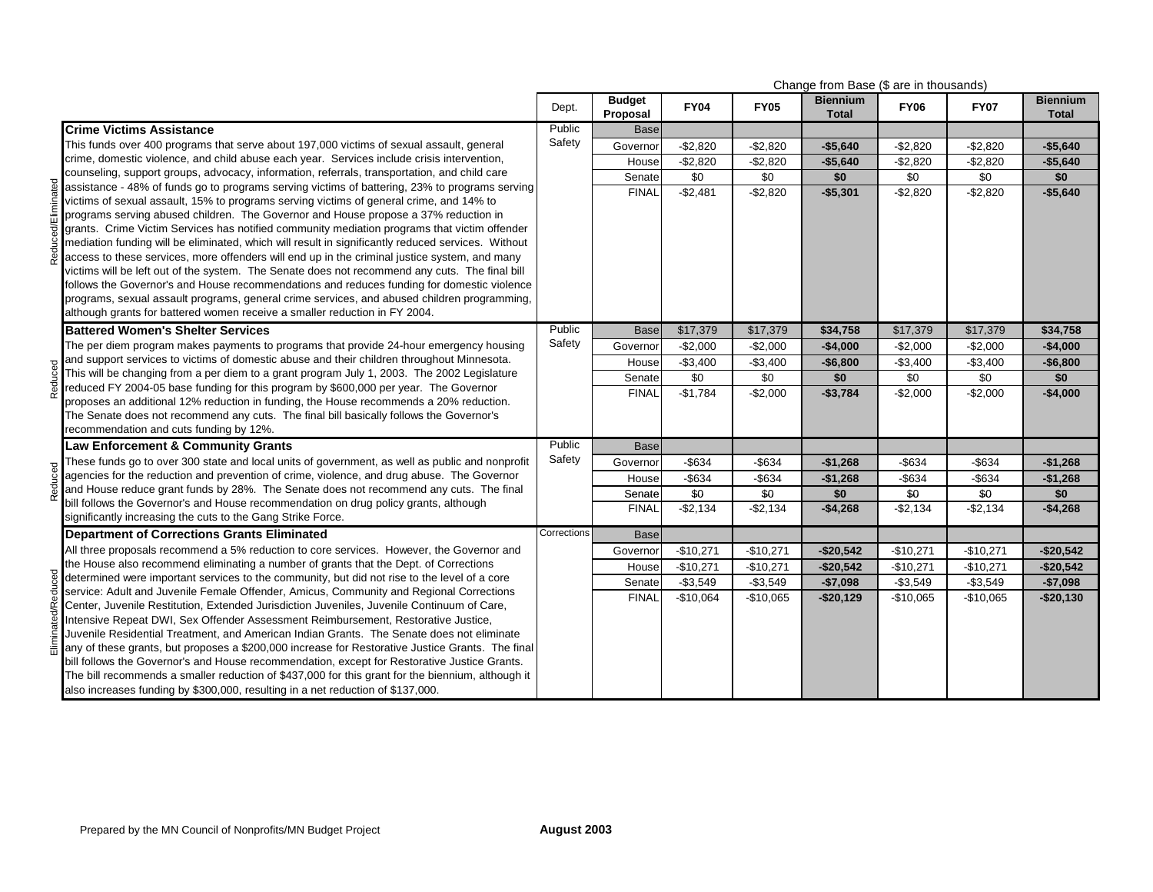|  |                                                                                                                                                                                                   | Change from Base (\$ are in thousands) |                           |             |             |                                 |             |             |                                 |
|--|---------------------------------------------------------------------------------------------------------------------------------------------------------------------------------------------------|----------------------------------------|---------------------------|-------------|-------------|---------------------------------|-------------|-------------|---------------------------------|
|  |                                                                                                                                                                                                   | Dept.                                  | <b>Budget</b><br>Proposal | <b>FY04</b> | <b>FY05</b> | <b>Biennium</b><br><b>Total</b> | <b>FY06</b> | <b>FY07</b> | <b>Biennium</b><br><b>Total</b> |
|  | <b>Crime Victims Assistance</b>                                                                                                                                                                   | Public                                 | <b>Base</b>               |             |             |                                 |             |             |                                 |
|  | This funds over 400 programs that serve about 197,000 victims of sexual assault, general                                                                                                          | Safety                                 | Governor                  | $-$2,820$   | $-$2,820$   | $-$5,640$                       | $-$2,820$   | $-$2,820$   | $-$5,640$                       |
|  | crime, domestic violence, and child abuse each year. Services include crisis intervention,                                                                                                        |                                        | House                     | $-$2,820$   | $-$2,820$   | $-$5,640$                       | $-$2,820$   | $-$2,820$   | $-$5,640$                       |
|  | counseling, support groups, advocacy, information, referrals, transportation, and child care                                                                                                      |                                        | Senate                    | \$0         | \$0         | \$0                             | \$0         | \$0         | \$0                             |
|  | assistance - 48% of funds go to programs serving victims of battering, 23% to programs serving                                                                                                    |                                        | <b>FINAL</b>              | $-$2,481$   | $-$2,820$   | $-$5,301$                       | $-$2,820$   | $-$2,820$   | $-$5,640$                       |
|  | victims of sexual assault, 15% to programs serving victims of general crime, and 14% to                                                                                                           |                                        |                           |             |             |                                 |             |             |                                 |
|  | programs serving abused children. The Governor and House propose a 37% reduction in                                                                                                               |                                        |                           |             |             |                                 |             |             |                                 |
|  | grants. Crime Victim Services has notified community mediation programs that victim offender                                                                                                      |                                        |                           |             |             |                                 |             |             |                                 |
|  | mediation funding will be eliminated, which will result in significantly reduced services. Without                                                                                                |                                        |                           |             |             |                                 |             |             |                                 |
|  | access to these services, more offenders will end up in the criminal justice system, and many                                                                                                     |                                        |                           |             |             |                                 |             |             |                                 |
|  | victims will be left out of the system. The Senate does not recommend any cuts. The final bill<br>follows the Governor's and House recommendations and reduces funding for domestic violence      |                                        |                           |             |             |                                 |             |             |                                 |
|  | programs, sexual assault programs, general crime services, and abused children programming,                                                                                                       |                                        |                           |             |             |                                 |             |             |                                 |
|  | although grants for battered women receive a smaller reduction in FY 2004.                                                                                                                        |                                        |                           |             |             |                                 |             |             |                                 |
|  | <b>Battered Women's Shelter Services</b>                                                                                                                                                          | Public                                 | <b>Base</b>               | \$17,379    | \$17,379    | \$34,758                        | \$17,379    | \$17,379    | \$34,758                        |
|  |                                                                                                                                                                                                   | Safety                                 |                           |             |             |                                 |             |             |                                 |
|  | The per diem program makes payments to programs that provide 24-hour emergency housing<br>and support services to victims of domestic abuse and their children throughout Minnesota.              |                                        | Governor                  | $-$2,000$   | $-$2,000$   | $-$4,000$                       | $-$2,000$   | $-$2,000$   | $-$4,000$                       |
|  | This will be changing from a per diem to a grant program July 1, 2003. The 2002 Legislature                                                                                                       |                                        | House                     | $-$3,400$   | $-$3,400$   | $-$6,800$                       | $-$3,400$   | $-$3,400$   | $-$6,800$                       |
|  | reduced FY 2004-05 base funding for this program by \$600,000 per year. The Governor                                                                                                              |                                        | Senate                    | \$0         | \$0         | \$0                             | \$0         | \$0         | \$0                             |
|  | proposes an additional 12% reduction in funding, the House recommends a 20% reduction.                                                                                                            |                                        | <b>FINAL</b>              | $-$1,784$   | $-$2,000$   | $-$3,784$                       | $-$2,000$   | $-$2,000$   | $-$4,000$                       |
|  | The Senate does not recommend any cuts. The final bill basically follows the Governor's                                                                                                           |                                        |                           |             |             |                                 |             |             |                                 |
|  | recommendation and cuts funding by 12%.                                                                                                                                                           |                                        |                           |             |             |                                 |             |             |                                 |
|  | <b>Law Enforcement &amp; Community Grants</b>                                                                                                                                                     | Public                                 | <b>Base</b>               |             |             |                                 |             |             |                                 |
|  | These funds go to over 300 state and local units of government, as well as public and nonprofit                                                                                                   | Safety                                 | Governor                  | $-$ \$634   | $-$ \$634   | $-$1,268$                       | $-$ \$634   | $-$ \$634   | $-$1,268$                       |
|  | agencies for the reduction and prevention of crime, violence, and drug abuse. The Governor                                                                                                        |                                        | House                     | $-$634$     | $-$634$     | $-$1,268$                       | $-$634$     | $-$634$     | $-$1,268$                       |
|  | and House reduce grant funds by 28%. The Senate does not recommend any cuts. The final                                                                                                            |                                        | Senate                    | \$0         | \$0         | \$0                             | \$0         | \$0         | \$0                             |
|  | bill follows the Governor's and House recommendation on drug policy grants, although                                                                                                              |                                        | <b>FINAL</b>              | $-$2,134$   | $-$2,134$   | $-$4,268$                       | $-$2,134$   | -\$2,134    | $-$4,268$                       |
|  | significantly increasing the cuts to the Gang Strike Force.                                                                                                                                       |                                        |                           |             |             |                                 |             |             |                                 |
|  | <b>Department of Corrections Grants Eliminated</b>                                                                                                                                                | Corrections                            | <b>Base</b>               |             |             |                                 |             |             |                                 |
|  | All three proposals recommend a 5% reduction to core services. However, the Governor and                                                                                                          |                                        | Governor                  | $-$10,271$  | $-$10,271$  | $-$20,542$                      | $-$10,271$  | $-$10,271$  | $-$20,542$                      |
|  | the House also recommend eliminating a number of grants that the Dept. of Corrections                                                                                                             |                                        | House                     | $-$10,271$  | $-$10,271$  | $-$20,542$                      | $-$10,271$  | $-$10,271$  | $-$20,542$                      |
|  | determined were important services to the community, but did not rise to the level of a core                                                                                                      |                                        | Senate                    | $-$3,549$   | $-$ \$3,549 | $-$7,098$                       | $-$3,549$   | $-$3,549$   | $-$7,098$                       |
|  | service: Adult and Juvenile Female Offender, Amicus, Community and Regional Corrections                                                                                                           |                                        | <b>FINAL</b>              | $-$10,064$  | $-$10,065$  | $-$20,129$                      | $-$10,065$  | $-$10,065$  | $-$20,130$                      |
|  | Center, Juvenile Restitution, Extended Jurisdiction Juveniles, Juvenile Continuum of Care,                                                                                                        |                                        |                           |             |             |                                 |             |             |                                 |
|  | Intensive Repeat DWI, Sex Offender Assessment Reimbursement, Restorative Justice,                                                                                                                 |                                        |                           |             |             |                                 |             |             |                                 |
|  | Juvenile Residential Treatment, and American Indian Grants. The Senate does not eliminate                                                                                                         |                                        |                           |             |             |                                 |             |             |                                 |
|  | any of these grants, but proposes a \$200,000 increase for Restorative Justice Grants. The final                                                                                                  |                                        |                           |             |             |                                 |             |             |                                 |
|  | bill follows the Governor's and House recommendation, except for Restorative Justice Grants.<br>The bill recommends a smaller reduction of \$437,000 for this grant for the biennium, although it |                                        |                           |             |             |                                 |             |             |                                 |
|  | also increases funding by \$300,000, resulting in a net reduction of \$137,000.                                                                                                                   |                                        |                           |             |             |                                 |             |             |                                 |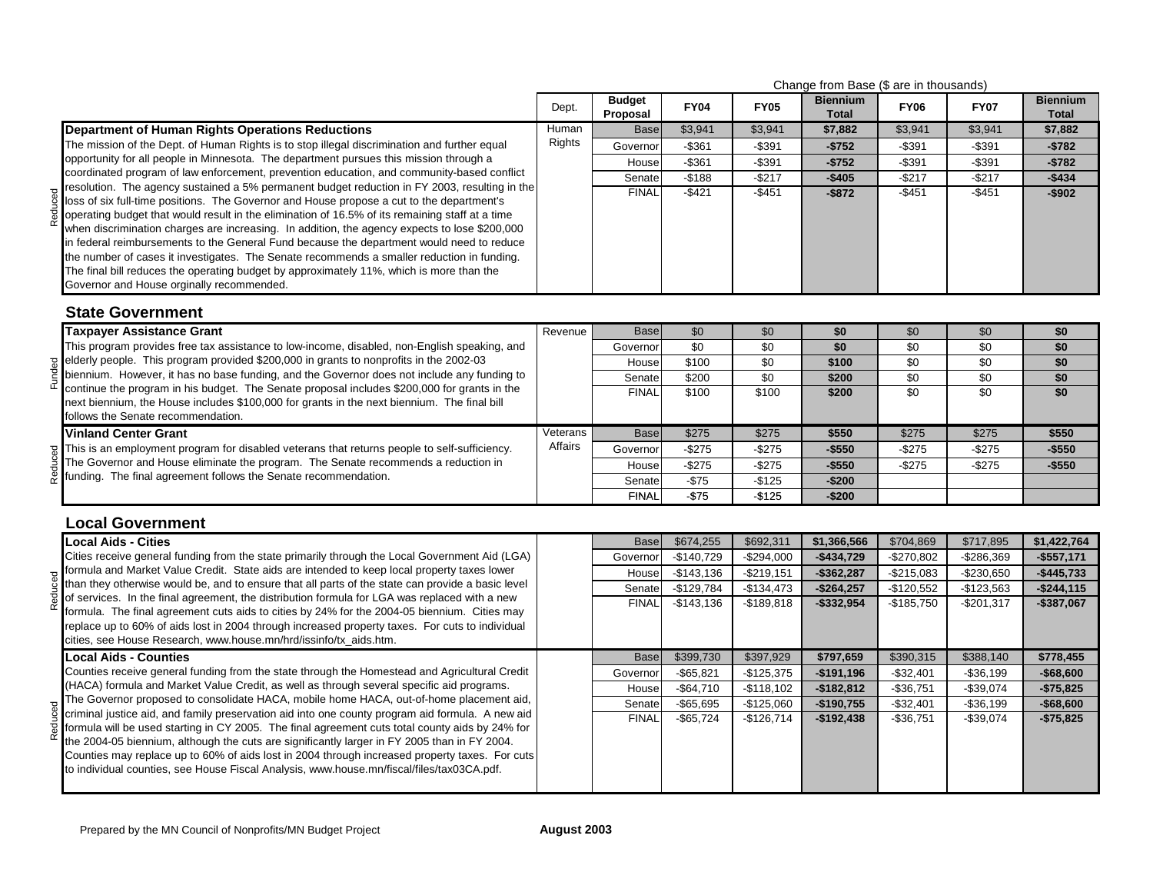|                                                                                                                                                                                                                                                                                                                                                                                                                                                                                                                                                                                                                                                                                                                                    |                                                                                                                                                                                                                                                                                                                                                                                                                                                                                                                                                                                                                                                                                                                                                                                                                             |                           |             |             |                                 | Change from Base (\$ are in thousands) |                 |                                 |  |
|------------------------------------------------------------------------------------------------------------------------------------------------------------------------------------------------------------------------------------------------------------------------------------------------------------------------------------------------------------------------------------------------------------------------------------------------------------------------------------------------------------------------------------------------------------------------------------------------------------------------------------------------------------------------------------------------------------------------------------|-----------------------------------------------------------------------------------------------------------------------------------------------------------------------------------------------------------------------------------------------------------------------------------------------------------------------------------------------------------------------------------------------------------------------------------------------------------------------------------------------------------------------------------------------------------------------------------------------------------------------------------------------------------------------------------------------------------------------------------------------------------------------------------------------------------------------------|---------------------------|-------------|-------------|---------------------------------|----------------------------------------|-----------------|---------------------------------|--|
|                                                                                                                                                                                                                                                                                                                                                                                                                                                                                                                                                                                                                                                                                                                                    | Dept.                                                                                                                                                                                                                                                                                                                                                                                                                                                                                                                                                                                                                                                                                                                                                                                                                       | <b>Budget</b><br>Proposal | <b>FY04</b> | <b>FY05</b> | <b>Biennium</b><br><b>Total</b> | <b>FY06</b>                            | <b>FY07</b>     | <b>Biennium</b><br><b>Total</b> |  |
| <b>Department of Human Rights Operations Reductions</b>                                                                                                                                                                                                                                                                                                                                                                                                                                                                                                                                                                                                                                                                            | Human                                                                                                                                                                                                                                                                                                                                                                                                                                                                                                                                                                                                                                                                                                                                                                                                                       | <b>Base</b>               | \$3,941     | \$3,941     | \$7,882                         | \$3,941                                | \$3,941         | \$7,882                         |  |
| The mission of the Dept. of Human Rights is to stop illegal discrimination and further equal                                                                                                                                                                                                                                                                                                                                                                                                                                                                                                                                                                                                                                       |                                                                                                                                                                                                                                                                                                                                                                                                                                                                                                                                                                                                                                                                                                                                                                                                                             | Governor                  | $-$361$     | $-$391$     | $-$752$                         | $-$ \$391                              | $-$391$         | $-$782$                         |  |
| opportunity for all people in Minnesota. The department pursues this mission through a                                                                                                                                                                                                                                                                                                                                                                                                                                                                                                                                                                                                                                             |                                                                                                                                                                                                                                                                                                                                                                                                                                                                                                                                                                                                                                                                                                                                                                                                                             | House                     | $- $361$    | $-$391$     | $-$752$                         | $-$391$                                | $-$391$         | $-$782$                         |  |
| coordinated program of law enforcement, prevention education, and community-based conflict                                                                                                                                                                                                                                                                                                                                                                                                                                                                                                                                                                                                                                         |                                                                                                                                                                                                                                                                                                                                                                                                                                                                                                                                                                                                                                                                                                                                                                                                                             | Senate                    |             |             |                                 |                                        | $-$217$         | $-$434$                         |  |
| resolution. The agency sustained a 5% permanent budget reduction in FY 2003, resulting in the<br>loss of six full-time positions. The Governor and House propose a cut to the department's<br>operating budget that would result in the elimination of 16.5% of its remaining staff at a time<br>when discrimination charges are increasing. In addition, the agency expects to lose \$200,000<br>in federal reimbursements to the General Fund because the department would need to reduce<br>the number of cases it investigates. The Senate recommends a smaller reduction in funding.<br>The final bill reduces the operating budget by approximately 11%, which is more than the<br>Governor and House orginally recommended. |                                                                                                                                                                                                                                                                                                                                                                                                                                                                                                                                                                                                                                                                                                                                                                                                                             |                           |             |             | $-$872$                         |                                        | $-$451$         | $-$902$                         |  |
| <b>State Government</b>                                                                                                                                                                                                                                                                                                                                                                                                                                                                                                                                                                                                                                                                                                            |                                                                                                                                                                                                                                                                                                                                                                                                                                                                                                                                                                                                                                                                                                                                                                                                                             |                           |             |             |                                 |                                        |                 |                                 |  |
| <b>Taxpayer Assistance Grant</b>                                                                                                                                                                                                                                                                                                                                                                                                                                                                                                                                                                                                                                                                                                   | Revenue                                                                                                                                                                                                                                                                                                                                                                                                                                                                                                                                                                                                                                                                                                                                                                                                                     | <b>Base</b>               | \$0         | \$0         | \$0                             | \$0                                    | \$0             | \$0                             |  |
| This program provides free tax assistance to low-income, disabled, non-English speaking, and                                                                                                                                                                                                                                                                                                                                                                                                                                                                                                                                                                                                                                       | Rights<br>$-$188$<br>$-$217$<br><b>FINAL</b><br>$-$421$<br>$-$451$<br>\$0<br>\$0<br>\$0<br>Governor<br>\$100<br>\$0<br>House<br>\$200<br>\$0<br>Senate<br><b>FINAL</b><br>\$100<br>\$100<br>Veterans<br>\$275<br>\$275<br><b>Base</b><br>Affairs<br>Governor<br>$-$ \$275<br>$-$ \$275<br>$-$ \$275<br>$-$275$<br>House<br>Senate<br>$-$75$<br>$-$125$<br>$-$75$<br><b>FINAL</b><br>$-$125$<br>\$674,255<br>\$692,311<br><b>Base</b><br>$-$140,729$<br>Governor<br>$-$294,000$<br>$-$143,136$<br>$-$219,151$<br>House<br>$-$129,784$<br>Senate<br>$-$134,473$<br>$-$143,136$<br><b>FINAL</b><br>$-$189.818$<br>\$399,730<br>\$397,929<br><b>Base</b><br>$-$ \$65,821<br>$-$125,375$<br>Governor<br>$-$64,710$<br>$-$118,102$<br>House<br>$-$ \$65,695<br>Senate<br>$-$125,060$<br><b>FINAL</b><br>$-$65,724$<br>$-$126,714$ |                           | \$0         | \$0         | \$0                             |                                        |                 |                                 |  |
| $\frac{1}{2}$ elderly people. This program provided \$200,000 in grants to nonprofits in the 2002-03                                                                                                                                                                                                                                                                                                                                                                                                                                                                                                                                                                                                                               |                                                                                                                                                                                                                                                                                                                                                                                                                                                                                                                                                                                                                                                                                                                                                                                                                             |                           |             |             |                                 |                                        | $\overline{30}$ | \$0                             |  |
| biennium. However, it has no base funding, and the Governor does not include any funding to<br>continue the program in his budget. The Senate proposal includes \$200,000 for grants in the                                                                                                                                                                                                                                                                                                                                                                                                                                                                                                                                        |                                                                                                                                                                                                                                                                                                                                                                                                                                                                                                                                                                                                                                                                                                                                                                                                                             |                           |             |             |                                 |                                        | $\sqrt{6}$      | \$0                             |  |
| next biennium, the House includes \$100,000 for grants in the next biennium. The final bill<br>follows the Senate recommendation.                                                                                                                                                                                                                                                                                                                                                                                                                                                                                                                                                                                                  |                                                                                                                                                                                                                                                                                                                                                                                                                                                                                                                                                                                                                                                                                                                                                                                                                             |                           |             |             |                                 |                                        | \$0             | \$0                             |  |
| <b>Vinland Center Grant</b>                                                                                                                                                                                                                                                                                                                                                                                                                                                                                                                                                                                                                                                                                                        |                                                                                                                                                                                                                                                                                                                                                                                                                                                                                                                                                                                                                                                                                                                                                                                                                             |                           |             |             | \$550                           | \$275                                  | \$275           | \$550                           |  |
| This is an employment program for disabled veterans that returns people to self-sufficiency.                                                                                                                                                                                                                                                                                                                                                                                                                                                                                                                                                                                                                                       |                                                                                                                                                                                                                                                                                                                                                                                                                                                                                                                                                                                                                                                                                                                                                                                                                             |                           |             |             | $-$550$                         | $-$275$                                | $-$275$         | $-$550$                         |  |
| The Governor and House eliminate the program. The Senate recommends a reduction in                                                                                                                                                                                                                                                                                                                                                                                                                                                                                                                                                                                                                                                 |                                                                                                                                                                                                                                                                                                                                                                                                                                                                                                                                                                                                                                                                                                                                                                                                                             |                           |             |             | $-$550$                         | $-$275$                                | $-$275$         | $-$550$                         |  |
| $\bar{\mathfrak{G}}$ funding. The final agreement follows the Senate recommendation.                                                                                                                                                                                                                                                                                                                                                                                                                                                                                                                                                                                                                                               |                                                                                                                                                                                                                                                                                                                                                                                                                                                                                                                                                                                                                                                                                                                                                                                                                             |                           |             |             | $-$200$                         |                                        |                 |                                 |  |
|                                                                                                                                                                                                                                                                                                                                                                                                                                                                                                                                                                                                                                                                                                                                    | $-$405$<br>$-$217$<br>$-$451$<br>\$0<br>\$100<br>$\sqrt{6}$<br>\$200<br>\$0<br>\$200<br>$-$200$<br>\$704,869<br>\$1,366,566<br>$-$434,729$<br>$-$270,802$<br>$-$362,287$<br>$-$215,083$<br>$-$264,257$<br>$-$120,552$<br>$-$332,954$<br>$-$185,750$<br>\$797,659<br>\$390,315<br>$-$191,196$<br>$-$32,401$<br>$-$36,751$<br>$-$182,812$<br>$-$190,755$<br>$-$32,401$<br>$-$192,438$<br>$-$36,751$                                                                                                                                                                                                                                                                                                                                                                                                                           |                           |             |             |                                 |                                        |                 |                                 |  |
| <b>Local Government</b>                                                                                                                                                                                                                                                                                                                                                                                                                                                                                                                                                                                                                                                                                                            |                                                                                                                                                                                                                                                                                                                                                                                                                                                                                                                                                                                                                                                                                                                                                                                                                             |                           |             |             |                                 |                                        |                 |                                 |  |
| <b>Local Aids - Cities</b>                                                                                                                                                                                                                                                                                                                                                                                                                                                                                                                                                                                                                                                                                                         |                                                                                                                                                                                                                                                                                                                                                                                                                                                                                                                                                                                                                                                                                                                                                                                                                             |                           |             |             |                                 |                                        | \$717,895       | \$1,422,764                     |  |
| Cities receive general funding from the state primarily through the Local Government Aid (LGA)                                                                                                                                                                                                                                                                                                                                                                                                                                                                                                                                                                                                                                     |                                                                                                                                                                                                                                                                                                                                                                                                                                                                                                                                                                                                                                                                                                                                                                                                                             |                           |             |             |                                 |                                        | $-$286,369$     | $-$557,171$                     |  |
| formula and Market Value Credit. State aids are intended to keep local property taxes lower                                                                                                                                                                                                                                                                                                                                                                                                                                                                                                                                                                                                                                        |                                                                                                                                                                                                                                                                                                                                                                                                                                                                                                                                                                                                                                                                                                                                                                                                                             |                           |             |             |                                 |                                        | $-$230,650$     | $-$445,733$                     |  |
| than they otherwise would be, and to ensure that all parts of the state can provide a basic level<br>of services. In the final agreement, the distribution formula for LGA was replaced with a new                                                                                                                                                                                                                                                                                                                                                                                                                                                                                                                                 |                                                                                                                                                                                                                                                                                                                                                                                                                                                                                                                                                                                                                                                                                                                                                                                                                             |                           |             |             |                                 |                                        | $-$123,563$     | $-$244,115$                     |  |
| formula. The final agreement cuts aids to cities by 24% for the 2004-05 biennium. Cities may<br>replace up to 60% of aids lost in 2004 through increased property taxes. For cuts to individual<br>cities, see House Research, www.house.mn/hrd/issinfo/tx_aids.htm.                                                                                                                                                                                                                                                                                                                                                                                                                                                               |                                                                                                                                                                                                                                                                                                                                                                                                                                                                                                                                                                                                                                                                                                                                                                                                                             |                           |             |             |                                 |                                        | $-$201,317$     | $-$387,067$                     |  |
| <b>Local Aids - Counties</b>                                                                                                                                                                                                                                                                                                                                                                                                                                                                                                                                                                                                                                                                                                       |                                                                                                                                                                                                                                                                                                                                                                                                                                                                                                                                                                                                                                                                                                                                                                                                                             |                           |             |             |                                 |                                        | \$388,140       | \$778,455                       |  |
| Counties receive general funding from the state through the Homestead and Agricultural Credit                                                                                                                                                                                                                                                                                                                                                                                                                                                                                                                                                                                                                                      |                                                                                                                                                                                                                                                                                                                                                                                                                                                                                                                                                                                                                                                                                                                                                                                                                             |                           |             |             |                                 |                                        | $-$36,199$      | $-$68,600$                      |  |
| (HACA) formula and Market Value Credit, as well as through several specific aid programs.                                                                                                                                                                                                                                                                                                                                                                                                                                                                                                                                                                                                                                          |                                                                                                                                                                                                                                                                                                                                                                                                                                                                                                                                                                                                                                                                                                                                                                                                                             |                           |             |             |                                 |                                        | $-$39,074$      | $-$75,825$                      |  |
| The Governor proposed to consolidate HACA, mobile home HACA, out-of-home placement aid,<br>criminal justice aid, and family preservation aid into one county program aid formula. A new aid                                                                                                                                                                                                                                                                                                                                                                                                                                                                                                                                        |                                                                                                                                                                                                                                                                                                                                                                                                                                                                                                                                                                                                                                                                                                                                                                                                                             |                           |             |             |                                 |                                        | $-$36,199$      | $-$68,600$                      |  |
| formula will be used starting in CY 2005. The final agreement cuts total county aids by 24% for<br>the 2004-05 biennium, although the cuts are significantly larger in FY 2005 than in FY 2004.<br>Counties may replace up to 60% of aids lost in 2004 through increased property taxes. For cuts<br>to individual counties, see House Fiscal Analysis, www.house.mn/fiscal/files/tax03CA.pdf.                                                                                                                                                                                                                                                                                                                                     |                                                                                                                                                                                                                                                                                                                                                                                                                                                                                                                                                                                                                                                                                                                                                                                                                             |                           |             |             |                                 |                                        | $-$39,074$      | $-$75,825$                      |  |